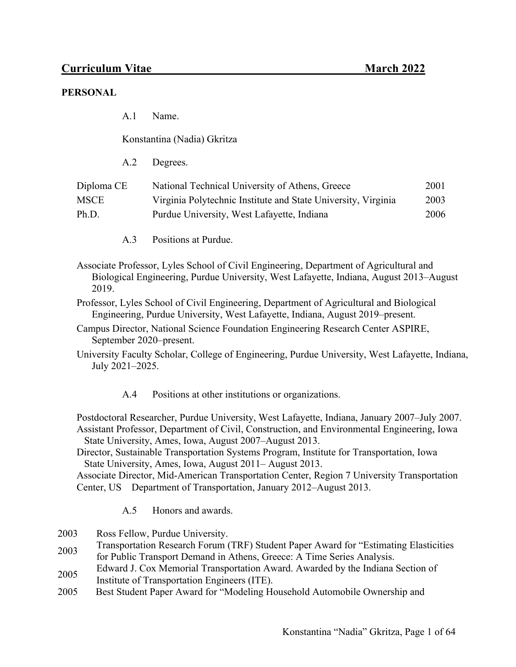#### **PERSONAL**

A.1 Name.

Konstantina (Nadia) Gkritza

A.2 Degrees.

| Diploma CE  | National Technical University of Athens, Greece               | 2001 |
|-------------|---------------------------------------------------------------|------|
| <b>MSCE</b> | Virginia Polytechnic Institute and State University, Virginia | 2003 |
| Ph.D.       | Purdue University, West Lafayette, Indiana                    | 2006 |

- A.3 Positions at Purdue.
- Associate Professor, Lyles School of Civil Engineering, Department of Agricultural and Biological Engineering, Purdue University, West Lafayette, Indiana, August 2013–August 2019.
- Professor, Lyles School of Civil Engineering, Department of Agricultural and Biological Engineering, Purdue University, West Lafayette, Indiana, August 2019–present.
- Campus Director, National Science Foundation Engineering Research Center ASPIRE, September 2020–present.
- University Faculty Scholar, College of Engineering, Purdue University, West Lafayette, Indiana, July 2021–2025.
	- A.4 Positions at other institutions or organizations.

Postdoctoral Researcher, Purdue University, West Lafayette, Indiana, January 2007–July 2007. Assistant Professor, Department of Civil, Construction, and Environmental Engineering, Iowa State University, Ames, Iowa, August 2007–August 2013.

Director, Sustainable Transportation Systems Program, Institute for Transportation, Iowa State University, Ames, Iowa, August 2011– August 2013.

Associate Director, Mid-American Transportation Center, Region 7 University Transportation Center, US Department of Transportation, January 2012–August 2013.

- A.5 Honors and awards.
- 2003 Ross Fellow, Purdue University.
- 2003 Transportation Research Forum (TRF) Student Paper Award for "Estimating Elasticities for Public Transport Demand in Athens, Greece: A Time Series Analysis.
- 2005 Edward J. Cox Memorial Transportation Award. Awarded by the Indiana Section of
- Institute of Transportation Engineers (ITE).
- 2005 Best Student Paper Award for "Modeling Household Automobile Ownership and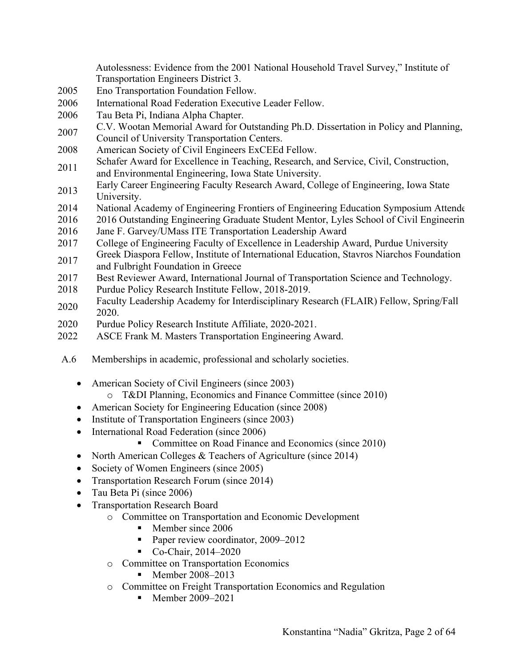Autolessness: Evidence from the 2001 National Household Travel Survey," Institute of Transportation Engineers District 3.

- 2005 Eno Transportation Foundation Fellow.
- 2006 International Road Federation Executive Leader Fellow.
- 2006 Tau Beta Pi, Indiana Alpha Chapter.
- <sup>2007</sup> C.V. Wootan Memorial Award for Outstanding Ph.D. Dissertation in Policy and Planning, Council of University Transportation Centers.
- 2008 American Society of Civil Engineers ExCEEd Fellow.
- 2011 Schafer Award for Excellence in Teaching, Research, and Service, Civil, Construction, and Environmental Engineering, Iowa State University.
- 2013 Early Career Engineering Faculty Research Award, College of Engineering, Iowa State University.
- 2014 National Academy of Engineering Frontiers of Engineering Education Symposium Attende
- 2016 2016 Outstanding Engineering Graduate Student Mentor, Lyles School of Civil Engineerin
- 2016 Jane F. Garvey/UMass ITE Transportation Leadership Award
- 2017 College of Engineering Faculty of Excellence in Leadership Award, Purdue University
- 2017 Greek Diaspora Fellow, Institute of International Education, Stavros Niarchos Foundation and Fulbright Foundation in Greece
- 2017 Best Reviewer Award, International Journal of Transportation Science and Technology.
- 2018 Purdue Policy Research Institute Fellow, 2018-2019.
- 2020 Faculty Leadership Academy for Interdisciplinary Research (FLAIR) Fellow, Spring/Fall 2020.
- 2020 Purdue Policy Research Institute Affiliate, 2020-2021.
- 2022 ASCE Frank M. Masters Transportation Engineering Award.
- A.6 Memberships in academic, professional and scholarly societies.
	- American Society of Civil Engineers (since 2003)
		- o T&DI Planning, Economics and Finance Committee (since 2010)
	- American Society for Engineering Education (since 2008)
	- Institute of Transportation Engineers (since 2003)
	- International Road Federation (since 2006)
		- § Committee on Road Finance and Economics (since 2010)
	- North American Colleges & Teachers of Agriculture (since 2014)
	- Society of Women Engineers (since 2005)
	- Transportation Research Forum (since 2014)
	- Tau Beta Pi (since 2006)
	- Transportation Research Board
		- o Committee on Transportation and Economic Development
			- Member since 2006
			- Paper review coordinator, 2009–2012
			- Co-Chair, 2014–2020
		- o Committee on Transportation Economics
			- Member 2008–2013
		- o Committee on Freight Transportation Economics and Regulation
			- Member 2009–2021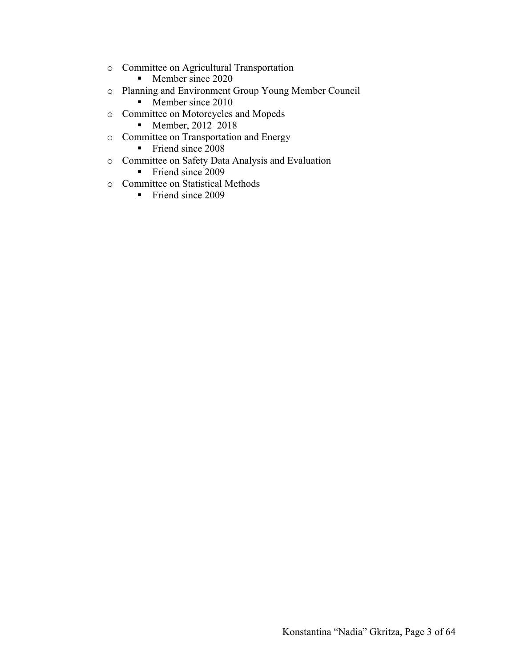- o Committee on Agricultural Transportation
	- Member since 2020
- o Planning and Environment Group Young Member Council
	- Member since 2010
- o Committee on Motorcycles and Mopeds
	- Member, 2012–2018
- o Committee on Transportation and Energy
	- Friend since 2008
- o Committee on Safety Data Analysis and Evaluation
	- Friend since 2009
- o Committee on Statistical Methods
	- Friend since 2009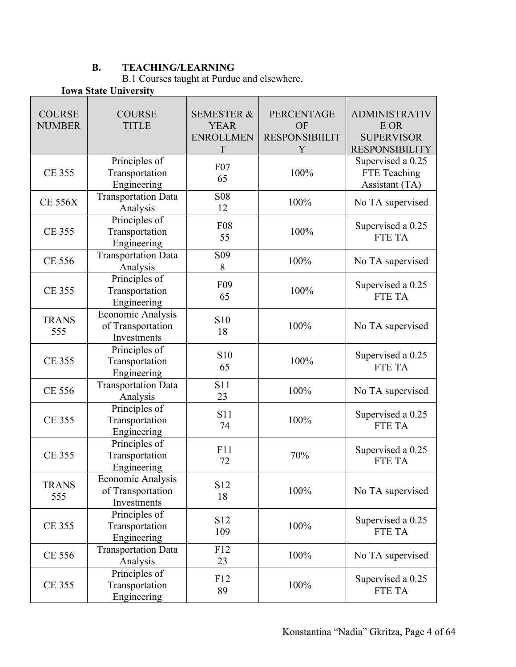## **B. TEACHING/LEARNING**

B.1 Courses taught at Purdue and elsewhere.

## **Iowa State University**

| <b>COURSE</b><br><b>NUMBER</b> | <b>COURSE</b><br><b>TITLE</b>                         | <b>SEMESTER &amp;</b><br><b>YEAR</b><br><b>ENROLLMEN</b><br>$\mathbf T$ | <b>PERCENTAGE</b><br>OF<br><b>RESPONSIBIILIT</b><br>Y | <b>ADMINISTRATIV</b><br>E OR<br><b>SUPERVISOR</b><br><b>RESPONSIBILITY</b> |
|--------------------------------|-------------------------------------------------------|-------------------------------------------------------------------------|-------------------------------------------------------|----------------------------------------------------------------------------|
| <b>CE 355</b>                  | Principles of<br>Transportation<br>Engineering        | F07<br>65                                                               | 100%                                                  | Supervised a 0.25<br>FTE Teaching<br>Assistant (TA)                        |
| <b>CE 556X</b>                 | <b>Transportation Data</b><br>Analysis                | <b>S08</b><br>12                                                        | 100%                                                  | No TA supervised                                                           |
| <b>CE 355</b>                  | Principles of<br>Transportation<br>Engineering        | <b>F08</b><br>55                                                        | 100%                                                  | Supervised a 0.25<br><b>FTE TA</b>                                         |
| CE 556                         | <b>Transportation Data</b><br>Analysis                | S <sub>09</sub><br>8                                                    | 100%                                                  | No TA supervised                                                           |
| <b>CE 355</b>                  | Principles of<br>Transportation<br>Engineering        | F09<br>65                                                               | 100%                                                  | Supervised a 0.25<br>FTE TA                                                |
| <b>TRANS</b><br>555            | Economic Analysis<br>of Transportation<br>Investments | S10<br>18                                                               | 100%                                                  | No TA supervised                                                           |
| <b>CE 355</b>                  | Principles of<br>Transportation<br>Engineering        | S10<br>65                                                               | 100%                                                  | Supervised a 0.25<br>FTE TA                                                |
| <b>CE 556</b>                  | <b>Transportation Data</b><br>Analysis                | S11<br>23                                                               | 100%                                                  | No TA supervised                                                           |
| <b>CE 355</b>                  | Principles of<br>Transportation<br>Engineering        | <b>S11</b><br>74                                                        | 100%                                                  | Supervised a 0.25<br>FTE TA                                                |
| <b>CE 355</b>                  | Principles of<br>Transportation<br>Engineering        | F11<br>72                                                               | 70%                                                   | Supervised a 0.25<br>FTE TA                                                |
| <b>TRANS</b><br>555            | Economic Analysis<br>of Transportation<br>Investments | S12<br>18                                                               | 100%                                                  | No TA supervised                                                           |
| <b>CE 355</b>                  | Principles of<br>Transportation<br>Engineering        | S12<br>109                                                              | 100%                                                  | Supervised a 0.25<br>FTE TA                                                |
| CE 556                         | <b>Transportation Data</b><br>Analysis                | F12<br>23                                                               | 100%                                                  | No TA supervised                                                           |
| <b>CE 355</b>                  | Principles of<br>Transportation<br>Engineering        | F12<br>89                                                               | 100%                                                  | Supervised a 0.25<br>FTE TA                                                |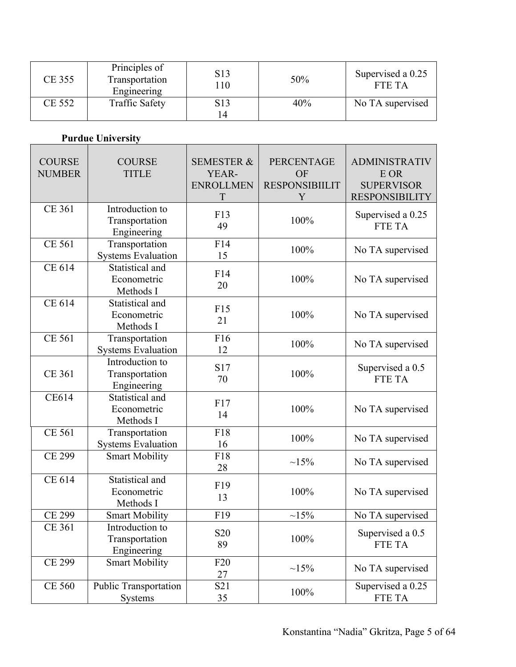| <b>CE 355</b> | Principles of<br>Transportation<br>Engineering | S <sub>1</sub> 3<br>10             | 50% | Supervised a 0.25<br>FTE TA |
|---------------|------------------------------------------------|------------------------------------|-----|-----------------------------|
| <b>CE 552</b> | <b>Traffic Safety</b>                          | S <sub>1</sub> 3<br>$\overline{4}$ | 40% | No TA supervised            |

# **Purdue University**

| <b>COURSE</b><br><b>NUMBER</b> | <b>COURSE</b><br><b>TITLE</b>                    | <b>SEMESTER &amp;</b><br>YEAR-<br><b>ENROLLMEN</b><br>$\mathbf T$ | PERCENTAGE<br>OF<br><b>RESPONSIBIILIT</b><br>Y | <b>ADMINISTRATIV</b><br>E OR<br><b>SUPERVISOR</b><br><b>RESPONSIBILITY</b> |
|--------------------------------|--------------------------------------------------|-------------------------------------------------------------------|------------------------------------------------|----------------------------------------------------------------------------|
| <b>CE 361</b>                  | Introduction to<br>Transportation<br>Engineering | F13<br>49                                                         | 100%                                           | Supervised a 0.25<br>FTE TA                                                |
| <b>CE 561</b>                  | Transportation<br><b>Systems Evaluation</b>      | F14<br>15                                                         | 100%                                           | No TA supervised                                                           |
| CE 614                         | Statistical and<br>Econometric<br>Methods I      | F14<br>20                                                         | 100%                                           | No TA supervised                                                           |
| <b>CE 614</b>                  | Statistical and<br>Econometric<br>Methods I      | F15<br>21                                                         | 100%                                           | No TA supervised                                                           |
| <b>CE 561</b>                  | Transportation<br><b>Systems Evaluation</b>      | F16<br>12                                                         | 100%                                           | No TA supervised                                                           |
| <b>CE 361</b>                  | Introduction to<br>Transportation<br>Engineering | S17<br>70                                                         | 100%                                           | Supervised a 0.5<br>FTE TA                                                 |
| <b>CE614</b>                   | Statistical and<br>Econometric<br>Methods I      | F17<br>14                                                         | 100%                                           | No TA supervised                                                           |
| <b>CE 561</b>                  | Transportation<br><b>Systems Evaluation</b>      | F18<br>16                                                         | 100%                                           | No TA supervised                                                           |
| <b>CE 299</b>                  | <b>Smart Mobility</b>                            | F18<br>28                                                         | $\sim 15\%$                                    | No TA supervised                                                           |
| <b>CE 614</b>                  | Statistical and<br>Econometric<br>Methods I      | F19<br>13                                                         | 100%                                           | No TA supervised                                                           |
| <b>CE 299</b>                  | <b>Smart Mobility</b>                            | F19                                                               | $~15\%$                                        | No TA supervised                                                           |
| <b>CE 361</b>                  | Introduction to<br>Transportation<br>Engineering | S <sub>20</sub><br>89                                             | 100%                                           | Supervised a 0.5<br>FTE TA                                                 |
| <b>CE 299</b>                  | <b>Smart Mobility</b>                            | F <sub>20</sub><br>27                                             | $\sim 15\%$                                    | No TA supervised                                                           |
| <b>CE 560</b>                  | <b>Public Transportation</b><br>Systems          | S <sub>21</sub><br>35                                             | $100\%$                                        | Supervised a 0.25<br>FTE TA                                                |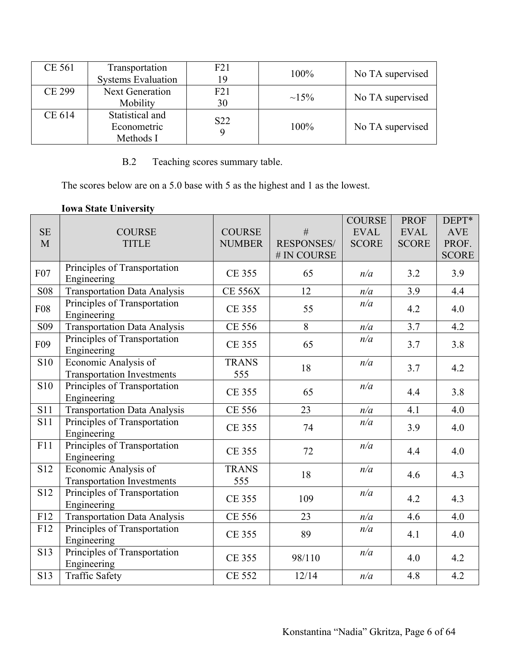| CE 561        | Transportation<br><b>Systems Evaluation</b> | F21<br>19       | 100%        | No TA supervised |
|---------------|---------------------------------------------|-----------------|-------------|------------------|
|               |                                             |                 |             |                  |
| <b>CE 299</b> | <b>Next Generation</b>                      | F21             | $\sim 15\%$ | No TA supervised |
|               | Mobility                                    | 30              |             |                  |
| CE 614        | Statistical and                             | S <sub>22</sub> |             |                  |
|               | Econometric                                 |                 | 100%        | No TA supervised |
|               | Methods I                                   |                 |             |                  |

B.2 Teaching scores summary table.

The scores below are on a 5.0 base with 5 as the highest and 1 as the lowest.

| <b>SE</b><br>M  | <b>COURSE</b><br><b>TITLE</b>                             | <b>COURSE</b><br><b>NUMBER</b> | #<br><b>RESPONSES/</b><br># IN COURSE | <b>COURSE</b><br><b>EVAL</b><br><b>SCORE</b> | <b>PROF</b><br><b>EVAL</b><br><b>SCORE</b> | DEPT*<br><b>AVE</b><br>PROF.<br><b>SCORE</b> |
|-----------------|-----------------------------------------------------------|--------------------------------|---------------------------------------|----------------------------------------------|--------------------------------------------|----------------------------------------------|
| F07             | Principles of Transportation<br>Engineering               | <b>CE 355</b>                  | 65                                    | n/a                                          | 3.2                                        | 3.9                                          |
| <b>S08</b>      | <b>Transportation Data Analysis</b>                       | <b>CE 556X</b>                 | 12                                    | n/a                                          | 3.9                                        | 4.4                                          |
| <b>F08</b>      | Principles of Transportation<br>Engineering               | <b>CE 355</b>                  | 55                                    | n/a                                          | 4.2                                        | 4.0                                          |
| S <sub>09</sub> | Transportation Data Analysis                              | <b>CE 556</b>                  | 8                                     | n/a                                          | 3.7                                        | 4.2                                          |
| F09             | Principles of Transportation<br>Engineering               | <b>CE 355</b>                  | 65                                    | n/a                                          | 3.7                                        | 3.8                                          |
| <b>S10</b>      | Economic Analysis of<br><b>Transportation Investments</b> | <b>TRANS</b><br>555            | 18                                    | n/a                                          | 3.7                                        | 4.2                                          |
| <b>S10</b>      | Principles of Transportation<br>Engineering               | <b>CE 355</b>                  | 65                                    | n/a                                          | 4.4                                        | 3.8                                          |
| <b>S11</b>      | <b>Transportation Data Analysis</b>                       | <b>CE 556</b>                  | 23                                    | n/a                                          | 4.1                                        | 4.0                                          |
| <b>S11</b>      | Principles of Transportation<br>Engineering               | <b>CE 355</b>                  | 74                                    | n/a                                          | 3.9                                        | 4.0                                          |
| F11             | Principles of Transportation<br>Engineering               | <b>CE 355</b>                  | 72                                    | n/a                                          | 4.4                                        | 4.0                                          |
| S12             | Economic Analysis of<br><b>Transportation Investments</b> | <b>TRANS</b><br>555            | 18                                    | n/a                                          | 4.6                                        | 4.3                                          |
| S12             | Principles of Transportation<br>Engineering               | <b>CE 355</b>                  | 109                                   | n/a                                          | 4.2                                        | 4.3                                          |
| F12             | <b>Transportation Data Analysis</b>                       | <b>CE 556</b>                  | 23                                    | n/a                                          | 4.6                                        | 4.0                                          |
| F12             | Principles of Transportation<br>Engineering               | <b>CE 355</b>                  | 89                                    | n/a                                          | 4.1                                        | 4.0                                          |
| S13             | Principles of Transportation<br>Engineering               | <b>CE 355</b>                  | 98/110                                | n/a                                          | 4.0                                        | 4.2                                          |
| S13             | <b>Traffic Safety</b>                                     | <b>CE 552</b>                  | 12/14                                 | n/a                                          | 4.8                                        | 4.2                                          |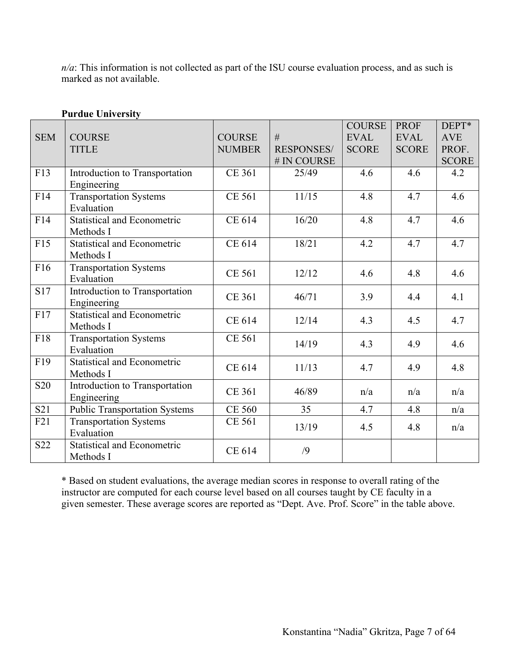*n/a*: This information is not collected as part of the ISU course evaluation process, and as such is marked as not available.

| <b>SEM</b>      | <b>COURSE</b><br><b>TITLE</b>                   | <b>COURSE</b><br><b>NUMBER</b> | #<br><b>RESPONSES/</b><br># IN COURSE | <b>COURSE</b><br><b>EVAL</b><br><b>SCORE</b> | <b>PROF</b><br><b>EVAL</b><br><b>SCORE</b> | DEPT*<br><b>AVE</b><br>PROF.<br><b>SCORE</b> |
|-----------------|-------------------------------------------------|--------------------------------|---------------------------------------|----------------------------------------------|--------------------------------------------|----------------------------------------------|
| F13             | Introduction to Transportation<br>Engineering   | <b>CE 361</b>                  | 25/49                                 | 4.6                                          | 4.6                                        | 4.2                                          |
| F14             | <b>Transportation Systems</b><br>Evaluation     | <b>CE 561</b>                  | 11/15                                 | 4.8                                          | 4.7                                        | 4.6                                          |
| F14             | <b>Statistical and Econometric</b><br>Methods I | CE 614                         | 16/20                                 | 4.8                                          | 4.7                                        | 4.6                                          |
| F15             | <b>Statistical and Econometric</b><br>Methods I | CE 614                         | 18/21                                 | 4.2                                          | 4.7                                        | 4.7                                          |
| F16             | <b>Transportation Systems</b><br>Evaluation     | <b>CE 561</b>                  | 12/12                                 | 4.6                                          | 4.8                                        | 4.6                                          |
| S17             | Introduction to Transportation<br>Engineering   | <b>CE 361</b>                  | 46/71                                 | 3.9                                          | 4.4                                        | 4.1                                          |
| F17             | <b>Statistical and Econometric</b><br>Methods I | CE 614                         | 12/14                                 | 4.3                                          | 4.5                                        | 4.7                                          |
| F18             | <b>Transportation Systems</b><br>Evaluation     | <b>CE 561</b>                  | 14/19                                 | 4.3                                          | 4.9                                        | 4.6                                          |
| F19             | <b>Statistical and Econometric</b><br>Methods I | CE 614                         | 11/13                                 | 4.7                                          | 4.9                                        | 4.8                                          |
| <b>S20</b>      | Introduction to Transportation<br>Engineering   | <b>CE 361</b>                  | 46/89                                 | n/a                                          | n/a                                        | n/a                                          |
| S <sub>21</sub> | <b>Public Transportation Systems</b>            | <b>CE 560</b>                  | 35                                    | 4.7                                          | 4.8                                        | n/a                                          |
| F21             | <b>Transportation Systems</b><br>Evaluation     | CE 561                         | 13/19                                 | 4.5                                          | 4.8                                        | n/a                                          |
| S22             | <b>Statistical and Econometric</b><br>Methods I | CE 614                         | /9                                    |                                              |                                            |                                              |

**Purdue University**

\* Based on student evaluations, the average median scores in response to overall rating of the instructor are computed for each course level based on all courses taught by CE faculty in a given semester. These average scores are reported as "Dept. Ave. Prof. Score" in the table above.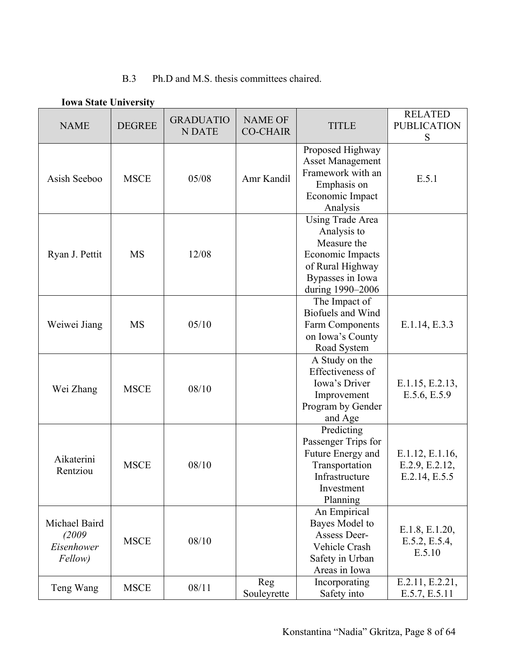## B.3 Ph.D and M.S. thesis committees chaired.

| <b>NAME</b>                                     | <b>DEGREE</b> | <b>GRADUATIO</b><br><b>NDATE</b> | <b>NAME OF</b><br><b>CO-CHAIR</b> | <b>TITLE</b>                                                                                                                          | <b>RELATED</b><br><b>PUBLICATION</b><br>S          |
|-------------------------------------------------|---------------|----------------------------------|-----------------------------------|---------------------------------------------------------------------------------------------------------------------------------------|----------------------------------------------------|
| Asish Seeboo                                    | <b>MSCE</b>   | 05/08                            | Amr Kandil                        | Proposed Highway<br><b>Asset Management</b><br>Framework with an<br>Emphasis on<br>Economic Impact<br>Analysis                        | E.5.1                                              |
| Ryan J. Pettit                                  | <b>MS</b>     | 12/08                            |                                   | <b>Using Trade Area</b><br>Analysis to<br>Measure the<br>Economic Impacts<br>of Rural Highway<br>Bypasses in Iowa<br>during 1990-2006 |                                                    |
| Weiwei Jiang                                    | <b>MS</b>     | 05/10                            |                                   | The Impact of<br><b>Biofuels and Wind</b><br>Farm Components<br>on Iowa's County<br>Road System                                       | E.1.14, E.3.3                                      |
| Wei Zhang                                       | <b>MSCE</b>   | 08/10                            |                                   | A Study on the<br>Effectiveness of<br>Iowa's Driver<br>Improvement<br>Program by Gender<br>and Age                                    | E.1.15, E.2.13,<br>E.5.6, E.5.9                    |
| Aikaterini<br>Rentziou                          | <b>MSCE</b>   | 08/10                            |                                   | Predicting<br>Passenger Trips for<br>Future Energy and<br>Transportation<br>Infrastructure<br>Investment<br>Planning                  | E.1.12, E.1.16,<br>E.2.9, E.2.12,<br>E.2.14, E.5.5 |
| Michael Baird<br>(2009<br>Eisenhower<br>Fellow) | <b>MSCE</b>   | 08/10                            |                                   | An Empirical<br>Bayes Model to<br>Assess Deer-<br>Vehicle Crash<br>Safety in Urban<br>Areas in Iowa                                   | E.1.8, E.1.20,<br>E.5.2, E.5.4,<br>E.5.10          |
| Teng Wang                                       | <b>MSCE</b>   | 08/11                            | Reg<br>Souleyrette                | Incorporating<br>Safety into                                                                                                          | E.2.11, E.2.21,<br>E.5.7, E.5.11                   |

#### **Iowa State University**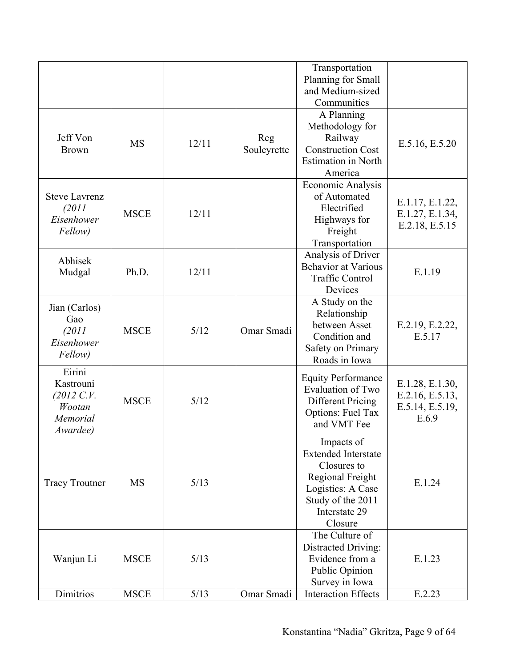|                                                                           |             |        |                    | Transportation<br>Planning for Small<br>and Medium-sized<br>Communities                                                                           |                                                                |
|---------------------------------------------------------------------------|-------------|--------|--------------------|---------------------------------------------------------------------------------------------------------------------------------------------------|----------------------------------------------------------------|
| Jeff Von<br><b>Brown</b>                                                  | <b>MS</b>   | 12/11  | Reg<br>Souleyrette | A Planning<br>Methodology for<br>Railway<br><b>Construction Cost</b><br><b>Estimation</b> in North<br>America                                     | E.5.16, E.5.20                                                 |
| <b>Steve Lavrenz</b><br>(2011<br>Eisenhower<br>Fellow)                    | <b>MSCE</b> | 12/11  |                    | Economic Analysis<br>of Automated<br>Electrified<br>Highways for<br>Freight<br>Transportation                                                     | E.1.17, E.1.22,<br>E.1.27, E.1.34,<br>E.2.18, E.5.15           |
| Abhisek<br>Mudgal                                                         | Ph.D.       | 12/11  |                    | Analysis of Driver<br><b>Behavior at Various</b><br><b>Traffic Control</b><br>Devices                                                             | E.1.19                                                         |
| Jian (Carlos)<br>Gao<br>(2011<br>Eisenhower<br><i>Fellow</i> )            | <b>MSCE</b> | 5/12   | Omar Smadi         | A Study on the<br>Relationship<br>between Asset<br>Condition and<br>Safety on Primary<br>Roads in Iowa                                            | E.2.19, E.2.22,<br>E.5.17                                      |
| Eirini<br>Kastrouni<br>$(2012 \, C. V.$<br>Wootan<br>Memorial<br>Awardee) | <b>MSCE</b> | 5/12   |                    | <b>Equity Performance</b><br>Evaluation of Two<br><b>Different Pricing</b><br><b>Options: Fuel Tax</b><br>and VMT Fee                             | E.1.28, E.1.30,<br>E.2.16, E.5.13,<br>E.5.14, E.5.19,<br>E.6.9 |
| <b>Tracy Troutner</b>                                                     | <b>MS</b>   | 5/13   |                    | Impacts of<br><b>Extended Interstate</b><br>Closures to<br>Regional Freight<br>Logistics: A Case<br>Study of the 2011<br>Interstate 29<br>Closure | E.1.24                                                         |
| Wanjun Li                                                                 | <b>MSCE</b> | 5/13   |                    | The Culture of<br>Distracted Driving:<br>Evidence from a<br>Public Opinion<br>Survey in Iowa                                                      | E.1.23                                                         |
| Dimitrios                                                                 | <b>MSCE</b> | $5/13$ | Omar Smadi         | <b>Interaction Effects</b>                                                                                                                        | E.2.23                                                         |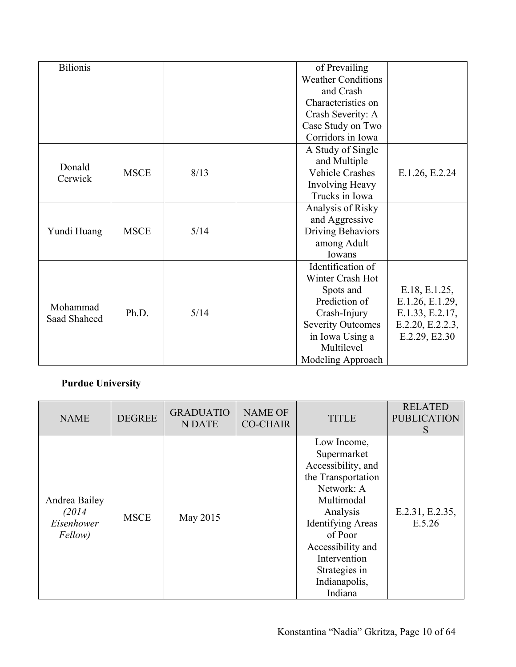| <b>Bilionis</b> |             |      | of Prevailing                                |
|-----------------|-------------|------|----------------------------------------------|
|                 |             |      | <b>Weather Conditions</b>                    |
|                 |             |      | and Crash                                    |
|                 |             |      | Characteristics on                           |
|                 |             |      | Crash Severity: A                            |
|                 |             |      | Case Study on Two                            |
|                 |             |      | Corridors in Iowa                            |
|                 |             |      | A Study of Single                            |
| Donald          |             |      | and Multiple                                 |
| Cerwick         | <b>MSCE</b> | 8/13 | <b>Vehicle Crashes</b><br>E.1.26, E.2.24     |
|                 |             |      | Involving Heavy                              |
|                 |             |      | Trucks in Iowa                               |
|                 |             |      | Analysis of Risky                            |
|                 |             |      | and Aggressive                               |
| Yundi Huang     | <b>MSCE</b> | 5/14 | Driving Behaviors                            |
|                 |             |      | among Adult                                  |
|                 |             |      | Iowans                                       |
|                 |             |      | Identification of                            |
|                 |             |      | Winter Crash Hot                             |
|                 |             |      | E.18, E.1.25,<br>Spots and                   |
| Mohammad        |             |      | Prediction of<br>E.1.26, E.1.29,             |
| Saad Shaheed    | Ph.D.       | 5/14 | Crash-Injury<br>E.1.33, E.2.17,              |
|                 |             |      | <b>Severity Outcomes</b><br>E.2.20, E.2.2.3, |
|                 |             |      | in Iowa Using a<br>E.2.29, E2.30             |
|                 |             |      | Multilevel                                   |
|                 |             |      | Modeling Approach                            |

# **Purdue University**

| <b>NAME</b>                                      | <b>DEGREE</b> | <b>GRADUATIO</b><br><b>NDATE</b> | <b>NAME OF</b><br><b>CO-CHAIR</b> | <b>TITLE</b>                                                                                                                                                                                                                            | <b>RELATED</b><br><b>PUBLICATION</b><br>S |
|--------------------------------------------------|---------------|----------------------------------|-----------------------------------|-----------------------------------------------------------------------------------------------------------------------------------------------------------------------------------------------------------------------------------------|-------------------------------------------|
| Andrea Bailey<br>(2014)<br>Eisenhower<br>Fellow) | <b>MSCE</b>   | May 2015                         |                                   | Low Income,<br>Supermarket<br>Accessibility, and<br>the Transportation<br>Network: A<br>Multimodal<br>Analysis<br><b>Identifying Areas</b><br>of Poor<br>Accessibility and<br>Intervention<br>Strategies in<br>Indianapolis,<br>Indiana | E.2.31, E.2.35,<br>E.5.26                 |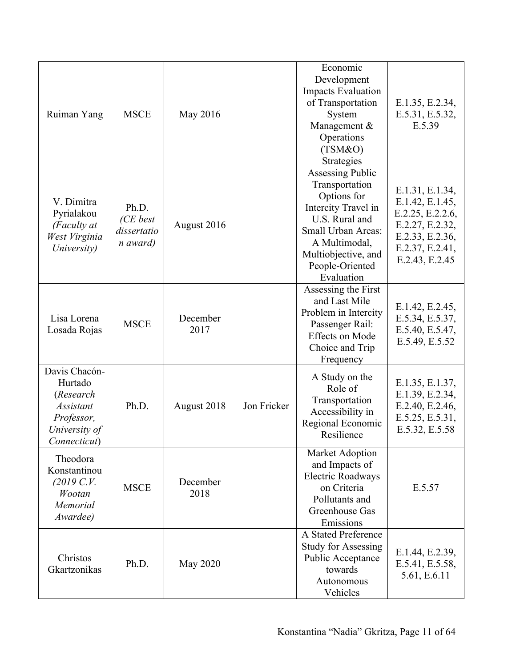| Ruiman Yang                                                                                              | <b>MSCE</b>                                  | May 2016         |             | Economic<br>Development<br><b>Impacts Evaluation</b><br>of Transportation<br>System<br>Management &<br>Operations<br>(TSM&O)<br>Strategies                                                              | E.1.35, E.2.34,<br>E.5.31, E.5.32,<br>E.5.39                                                                                      |
|----------------------------------------------------------------------------------------------------------|----------------------------------------------|------------------|-------------|---------------------------------------------------------------------------------------------------------------------------------------------------------------------------------------------------------|-----------------------------------------------------------------------------------------------------------------------------------|
| V. Dimitra<br>Pyrialakou<br>(Faculty at<br>West Virginia<br>University)                                  | Ph.D.<br>(CE best<br>dissertatio<br>n award) | August 2016      |             | <b>Assessing Public</b><br>Transportation<br>Options for<br>Intercity Travel in<br>U.S. Rural and<br><b>Small Urban Areas:</b><br>A Multimodal,<br>Multiobjective, and<br>People-Oriented<br>Evaluation | E.1.31, E.1.34,<br>E.1.42, E.1.45,<br>E.2.25, E.2.2.6,<br>E.2.27, E.2.32,<br>E.2.33, E.2.36,<br>E.2.37, E.2.41,<br>E.2.43, E.2.45 |
| Lisa Lorena<br>Losada Rojas                                                                              | <b>MSCE</b>                                  | December<br>2017 |             | Assessing the First<br>and Last Mile<br>Problem in Intercity<br>Passenger Rail:<br><b>Effects</b> on Mode<br>Choice and Trip<br>Frequency                                                               | E.1.42, E.2.45,<br>E.5.34, E.5.37,<br>E.5.40, E.5.47,<br>E.5.49, E.5.52                                                           |
| Davis Chacón-<br>Hurtado<br>(Research<br><b>Assistant</b><br>Professor,<br>University of<br>Connecticut) | Ph.D.                                        | August 2018      | Jon Fricker | A Study on the<br>Role of<br>Transportation<br>Accessibility in<br>Regional Economic<br>Resilience                                                                                                      | E.1.35, E.1.37,<br>E.1.39, E.2.34,<br>E.2.40, E.2.46,<br>E.5.25, E.5.31,<br>E.5.32, E.5.58                                        |
| Theodora<br>Konstantinou<br>(2019 C. V.<br>Wootan<br>Memorial<br>Awardee)                                | <b>MSCE</b>                                  | December<br>2018 |             | Market Adoption<br>and Impacts of<br><b>Electric Roadways</b><br>on Criteria<br>Pollutants and<br>Greenhouse Gas<br>Emissions                                                                           | E.5.57                                                                                                                            |
| Christos<br>Gkartzonikas                                                                                 | Ph.D.                                        | May 2020         |             | A Stated Preference<br><b>Study for Assessing</b><br>Public Acceptance<br>towards<br>Autonomous<br>Vehicles                                                                                             | E.1.44, E.2.39,<br>E.5.41, E.5.58,<br>5.61, E.6.11                                                                                |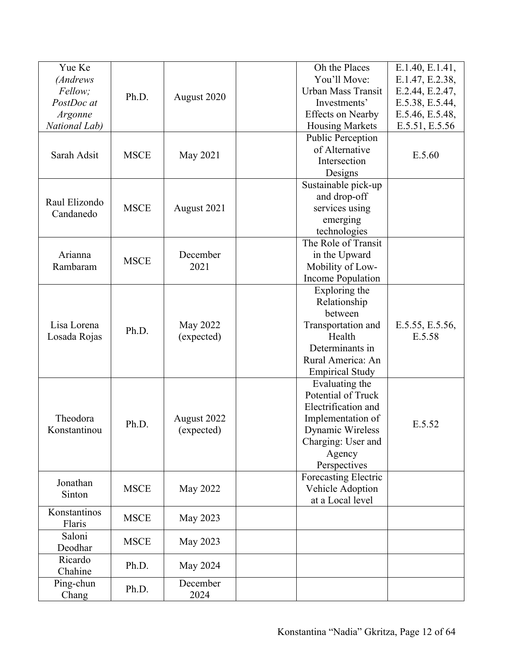| Yue Ke        |             |                 | Oh the Places            | E.1.40, E.1.41, |
|---------------|-------------|-----------------|--------------------------|-----------------|
| (Andrews      |             |                 | You'll Move:             | E.1.47, E.2.38, |
| Fellow;       |             |                 | Urban Mass Transit       | E.2.44, E.2.47, |
| PostDoc at    | Ph.D.       | August 2020     | Investments'             | E.5.38, E.5.44, |
|               |             |                 | <b>Effects on Nearby</b> |                 |
| Argonne       |             |                 |                          | E.5.46, E.5.48, |
| National Lab) |             |                 | <b>Housing Markets</b>   | E.5.51, E.5.56  |
|               |             |                 | <b>Public Perception</b> |                 |
| Sarah Adsit   | <b>MSCE</b> | May 2021        | of Alternative           | E.5.60          |
|               |             |                 | Intersection             |                 |
|               |             |                 | Designs                  |                 |
|               |             |                 | Sustainable pick-up      |                 |
| Raul Elizondo |             |                 | and drop-off             |                 |
| Candanedo     | <b>MSCE</b> | August 2021     | services using           |                 |
|               |             |                 | emerging                 |                 |
|               |             |                 | technologies             |                 |
|               |             |                 | The Role of Transit      |                 |
| Arianna       |             | December        | in the Upward            |                 |
| Rambaram      | <b>MSCE</b> | 2021            | Mobility of Low-         |                 |
|               |             |                 | <b>Income Population</b> |                 |
|               |             |                 | Exploring the            |                 |
|               |             |                 | Relationship             |                 |
|               |             |                 | between                  |                 |
| Lisa Lorena   |             | <b>May 2022</b> | Transportation and       | E.5.55, E.5.56, |
|               | Ph.D.       | (expected)      | Health                   | E.5.58          |
| Losada Rojas  |             |                 | Determinants in          |                 |
|               |             |                 |                          |                 |
|               |             |                 | Rural America: An        |                 |
|               |             |                 | <b>Empirical Study</b>   |                 |
|               |             |                 | Evaluating the           |                 |
|               |             |                 | Potential of Truck       |                 |
|               |             |                 | Electrification and      |                 |
| Theodora      | Ph.D.       | August 2022     | Implementation of        | E.5.52          |
| Konstantinou  |             | (expected)      | Dynamic Wireless         |                 |
|               |             |                 | Charging: User and       |                 |
|               |             |                 | Agency                   |                 |
|               |             |                 | Perspectives             |                 |
| Jonathan      |             |                 | Forecasting Electric     |                 |
|               | <b>MSCE</b> | <b>May 2022</b> | Vehicle Adoption         |                 |
| Sinton        |             |                 | at a Local level         |                 |
| Konstantinos  |             |                 |                          |                 |
| Flaris        | <b>MSCE</b> | May 2023        |                          |                 |
| Saloni        |             |                 |                          |                 |
| Deodhar       | <b>MSCE</b> | May 2023        |                          |                 |
| Ricardo       |             |                 |                          |                 |
| Chahine       | Ph.D.       | May 2024        |                          |                 |
| Ping-chun     |             | December        |                          |                 |
| Chang         | Ph.D.       | 2024            |                          |                 |
|               |             |                 |                          |                 |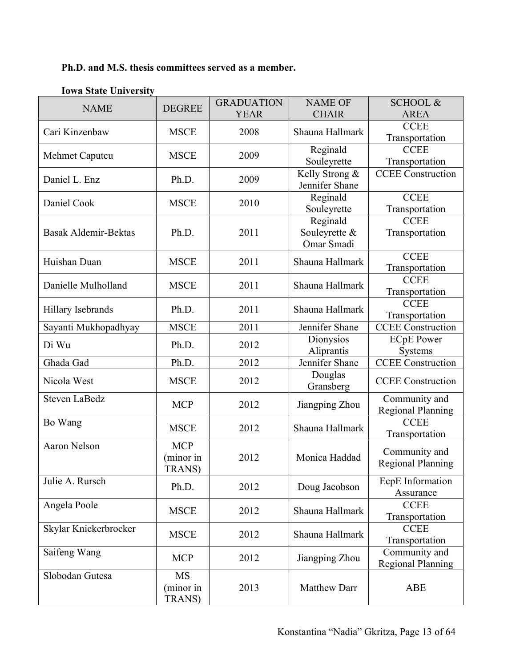# **Ph.D. and M.S. thesis committees served as a member.**

| <b>NAME</b>           | <b>DEGREE</b>                             | <b>GRADUATION</b><br><b>YEAR</b> | <b>NAME OF</b><br><b>CHAIR</b>          | <b>SCHOOL &amp;</b><br><b>AREA</b>        |
|-----------------------|-------------------------------------------|----------------------------------|-----------------------------------------|-------------------------------------------|
| Cari Kinzenbaw        | <b>MSCE</b>                               | 2008                             | Shauna Hallmark                         | <b>CCEE</b><br>Transportation             |
| Mehmet Caputcu        | <b>MSCE</b>                               | 2009                             | Reginald<br>Souleyrette                 | <b>CCEE</b><br>Transportation             |
| Daniel L. Enz         | Ph.D.                                     | 2009                             | Kelly Strong &<br>Jennifer Shane        | <b>CCEE</b> Construction                  |
| Daniel Cook           | <b>MSCE</b>                               | 2010                             | Reginald<br>Souleyrette                 | <b>CCEE</b><br>Transportation             |
| Basak Aldemir-Bektas  | Ph.D.                                     | 2011                             | Reginald<br>Souleyrette &<br>Omar Smadi | <b>CCEE</b><br>Transportation             |
| Huishan Duan          | <b>MSCE</b>                               | 2011                             | Shauna Hallmark                         | <b>CCEE</b><br>Transportation             |
| Danielle Mulholland   | <b>MSCE</b>                               | 2011                             | Shauna Hallmark                         | <b>CCEE</b><br>Transportation             |
| Hillary Isebrands     | Ph.D.                                     | 2011                             | Shauna Hallmark                         | <b>CCEE</b><br>Transportation             |
| Sayanti Mukhopadhyay  | <b>MSCE</b>                               | 2011                             | Jennifer Shane                          | <b>CCEE</b> Construction                  |
| Di Wu                 | Ph.D.                                     | 2012                             | Dionysios<br>Aliprantis                 | <b>ECpE</b> Power<br>Systems              |
| Ghada Gad             | Ph.D.                                     | 2012                             | Jennifer Shane                          | <b>CCEE</b> Construction                  |
| Nicola West           | <b>MSCE</b>                               | 2012                             | Douglas<br>Gransberg                    | <b>CCEE</b> Construction                  |
| Steven LaBedz         | <b>MCP</b>                                | 2012                             | Jiangping Zhou                          | Community and<br><b>Regional Planning</b> |
| Bo Wang               | <b>MSCE</b>                               | 2012                             | Shauna Hallmark                         | <b>CCEE</b><br>Transportation             |
| Aaron Nelson          | <b>MCP</b><br>(minor in<br><b>TRANS</b> ) | 2012                             | Monica Haddad                           | Community and<br><b>Regional Planning</b> |
| Julie A. Rursch       | Ph.D.                                     | 2012                             | Doug Jacobson                           | EcpE Information<br>Assurance             |
| Angela Poole          | <b>MSCE</b>                               | 2012                             | Shauna Hallmark                         | <b>CCEE</b><br>Transportation             |
| Skylar Knickerbrocker | <b>MSCE</b>                               | 2012                             | Shauna Hallmark                         | <b>CCEE</b><br>Transportation             |
| Saifeng Wang          | <b>MCP</b>                                | 2012                             | Jiangping Zhou                          | Community and<br><b>Regional Planning</b> |
| Slobodan Gutesa       | <b>MS</b><br>(minor in<br><b>TRANS</b> )  | 2013                             | Matthew Darr                            | <b>ABE</b>                                |

## **Iowa State University**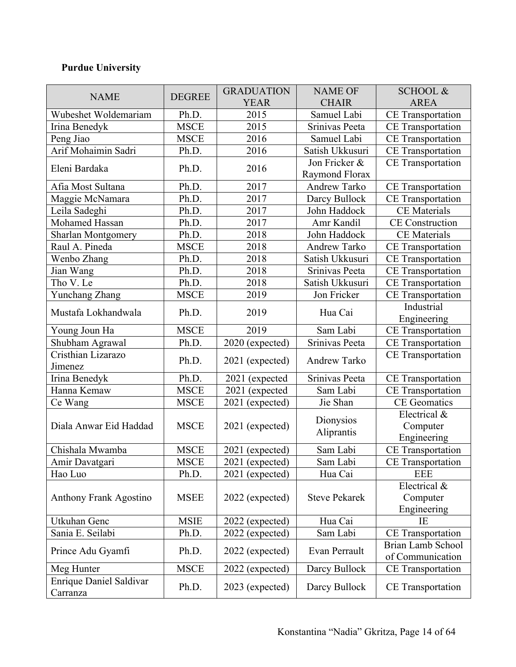# **Purdue University**

|                                |               | <b>GRADUATION</b> | <b>NAME OF</b>       | <b>SCHOOL &amp;</b>      |
|--------------------------------|---------------|-------------------|----------------------|--------------------------|
| <b>NAME</b>                    | <b>DEGREE</b> | <b>YEAR</b>       | <b>CHAIR</b>         | <b>AREA</b>              |
| Wubeshet Woldemariam           | Ph.D.         | 2015              | Samuel Labi          | <b>CE</b> Transportation |
| Irina Benedyk                  | <b>MSCE</b>   | 2015              | Srinivas Peeta       | <b>CE</b> Transportation |
| Peng Jiao                      | <b>MSCE</b>   | 2016              | Samuel Labi          | <b>CE</b> Transportation |
| Arif Mohaimin Sadri            | Ph.D.         | 2016              | Satish Ukkusuri      | <b>CE</b> Transportation |
|                                |               |                   | Jon Fricker &        | <b>CE</b> Transportation |
| Eleni Bardaka                  | Ph.D.         | 2016              | Raymond Florax       |                          |
| Afia Most Sultana              | Ph.D.         | 2017              | <b>Andrew Tarko</b>  | <b>CE</b> Transportation |
| Maggie McNamara                | Ph.D.         | 2017              | Darcy Bullock        | <b>CE</b> Transportation |
| Leila Sadeghi                  | Ph.D.         | 2017              | John Haddock         | <b>CE</b> Materials      |
| Mohamed Hassan                 | Ph.D.         | 2017              | Amr Kandil           | <b>CE</b> Construction   |
| <b>Sharlan Montgomery</b>      | Ph.D.         | 2018              | John Haddock         | <b>CE</b> Materials      |
| Raul A. Pineda                 | <b>MSCE</b>   | 2018              | Andrew Tarko         | <b>CE</b> Transportation |
| Wenbo Zhang                    | Ph.D.         | 2018              | Satish Ukkusuri      | <b>CE</b> Transportation |
| Jian Wang                      | Ph.D.         | 2018              | Srinivas Peeta       | <b>CE</b> Transportation |
| Tho V. Le                      | Ph.D.         | 2018              | Satish Ukkusuri      | <b>CE</b> Transportation |
| Yunchang Zhang                 | <b>MSCE</b>   | 2019              | Jon Fricker          | <b>CE</b> Transportation |
|                                |               |                   |                      | Industrial               |
| Mustafa Lokhandwala            | Ph.D.         | 2019              | Hua Cai              | Engineering              |
| Young Joun Ha                  | <b>MSCE</b>   | 2019              | Sam Labi             | <b>CE</b> Transportation |
| Shubham Agrawal                | Ph.D.         | 2020 (expected)   | Srinivas Peeta       | <b>CE</b> Transportation |
| Cristhian Lizarazo             |               |                   |                      | <b>CE</b> Transportation |
| Jimenez                        | Ph.D.         | 2021 (expected)   | Andrew Tarko         |                          |
| Irina Benedyk                  | Ph.D.         | 2021 (expected    | Srinivas Peeta       | <b>CE</b> Transportation |
| Hanna Kemaw                    | <b>MSCE</b>   | 2021 (expected    | Sam Labi             | <b>CE</b> Transportation |
| Ce Wang                        | <b>MSCE</b>   | 2021 (expected)   | Jie Shan             | <b>CE</b> Geomatics      |
|                                |               |                   |                      | Electrical &             |
| Diala Anwar Eid Haddad         | <b>MSCE</b>   | 2021 (expected)   | Dionysios            | Computer                 |
|                                |               |                   | Aliprantis           | Engineering              |
| Chishala Mwamba                | <b>MSCE</b>   | 2021 (expected)   | Sam Labi             | <b>CE</b> Transportation |
| Amir Davatgari                 | <b>MSCE</b>   | 2021 (expected)   | Sam Labi             | <b>CE</b> Transportation |
| Hao Luo                        | Ph.D.         | 2021 (expected)   | Hua Cai              | <b>EEE</b>               |
|                                |               |                   |                      | Electrical &             |
| <b>Anthony Frank Agostino</b>  | <b>MSEE</b>   | 2022 (expected)   | <b>Steve Pekarek</b> | Computer                 |
|                                |               |                   |                      | Engineering              |
| Utkuhan Genc                   | <b>MSIE</b>   | 2022 (expected)   | Hua Cai              | IE                       |
| Sania E. Seilabi               | Ph.D.         | 2022 (expected)   | Sam Labi             | <b>CE</b> Transportation |
| Prince Adu Gyamfi              | Ph.D.         |                   | Evan Perrault        | <b>Brian Lamb School</b> |
|                                |               | 2022 (expected)   |                      | of Communication         |
| Meg Hunter                     | <b>MSCE</b>   | 2022 (expected)   | Darcy Bullock        | <b>CE</b> Transportation |
| <b>Enrique Daniel Saldivar</b> | Ph.D.         | 2023 (expected)   | Darcy Bullock        |                          |
| Carranza                       |               |                   |                      | <b>CE</b> Transportation |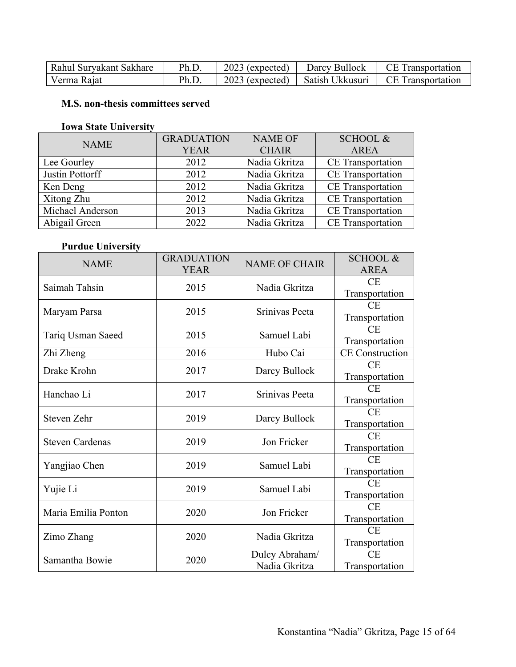| Rahul Suryakant Sakhare | Ph.D. | $2023$ (expected) | Darcy Bullock   | CE Transportation |
|-------------------------|-------|-------------------|-----------------|-------------------|
| Verma Rajat             | Ph.D. | $2023$ (expected) | Satish Ukkusuri | CE Transportation |

## **M.S. non-thesis committees served**

## **Iowa State University**

| <b>NAME</b>      | <b>GRADUATION</b> | <b>NAME OF</b> | <b>SCHOOL &amp;</b>      |
|------------------|-------------------|----------------|--------------------------|
|                  | <b>YEAR</b>       | <b>CHAIR</b>   | <b>AREA</b>              |
| Lee Gourley      | 2012              | Nadia Gkritza  | <b>CE</b> Transportation |
| Justin Pottorff  | 2012              | Nadia Gkritza  | CE Transportation        |
| Ken Deng         | 2012              | Nadia Gkritza  | <b>CE</b> Transportation |
| Xitong Zhu       | 2012              | Nadia Gkritza  | <b>CE</b> Transportation |
| Michael Anderson | 2013              | Nadia Gkritza  | <b>CE</b> Transportation |
| Abigail Green    | 2022              | Nadia Gkritza  | <b>CE</b> Transportation |

## **Purdue University**

| <b>NAME</b>            | <b>GRADUATION</b><br><b>YEAR</b> | <b>NAME OF CHAIR</b> | <b>SCHOOL &amp;</b><br><b>AREA</b> |
|------------------------|----------------------------------|----------------------|------------------------------------|
| Saimah Tahsin          | 2015                             | Nadia Gkritza        | CE                                 |
|                        |                                  |                      | Transportation                     |
| Maryam Parsa           | 2015                             | Srinivas Peeta       | CE                                 |
|                        |                                  |                      | Transportation                     |
| Tariq Usman Saeed      | 2015                             | Samuel Labi          | CE                                 |
|                        |                                  |                      | Transportation                     |
| Zhi Zheng              | 2016                             | Hubo Cai             | <b>CE</b> Construction             |
| Drake Krohn            | 2017                             | Darcy Bullock        | CE                                 |
|                        |                                  |                      | Transportation                     |
| Hanchao Li             | 2017                             | Srinivas Peeta       | CE                                 |
|                        |                                  |                      | Transportation                     |
| Steven Zehr            | 2019                             | Darcy Bullock        | CE                                 |
|                        |                                  |                      | Transportation                     |
| <b>Steven Cardenas</b> | 2019                             | Jon Fricker          | <b>CE</b>                          |
|                        |                                  |                      | Transportation                     |
| Yangjiao Chen          | 2019                             | Samuel Labi          | CE                                 |
|                        |                                  |                      | Transportation                     |
| Yujie Li               | 2019                             | Samuel Labi          | <b>CE</b>                          |
|                        |                                  |                      | Transportation                     |
| Maria Emilia Ponton    | 2020                             | Jon Fricker          | CE                                 |
|                        |                                  |                      | Transportation                     |
| Zimo Zhang             | 2020                             | Nadia Gkritza        | CE                                 |
|                        |                                  |                      | Transportation                     |
| Samantha Bowie         | 2020                             | Dulcy Abraham/       | CE                                 |
|                        |                                  | Nadia Gkritza        | Transportation                     |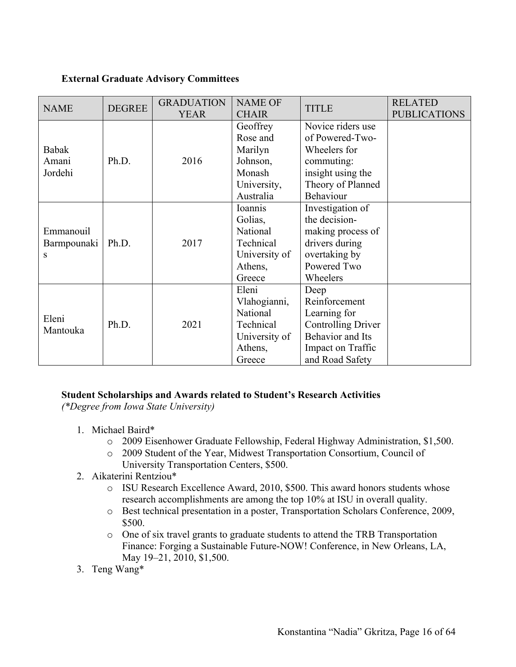#### **External Graduate Advisory Committees**

| <b>NAME</b>                   | <b>DEGREE</b> | <b>GRADUATION</b><br><b>YEAR</b> | <b>NAME OF</b><br><b>CHAIR</b>                                                       | <b>TITLE</b>                                                                                                                          | <b>RELATED</b><br><b>PUBLICATIONS</b> |
|-------------------------------|---------------|----------------------------------|--------------------------------------------------------------------------------------|---------------------------------------------------------------------------------------------------------------------------------------|---------------------------------------|
| Babak<br>Amani<br>Jordehi     | Ph.D.         | 2016                             | Geoffrey<br>Rose and<br>Marilyn<br>Johnson,<br>Monash<br>University,<br>Australia    | Novice riders use<br>of Powered-Two-<br>Wheelers for<br>commuting:<br>insight using the<br>Theory of Planned<br>Behaviour             |                                       |
| Emmanouil<br>Barmpounaki<br>S | Ph.D.         | 2017                             | Ioannis<br>Golias,<br>National<br>Technical<br>University of<br>Athens,<br>Greece    | Investigation of<br>the decision-<br>making process of<br>drivers during<br>overtaking by<br>Powered Two<br>Wheelers                  |                                       |
| Eleni<br>Mantouka             | Ph.D.         | 2021                             | Eleni<br>Vlahogianni,<br>National<br>Technical<br>University of<br>Athens,<br>Greece | Deep<br>Reinforcement<br>Learning for<br><b>Controlling Driver</b><br><b>Behavior</b> and Its<br>Impact on Traffic<br>and Road Safety |                                       |

## **Student Scholarships and Awards related to Student's Research Activities**

*(\*Degree from Iowa State University)*

- 1. Michael Baird\*
	- o 2009 Eisenhower Graduate Fellowship, Federal Highway Administration, \$1,500.
	- o 2009 Student of the Year, Midwest Transportation Consortium, Council of University Transportation Centers, \$500.
- 2. Aikaterini Rentziou\*
	- o ISU Research Excellence Award, 2010, \$500. This award honors students whose research accomplishments are among the top 10% at ISU in overall quality.
	- o Best technical presentation in a poster, Transportation Scholars Conference, 2009, \$500.
	- o One of six travel grants to graduate students to attend the TRB Transportation Finance: Forging a Sustainable Future-NOW! Conference, in New Orleans, LA, May 19–21, 2010, \$1,500.
- 3. Teng Wang\*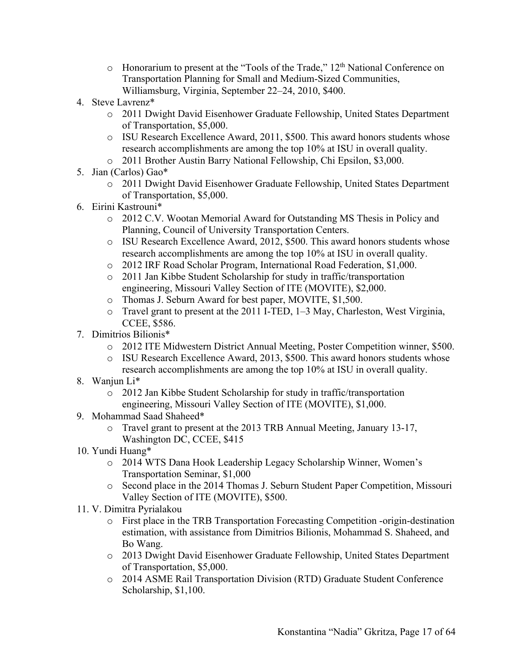- $\circ$  Honorarium to present at the "Tools of the Trade," 12<sup>th</sup> National Conference on Transportation Planning for Small and Medium-Sized Communities, Williamsburg, Virginia, September 22–24, 2010, \$400.
- 4. Steve Lavrenz\*
	- o 2011 Dwight David Eisenhower Graduate Fellowship, United States Department of Transportation, \$5,000.
	- o ISU Research Excellence Award, 2011, \$500. This award honors students whose research accomplishments are among the top 10% at ISU in overall quality.
	- o 2011 Brother Austin Barry National Fellowship, Chi Epsilon, \$3,000.
- 5. Jian (Carlos) Gao\*
	- o 2011 Dwight David Eisenhower Graduate Fellowship, United States Department of Transportation, \$5,000.
- 6. Eirini Kastrouni\*
	- o 2012 C.V. Wootan Memorial Award for Outstanding MS Thesis in Policy and Planning, Council of University Transportation Centers.
	- o ISU Research Excellence Award, 2012, \$500. This award honors students whose research accomplishments are among the top 10% at ISU in overall quality.
	- o 2012 IRF Road Scholar Program, International Road Federation, \$1,000.
	- o 2011 Jan Kibbe Student Scholarship for study in traffic/transportation engineering, Missouri Valley Section of ITE (MOVITE), \$2,000.
	- o Thomas J. Seburn Award for best paper, MOVITE, \$1,500.
	- o Travel grant to present at the 2011 I-TED, 1–3 May, Charleston, West Virginia, CCEE, \$586.
- 7. Dimitrios Bilionis\*
	- o 2012 ITE Midwestern District Annual Meeting, Poster Competition winner, \$500.
	- o ISU Research Excellence Award, 2013, \$500. This award honors students whose research accomplishments are among the top 10% at ISU in overall quality.
- 8. Wanjun Li\*
	- o 2012 Jan Kibbe Student Scholarship for study in traffic/transportation engineering, Missouri Valley Section of ITE (MOVITE), \$1,000.
- 9. Mohammad Saad Shaheed\*
	- o Travel grant to present at the 2013 TRB Annual Meeting, January 13-17, Washington DC, CCEE, \$415
- 10. Yundi Huang\*
	- o 2014 WTS Dana Hook Leadership Legacy Scholarship Winner, Women's Transportation Seminar, \$1,000
	- o Second place in the 2014 Thomas J. Seburn Student Paper Competition, Missouri Valley Section of ITE (MOVITE), \$500.
- 11. V. Dimitra Pyrialakou
	- o First place in the TRB Transportation Forecasting Competition -origin-destination estimation, with assistance from Dimitrios Bilionis, Mohammad S. Shaheed, and Bo Wang.
	- o 2013 Dwight David Eisenhower Graduate Fellowship, United States Department of Transportation, \$5,000.
	- o 2014 ASME Rail Transportation Division (RTD) Graduate Student Conference Scholarship, \$1,100.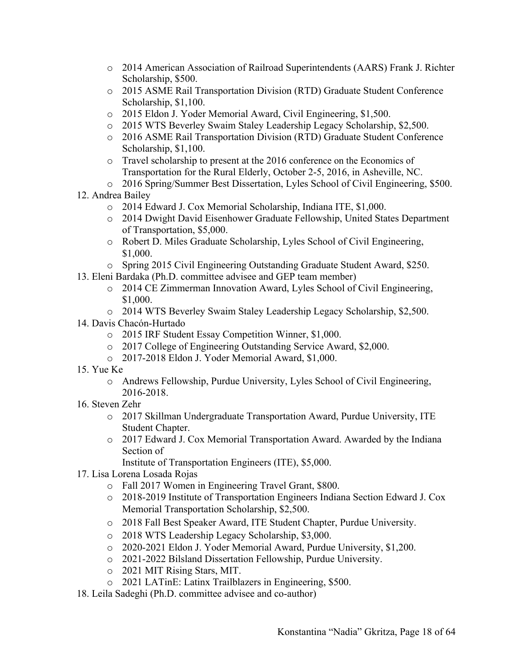- o 2014 American Association of Railroad Superintendents (AARS) Frank J. Richter Scholarship, \$500.
- o 2015 ASME Rail Transportation Division (RTD) Graduate Student Conference Scholarship, \$1,100.
- o 2015 Eldon J. Yoder Memorial Award, Civil Engineering, \$1,500.
- o 2015 WTS Beverley Swaim Staley Leadership Legacy Scholarship, \$2,500.
- o 2016 ASME Rail Transportation Division (RTD) Graduate Student Conference Scholarship, \$1,100.
- o Travel scholarship to present at the 2016 conference on the Economics of Transportation for the Rural Elderly, October 2-5, 2016, in Asheville, NC.
- o 2016 Spring/Summer Best Dissertation, Lyles School of Civil Engineering, \$500.
- 12. Andrea Bailey
	- o 2014 Edward J. Cox Memorial Scholarship, Indiana ITE, \$1,000.
	- o 2014 Dwight David Eisenhower Graduate Fellowship, United States Department of Transportation, \$5,000.
	- o Robert D. Miles Graduate Scholarship, Lyles School of Civil Engineering, \$1,000.
	- o Spring 2015 Civil Engineering Outstanding Graduate Student Award, \$250.
- 13. Eleni Bardaka (Ph.D. committee advisee and GEP team member)
	- o 2014 CE Zimmerman Innovation Award, Lyles School of Civil Engineering, \$1,000.
	- o 2014 WTS Beverley Swaim Staley Leadership Legacy Scholarship, \$2,500.
- 14. Davis Chacón-Hurtado
	- o 2015 IRF Student Essay Competition Winner, \$1,000.
	- o 2017 College of Engineering Outstanding Service Award, \$2,000.
	- o 2017-2018 Eldon J. Yoder Memorial Award, \$1,000.
- 15. Yue Ke
	- o Andrews Fellowship, Purdue University, Lyles School of Civil Engineering, 2016-2018.
- 16. Steven Zehr
	- o 2017 Skillman Undergraduate Transportation Award, Purdue University, ITE Student Chapter.
	- o 2017 Edward J. Cox Memorial Transportation Award. Awarded by the Indiana Section of
		- Institute of Transportation Engineers (ITE), \$5,000.
- 17. Lisa Lorena Losada Rojas
	- o Fall 2017 Women in Engineering Travel Grant, \$800.
	- o 2018-2019 Institute of Transportation Engineers Indiana Section Edward J. Cox Memorial Transportation Scholarship, \$2,500.
	- o 2018 Fall Best Speaker Award, ITE Student Chapter, Purdue University.
	- o 2018 WTS Leadership Legacy Scholarship, \$3,000.
	- o 2020-2021 Eldon J. Yoder Memorial Award, Purdue University, \$1,200.
	- o 2021-2022 Bilsland Dissertation Fellowship, Purdue University.
	- o 2021 MIT Rising Stars, MIT.
	- o 2021 LATinE: Latinx Trailblazers in Engineering, \$500.
- 18. Leila Sadeghi (Ph.D. committee advisee and co-author)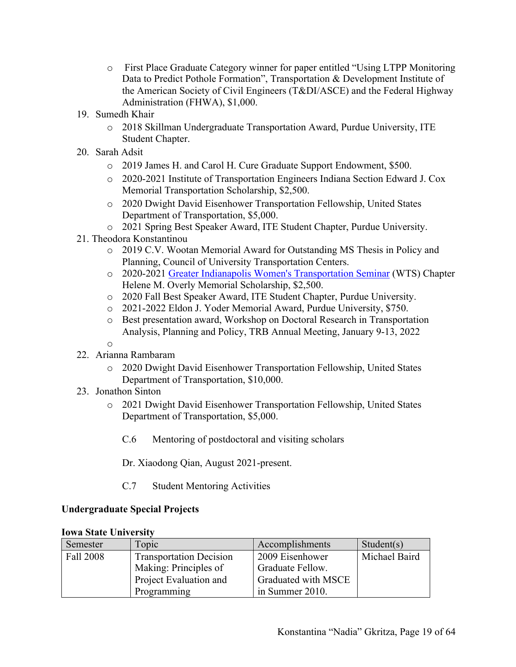- o First Place Graduate Category winner for paper entitled "Using LTPP Monitoring Data to Predict Pothole Formation", Transportation & Development Institute of the American Society of Civil Engineers (T&DI/ASCE) and the Federal Highway Administration (FHWA), \$1,000.
- 19. Sumedh Khair
	- o 2018 Skillman Undergraduate Transportation Award, Purdue University, ITE Student Chapter.
- 20. Sarah Adsit
	- o 2019 James H. and Carol H. Cure Graduate Support Endowment, \$500.
	- o 2020-2021 Institute of Transportation Engineers Indiana Section Edward J. Cox Memorial Transportation Scholarship, \$2,500.
	- o 2020 Dwight David Eisenhower Transportation Fellowship, United States Department of Transportation, \$5,000.
	- o 2021 Spring Best Speaker Award, ITE Student Chapter, Purdue University.
- 21. Theodora Konstantinou
	- o 2019 C.V. Wootan Memorial Award for Outstanding MS Thesis in Policy and Planning, Council of University Transportation Centers.
	- o 2020-2021 Greater Indianapolis Women's Transportation Seminar (WTS) Chapter Helene M. Overly Memorial Scholarship, \$2,500.
	- o 2020 Fall Best Speaker Award, ITE Student Chapter, Purdue University.
	- o 2021-2022 Eldon J. Yoder Memorial Award, Purdue University, \$750.
	- o Best presentation award, Workshop on Doctoral Research in Transportation Analysis, Planning and Policy, TRB Annual Meeting, January 9-13, 2022
	- o
- 22. Arianna Rambaram
	- o 2020 Dwight David Eisenhower Transportation Fellowship, United States Department of Transportation, \$10,000.
- 23. Jonathon Sinton
	- o 2021 Dwight David Eisenhower Transportation Fellowship, United States Department of Transportation, \$5,000.
		- C.6 Mentoring of postdoctoral and visiting scholars
		- Dr. Xiaodong Qian, August 2021-present.
		- C.7 Student Mentoring Activities

#### **Undergraduate Special Projects**

| Semester  | Topic                          | Accomplishments     | Student(s)    |
|-----------|--------------------------------|---------------------|---------------|
| Fall 2008 | <b>Transportation Decision</b> | 2009 Eisenhower     | Michael Baird |
|           | Making: Principles of          | Graduate Fellow.    |               |
|           | Project Evaluation and         | Graduated with MSCE |               |
|           | Programming                    | in Summer 2010.     |               |

#### **Iowa State University**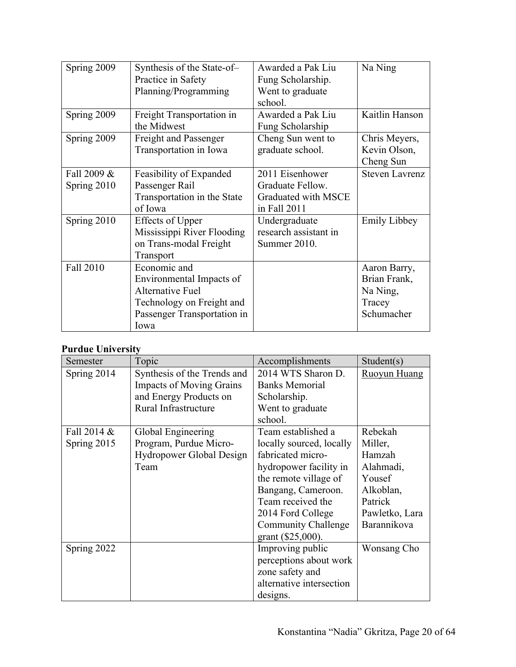| Spring 2009                | Synthesis of the State-of-<br>Practice in Safety<br>Planning/Programming                                                                | Awarded a Pak Liu<br>Fung Scholarship.<br>Went to graduate<br>school.      | Na Ning                                                          |
|----------------------------|-----------------------------------------------------------------------------------------------------------------------------------------|----------------------------------------------------------------------------|------------------------------------------------------------------|
| Spring 2009                | Freight Transportation in<br>the Midwest                                                                                                | Awarded a Pak Liu<br>Fung Scholarship                                      | Kaitlin Hanson                                                   |
| Spring 2009                | <b>Freight and Passenger</b><br>Transportation in Iowa                                                                                  | Cheng Sun went to<br>graduate school.                                      | Chris Meyers,<br>Kevin Olson,<br>Cheng Sun                       |
| Fall 2009 &<br>Spring 2010 | Feasibility of Expanded<br>Passenger Rail<br>Transportation in the State<br>of Iowa                                                     | 2011 Eisenhower<br>Graduate Fellow.<br>Graduated with MSCE<br>in Fall 2011 | <b>Steven Lavrenz</b>                                            |
| Spring 2010                | <b>Effects of Upper</b><br>Mississippi River Flooding<br>on Trans-modal Freight<br>Transport                                            | Undergraduate<br>research assistant in<br>Summer 2010.                     | <b>Emily Libbey</b>                                              |
| Fall 2010                  | Economic and<br>Environmental Impacts of<br><b>Alternative Fuel</b><br>Technology on Freight and<br>Passenger Transportation in<br>Iowa |                                                                            | Aaron Barry,<br>Brian Frank,<br>Na Ning,<br>Tracey<br>Schumacher |

## **Purdue University**

| Semester    | Topic                           | Accomplishments            | Student(s)          |
|-------------|---------------------------------|----------------------------|---------------------|
| Spring 2014 | Synthesis of the Trends and     | 2014 WTS Sharon D.         | <b>Ruoyun Huang</b> |
|             | <b>Impacts of Moving Grains</b> | <b>Banks Memorial</b>      |                     |
|             | and Energy Products on          | Scholarship.               |                     |
|             | Rural Infrastructure            | Went to graduate           |                     |
|             |                                 | school.                    |                     |
| Fall 2014 & | Global Engineering              | Team established a         | Rebekah             |
| Spring 2015 | Program, Purdue Micro-          | locally sourced, locally   | Miller,             |
|             | <b>Hydropower Global Design</b> | fabricated micro-          | Hamzah              |
|             | Team                            | hydropower facility in     | Alahmadi,           |
|             |                                 | the remote village of      | Yousef              |
|             |                                 | Bangang, Cameroon.         | Alkoblan,           |
|             |                                 | Team received the          | Patrick             |
|             |                                 | 2014 Ford College          | Pawletko, Lara      |
|             |                                 | <b>Community Challenge</b> | Barannikova         |
|             |                                 | grant (\$25,000).          |                     |
| Spring 2022 |                                 | Improving public           | Wonsang Cho         |
|             |                                 | perceptions about work     |                     |
|             |                                 | zone safety and            |                     |
|             |                                 | alternative intersection   |                     |
|             |                                 | designs.                   |                     |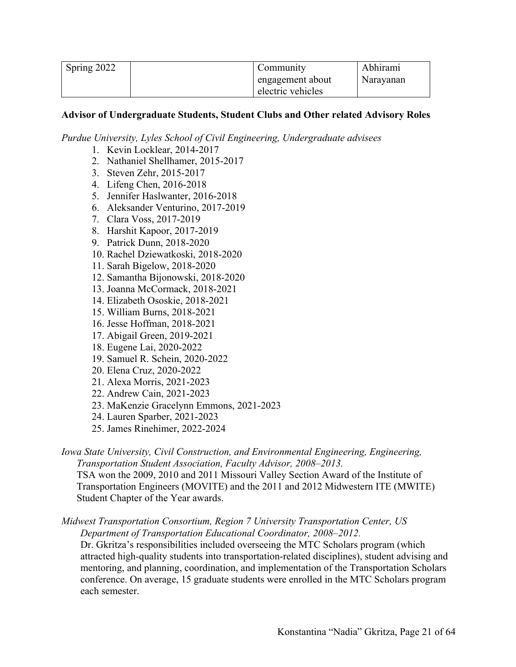| Spring 2022 | Community         | Abhirami  |
|-------------|-------------------|-----------|
|             | engagement about  | Naravanan |
|             | electric vehicles |           |

#### **Advisor of Undergraduate Students, Student Clubs and Other related Advisory Roles**

*Purdue University, Lyles School of Civil Engineering, Undergraduate advisees*

- 1. Kevin Locklear, 2014-2017
- 2. Nathaniel Shellhamer, 2015-2017
- 3. Steven Zehr, 2015-2017
- 4. Lifeng Chen, 2016-2018
- 5. Jennifer Haslwanter, 2016-2018
- 6. Aleksander Venturino, 2017-2019
- 7. Clara Voss, 2017-2019
- 8. Harshit Kapoor, 2017-2019
- 9. Patrick Dunn, 2018-2020
- 10. Rachel Dziewatkoski, 2018-2020
- 11. Sarah Bigelow, 2018-2020
- 12. Samantha Bijonowski, 2018-2020
- 13. Joanna McCormack, 2018-2021
- 14. Elizabeth Ososkie, 2018-2021
- 15. William Burns, 2018-2021
- 16. Jesse Hoffman, 2018-2021
- 17. Abigail Green, 2019-2021
- 18. Eugene Lai, 2020-2022
- 19. Samuel R. Schein, 2020-2022
- 20. Elena Cruz, 2020-2022
- 21. Alexa Morris, 2021-2023
- 22. Andrew Cain, 2021-2023
- 23. MaKenzie Gracelynn Emmons, 2021-2023
- 24. Lauren Sparber, 2021-2023
- 25. James Rinehimer, 2022-2024

*Iowa State University, Civil Construction, and Environmental Engineering, Engineering, Transportation Student Association, Faculty Advisor, 2008–2013.*

TSA won the 2009, 2010 and 2011 Missouri Valley Section Award of the Institute of Transportation Engineers (MOVITE) and the 2011 and 2012 Midwestern ITE (MWITE) Student Chapter of the Year awards.

## *Midwest Transportation Consortium, Region 7 University Transportation Center, US Department of Transportation Educational Coordinator, 2008–2012.*

Dr. Gkritza's responsibilities included overseeing the MTC Scholars program (which attracted high-quality students into transportation-related disciplines), student advising and mentoring, and planning, coordination, and implementation of the Transportation Scholars conference. On average, 15 graduate students were enrolled in the MTC Scholars program each semester.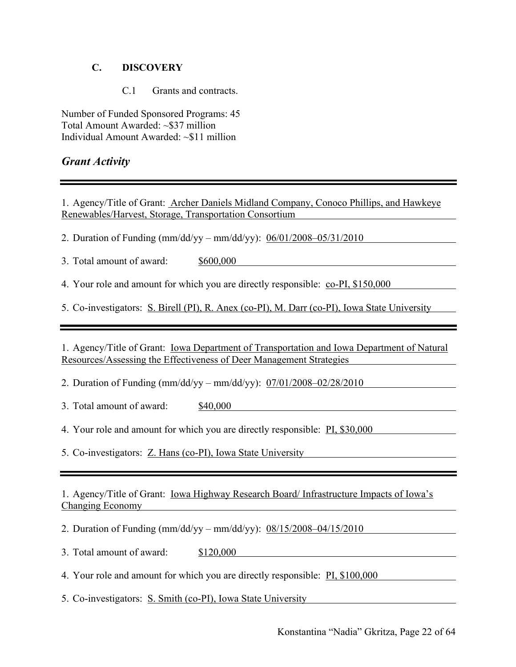## **C. DISCOVERY**

C.1 Grants and contracts.

Number of Funded Sponsored Programs: 45 Total Amount Awarded: ~\$37 million Individual Amount Awarded: ~\$11 million

## *Grant Activity*

1. Agency/Title of Grant: Archer Daniels Midland Company, Conoco Phillips, and Hawkeye Renewables/Harvest, Storage, Transportation Consortium

2. Duration of Funding (mm/dd/yy – mm/dd/yy): 06/01/2008–05/31/2010

3. Total amount of award: \$600,000

4. Your role and amount for which you are directly responsible: co-PI, \$150,000

5. Co-investigators: S. Birell (PI), R. Anex (co-PI), M. Darr (co-PI), Iowa State University

1. Agency/Title of Grant: Iowa Department of Transportation and Iowa Department of Natural Resources/Assessing the Effectiveness of Deer Management Strategies

2. Duration of Funding (mm/dd/yy – mm/dd/yy): 07/01/2008–02/28/2010

3. Total amount of award: \$40,000

4. Your role and amount for which you are directly responsible: PI, \$30,000

5. Co-investigators: Z. Hans (co-PI), Iowa State University

1. Agency/Title of Grant: Iowa Highway Research Board/ Infrastructure Impacts of Iowa's Changing Economy

2. Duration of Funding (mm/dd/yy – mm/dd/yy): 08/15/2008–04/15/2010

3. Total amount of award: \$120,000

4. Your role and amount for which you are directly responsible: PI, \$100,000

5. Co-investigators: S. Smith (co-PI), Iowa State University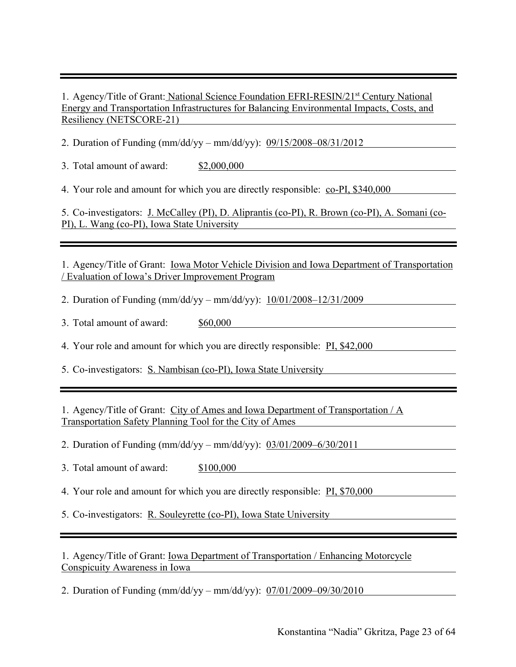1. Agency/Title of Grant: National Science Foundation EFRI-RESIN/21<sup>st</sup> Century National Energy and Transportation Infrastructures for Balancing Environmental Impacts, Costs, and Resiliency (NETSCORE-21)

2. Duration of Funding (mm/dd/yy – mm/dd/yy): 09/15/2008–08/31/2012

3. Total amount of award: \$2,000,000

4. Your role and amount for which you are directly responsible: co-PI, \$340,000

5. Co-investigators: J. McCalley (PI), D. Aliprantis (co-PI), R. Brown (co-PI), A. Somani (co-PI), L. Wang (co-PI), Iowa State University

1. Agency/Title of Grant: Iowa Motor Vehicle Division and Iowa Department of Transportation / Evaluation of Iowa's Driver Improvement Program

2. Duration of Funding (mm/dd/yy – mm/dd/yy): 10/01/2008–12/31/2009

3. Total amount of award: \$60,000

4. Your role and amount for which you are directly responsible: PI, \$42,000

5. Co-investigators: S. Nambisan (co-PI), Iowa State University

1. Agency/Title of Grant: City of Ames and Iowa Department of Transportation / A Transportation Safety Planning Tool for the City of Ames

2. Duration of Funding (mm/dd/yy – mm/dd/yy): 03/01/2009–6/30/2011

3. Total amount of award: \$100,000

4. Your role and amount for which you are directly responsible: PI, \$70,000

5. Co-investigators: R. Souleyrette (co-PI), Iowa State University

1. Agency/Title of Grant: Iowa Department of Transportation / Enhancing Motorcycle Conspicuity Awareness in Iowa

2. Duration of Funding (mm/dd/yy – mm/dd/yy): 07/01/2009–09/30/2010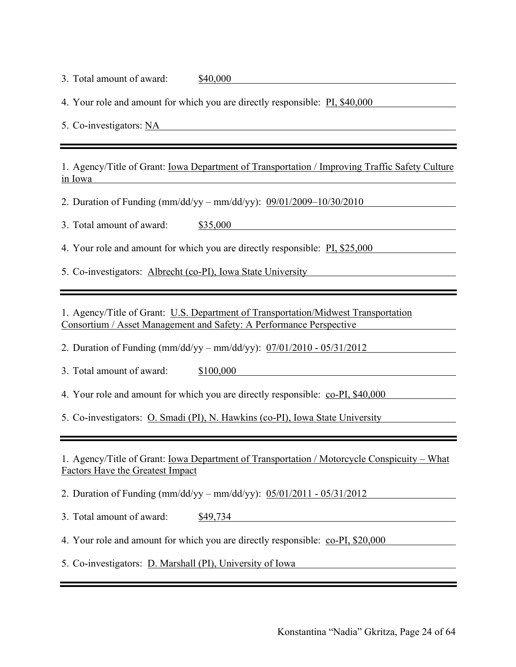3. Total amount of award: \$40,000

4. Your role and amount for which you are directly responsible: PI, \$40,000

5. Co-investigators: NA

1. Agency/Title of Grant: Iowa Department of Transportation / Improving Traffic Safety Culture in Iowa

2. Duration of Funding (mm/dd/yy – mm/dd/yy): 09/01/2009–10/30/2010

3. Total amount of award: \$35,000

4. Your role and amount for which you are directly responsible: PI, \$25,000

5. Co-investigators: Albrecht (co-PI), Iowa State University

1. Agency/Title of Grant: U.S. Department of Transportation/Midwest Transportation Consortium / Asset Management and Safety: A Performance Perspective

2. Duration of Funding (mm/dd/yy – mm/dd/yy): 07/01/2010 - 05/31/2012

3. Total amount of award: \$100,000

4. Your role and amount for which you are directly responsible: co-PI, \$40,000

5. Co-investigators: O. Smadi (PI), N. Hawkins (co-PI), Iowa State University

1. Agency/Title of Grant: Iowa Department of Transportation / Motorcycle Conspicuity – What Factors Have the Greatest Impact

2. Duration of Funding (mm/dd/yy – mm/dd/yy): 05/01/2011 - 05/31/2012

3. Total amount of award: \$49,734

4. Your role and amount for which you are directly responsible: co-PI, \$20,000

5. Co-investigators: D. Marshall (PI), University of Iowa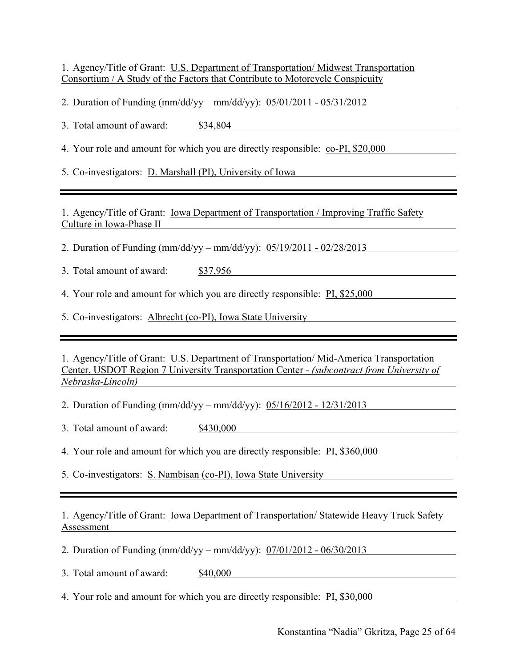1. Agency/Title of Grant: U.S. Department of Transportation/ Midwest Transportation Consortium / A Study of the Factors that Contribute to Motorcycle Conspicuity

2. Duration of Funding (mm/dd/yy – mm/dd/yy): 05/01/2011 - 05/31/2012

3. Total amount of award: \$34,804

4. Your role and amount for which you are directly responsible: co-PI, \$20,000

5. Co-investigators: D. Marshall (PI), University of Iowa

1. Agency/Title of Grant: Iowa Department of Transportation / Improving Traffic Safety Culture in Iowa-Phase II

2. Duration of Funding (mm/dd/yy – mm/dd/yy): 05/19/2011 - 02/28/2013

3. Total amount of award: \$37,956

4. Your role and amount for which you are directly responsible: **PI, \$25,000** 

5. Co-investigators: Albrecht (co-PI), Iowa State University

1. Agency/Title of Grant: U.S. Department of Transportation/ Mid-America Transportation Center, USDOT Region 7 University Transportation Center *- (subcontract from University of Nebraska-Lincoln)*

2. Duration of Funding (mm/dd/yy – mm/dd/yy): 05/16/2012 - 12/31/2013

3. Total amount of award: \$430,000

4. Your role and amount for which you are directly responsible: PI, \$360,000

5. Co-investigators: S. Nambisan (co-PI), Iowa State University

1. Agency/Title of Grant: Iowa Department of Transportation/ Statewide Heavy Truck Safety Assessment

2. Duration of Funding (mm/dd/yy – mm/dd/yy): 07/01/2012 - 06/30/2013

3. Total amount of award: \$40,000

4. Your role and amount for which you are directly responsible: PI, \$30,000

Konstantina "Nadia" Gkritza, Page 25 of 64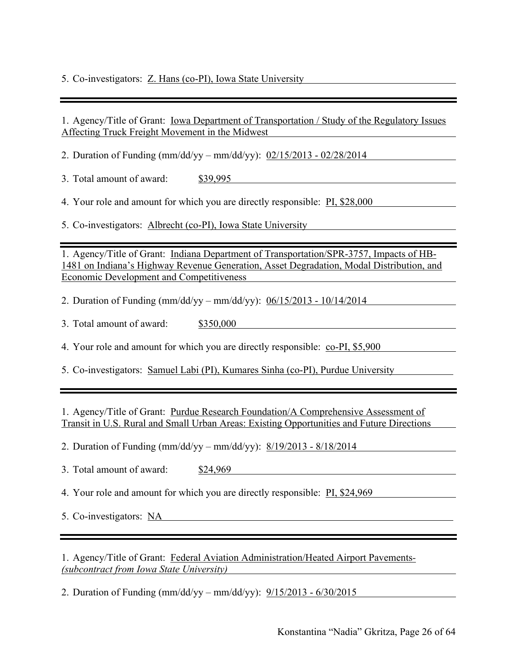5. Co-investigators: Z. Hans (co-PI), Iowa State University

1. Agency/Title of Grant: <u>Iowa Department of Transportation / Study of the Regulatory Issues</u> Affecting Truck Freight Movement in the Midwest

2. Duration of Funding (mm/dd/yy – mm/dd/yy): 02/15/2013 - 02/28/2014

3. Total amount of award: \$39,995

4. Your role and amount for which you are directly responsible: PI, \$28,000

5. Co-investigators: Albrecht (co-PI), Iowa State University

1. Agency/Title of Grant: Indiana Department of Transportation/SPR-3757, Impacts of HB-1481 on Indiana's Highway Revenue Generation, Asset Degradation, Modal Distribution, and Economic Development and Competitiveness

2. Duration of Funding (mm/dd/yy – mm/dd/yy): 06/15/2013 - 10/14/2014

3. Total amount of award: \$350,000

4. Your role and amount for which you are directly responsible: co-PI, \$5,900

5. Co-investigators: Samuel Labi (PI), Kumares Sinha (co-PI), Purdue University

1. Agency/Title of Grant: Purdue Research Foundation/A Comprehensive Assessment of Transit in U.S. Rural and Small Urban Areas: Existing Opportunities and Future Directions

2. Duration of Funding (mm/dd/yy – mm/dd/yy): 8/19/2013 - 8/18/2014

3. Total amount of award: \$24,969

4. Your role and amount for which you are directly responsible: PI, \$24,969

5. Co-investigators: NA

1. Agency/Title of Grant: Federal Aviation Administration/Heated Airport Pavements*- (subcontract from Iowa State University)*

2. Duration of Funding (mm/dd/yy – mm/dd/yy): 9/15/2013 - 6/30/2015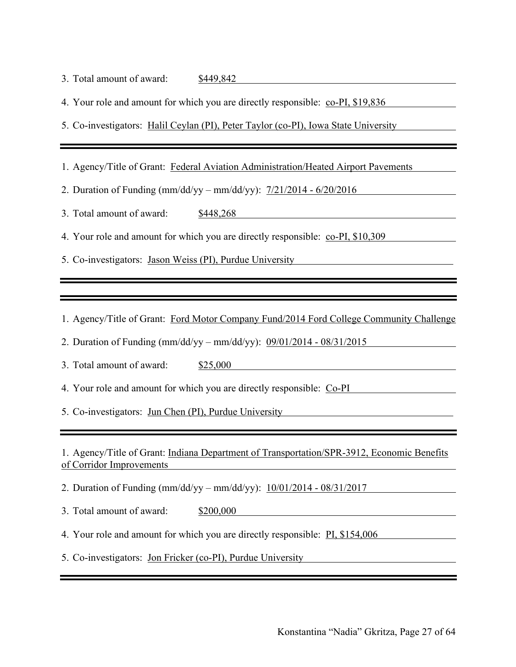| 3. Total amount of award: | \$449,842 |
|---------------------------|-----------|
|---------------------------|-----------|

4. Your role and amount for which you are directly responsible: co-PI, \$19,836

5. Co-investigators: Halil Ceylan (PI), Peter Taylor (co-PI), Iowa State University

1. Agency/Title of Grant: Federal Aviation Administration/Heated Airport Pavements

2. Duration of Funding (mm/dd/yy – mm/dd/yy): 7/21/2014 - 6/20/2016

3. Total amount of award: \$448,268

4. Your role and amount for which you are directly responsible: co-PI, \$10,309

5. Co-investigators: Jason Weiss (PI), Purdue University

1. Agency/Title of Grant: Ford Motor Company Fund/2014 Ford College Community Challenge

2. Duration of Funding (mm/dd/yy – mm/dd/yy): 09/01/2014 - 08/31/2015

3. Total amount of award: \$25,000

4. Your role and amount for which you are directly responsible: Co-PI

5. Co-investigators: Jun Chen (PI), Purdue University

1. Agency/Title of Grant: Indiana Department of Transportation/SPR-3912, Economic Benefits of Corridor Improvements

2. Duration of Funding (mm/dd/yy – mm/dd/yy): 10/01/2014 - 08/31/2017

3. Total amount of award: \$200,000

4. Your role and amount for which you are directly responsible: PI, \$154,006

5. Co-investigators: Jon Fricker (co-PI), Purdue University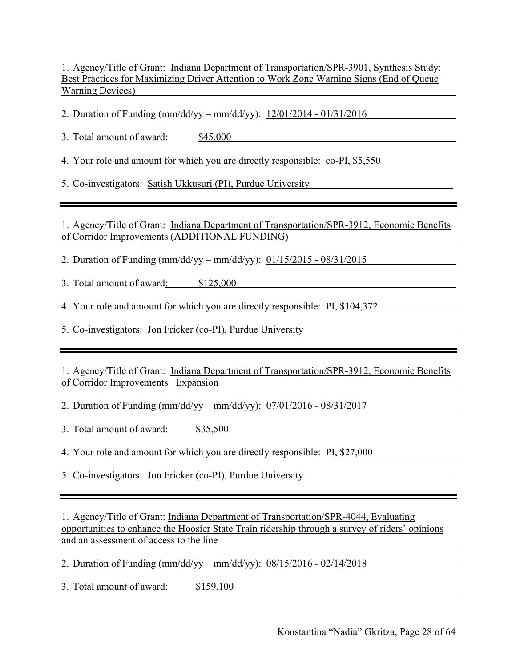1. Agency/Title of Grant: Indiana Department of Transportation/SPR-3901, Synthesis Study: Best Practices for Maximizing Driver Attention to Work Zone Warning Signs (End of Queue Warning Devices)

2. Duration of Funding (mm/dd/yy – mm/dd/yy): 12/01/2014 - 01/31/2016

3. Total amount of award: \$45,000

4. Your role and amount for which you are directly responsible: co-PI, \$5,550

5. Co-investigators: Satish Ukkusuri (PI), Purdue University

1. Agency/Title of Grant: Indiana Department of Transportation/SPR-3912, Economic Benefits of Corridor Improvements (ADDITIONAL FUNDING)

2. Duration of Funding (mm/dd/yy – mm/dd/yy): 01/15/2015 - 08/31/2015

3. Total amount of award: \$125,000

4. Your role and amount for which you are directly responsible: PI, \$104,372

5. Co-investigators: Jon Fricker (co-PI), Purdue University

1. Agency/Title of Grant: Indiana Department of Transportation/SPR-3912, Economic Benefits of Corridor Improvements –Expansion

2. Duration of Funding (mm/dd/yy – mm/dd/yy): 07/01/2016 - 08/31/2017

3. Total amount of award: \$35,500

4. Your role and amount for which you are directly responsible: PI, \$27,000

5. Co-investigators: Jon Fricker (co-PI), Purdue University

1. Agency/Title of Grant: Indiana Department of Transportation/SPR-4044, Evaluating opportunities to enhance the Hoosier State Train ridership through a survey of riders' opinions and an assessment of access to the line

2. Duration of Funding (mm/dd/yy – mm/dd/yy): 08/15/2016 - 02/14/2018

3. Total amount of award: \$159,100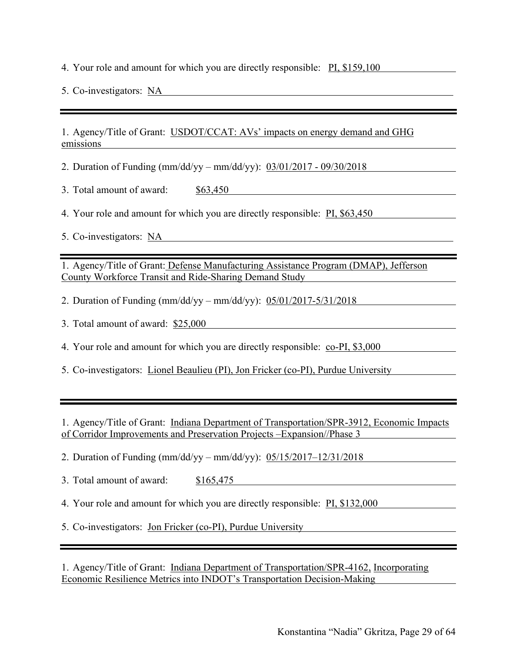4. Your role and amount for which you are directly responsible: PI, \$159,100

5. Co-investigators: NA

1. Agency/Title of Grant: USDOT/CCAT: AVs' impacts on energy demand and GHG emissions

2. Duration of Funding (mm/dd/yy – mm/dd/yy): 03/01/2017 - 09/30/2018

3. Total amount of award: \$63,450

4. Your role and amount for which you are directly responsible: **PI, \$63,450** 

5. Co-investigators: NA

1. Agency/Title of Grant: Defense Manufacturing Assistance Program (DMAP), Jefferson County Workforce Transit and Ride-Sharing Demand Study

2. Duration of Funding (mm/dd/yy – mm/dd/yy): 05/01/2017-5/31/2018

3. Total amount of award: \$25,000

4. Your role and amount for which you are directly responsible: co-PI, \$3,000

5. Co-investigators: Lionel Beaulieu (PI), Jon Fricker (co-PI), Purdue University

1. Agency/Title of Grant: Indiana Department of Transportation/SPR-3912, Economic Impacts of Corridor Improvements and Preservation Projects –Expansion//Phase 3

2. Duration of Funding (mm/dd/yy – mm/dd/yy): 05/15/2017–12/31/2018

3. Total amount of award: \$165,475

4. Your role and amount for which you are directly responsible: PI, \$132,000

5. Co-investigators: Jon Fricker (co-PI), Purdue University

1. Agency/Title of Grant: Indiana Department of Transportation/SPR-4162, Incorporating Economic Resilience Metrics into INDOT's Transportation Decision-Making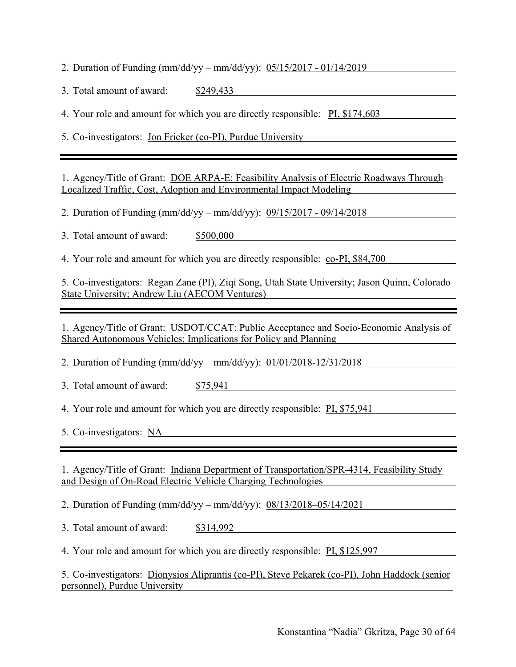2. Duration of Funding (mm/dd/yy – mm/dd/yy): 05/15/2017 - 01/14/2019

3. Total amount of award: \$249,433

4. Your role and amount for which you are directly responsible: PI, \$174,603

5. Co-investigators: Jon Fricker (co-PI), Purdue University

1. Agency/Title of Grant: DOE ARPA-E: Feasibility Analysis of Electric Roadways Through Localized Traffic, Cost, Adoption and Environmental Impact Modeling

2. Duration of Funding (mm/dd/yy – mm/dd/yy): 09/15/2017 - 09/14/2018

3. Total amount of award: \$500,000

4. Your role and amount for which you are directly responsible: co-PI, \$84,700

5. Co-investigators: Regan Zane (PI), Ziqi Song, Utah State University; Jason Quinn, Colorado State University; Andrew Liu (AECOM Ventures)

1. Agency/Title of Grant: USDOT/CCAT: Public Acceptance and Socio-Economic Analysis of Shared Autonomous Vehicles: Implications for Policy and Planning

2. Duration of Funding (mm/dd/yy – mm/dd/yy): 01/01/2018-12/31/2018

3. Total amount of award: \$75,941

4. Your role and amount for which you are directly responsible: PI, \$75,941

5. Co-investigators: NA

1. Agency/Title of Grant: Indiana Department of Transportation/SPR-4314, Feasibility Study and Design of On-Road Electric Vehicle Charging Technologies

2. Duration of Funding (mm/dd/yy – mm/dd/yy): 08/13/2018–05/14/2021

3. Total amount of award: \$314,992

4. Your role and amount for which you are directly responsible: PI, \$125,997

5. Co-investigators: Dionysios Aliprantis (co-PI), Steve Pekarek (co-PI), John Haddock (senior personnel), Purdue University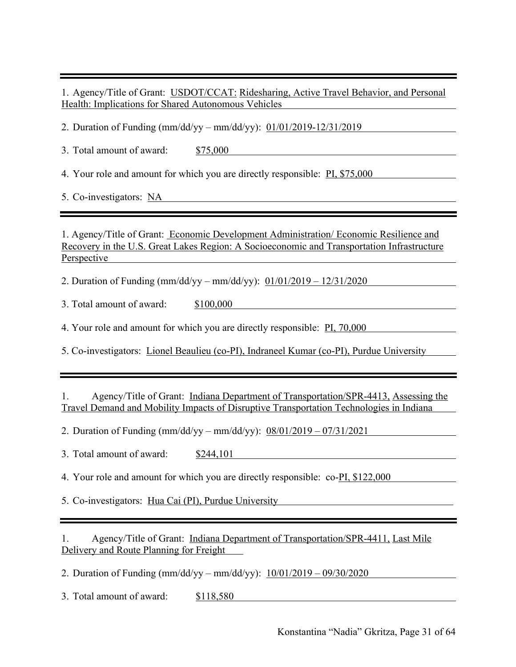1. Agency/Title of Grant: USDOT/CCAT: Ridesharing, Active Travel Behavior, and Personal Health: Implications for Shared Autonomous Vehicles

2. Duration of Funding (mm/dd/yy – mm/dd/yy): 01/01/2019-12/31/2019

3. Total amount of award: \$75,000

4. Your role and amount for which you are directly responsible: PI, \$75,000

5. Co-investigators: NA

1. Agency/Title of Grant: Economic Development Administration/ Economic Resilience and Recovery in the U.S. Great Lakes Region: A Socioeconomic and Transportation Infrastructure **Perspective** 

2. Duration of Funding (mm/dd/yy – mm/dd/yy): 01/01/2019 – 12/31/2020

3. Total amount of award: \$100,000

4. Your role and amount for which you are directly responsible: **PI, 70,000** 

5. Co-investigators: Lionel Beaulieu (co-PI), Indraneel Kumar (co-PI), Purdue University

1. Agency/Title of Grant: Indiana Department of Transportation/SPR-4413, Assessing the Travel Demand and Mobility Impacts of Disruptive Transportation Technologies in Indiana

2. Duration of Funding (mm/dd/yy – mm/dd/yy): 08/01/2019 – 07/31/2021

3. Total amount of award: \$244,101

4. Your role and amount for which you are directly responsible: co-PI, \$122,000

5. Co-investigators: Hua Cai (PI), Purdue University

1. Agency/Title of Grant: Indiana Department of Transportation/SPR-4411, Last Mile Delivery and Route Planning for Freight

2. Duration of Funding (mm/dd/yy – mm/dd/yy): 10/01/2019 – 09/30/2020

3. Total amount of award: \$118,580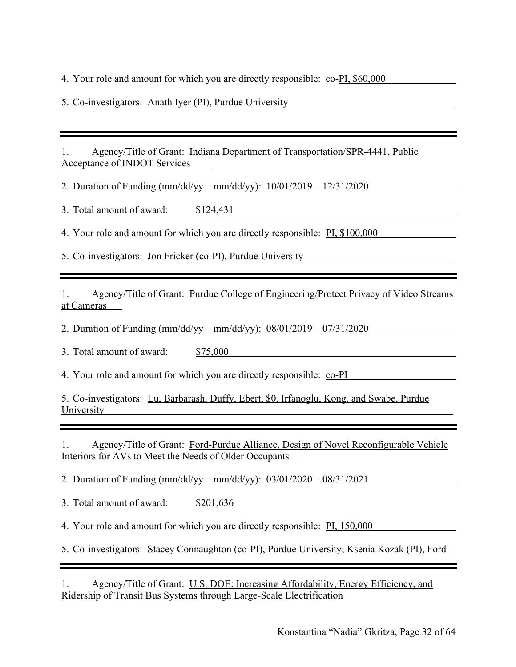4. Your role and amount for which you are directly responsible: co-PI, \$60,000

5. Co-investigators: Anath Iyer (PI), Purdue University

1. Agency/Title of Grant: Indiana Department of Transportation/SPR-4441, Public Acceptance of INDOT Services

2. Duration of Funding (mm/dd/yy – mm/dd/yy): 10/01/2019 – 12/31/2020

3. Total amount of award: \$124,431

4. Your role and amount for which you are directly responsible: PI, \$100,000

5. Co-investigators: Jon Fricker (co-PI), Purdue University

1. Agency/Title of Grant: Purdue College of Engineering/Protect Privacy of Video Streams at Cameras

2. Duration of Funding (mm/dd/yy – mm/dd/yy): 08/01/2019 – 07/31/2020

3. Total amount of award: \$75,000

4. Your role and amount for which you are directly responsible: co-PI

5. Co-investigators: Lu, Barbarash, Duffy, Ebert, \$0, Irfanoglu, Kong, and Swabe, Purdue University

1. Agency/Title of Grant: Ford-Purdue Alliance, Design of Novel Reconfigurable Vehicle Interiors for AVs to Meet the Needs of Older Occupants

2. Duration of Funding (mm/dd/yy – mm/dd/yy): 03/01/2020 – 08/31/2021

3. Total amount of award: \$201,636

4. Your role and amount for which you are directly responsible: PI, 150,000

5. Co-investigators: Stacey Connaughton (co-PI), Purdue University; Ksenia Kozak (PI), Ford

1. Agency/Title of Grant: U.S. DOE: Increasing Affordability, Energy Efficiency, and Ridership of Transit Bus Systems through Large-Scale Electrification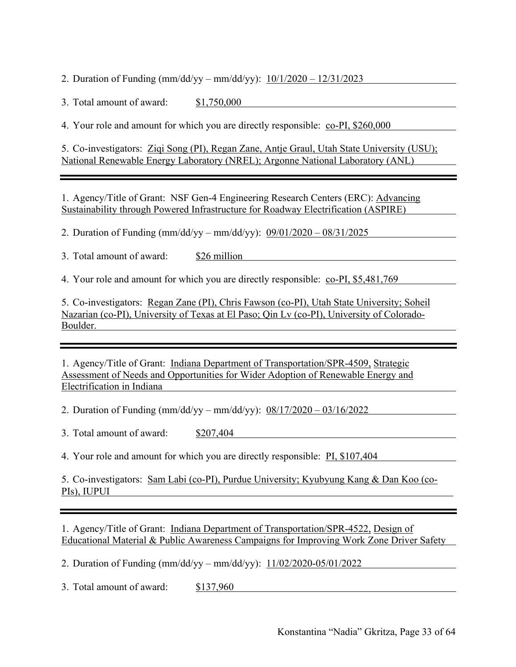2. Duration of Funding (mm/dd/yy – mm/dd/yy): 10/1/2020 – 12/31/2023

3. Total amount of award: \$1,750,000

4. Your role and amount for which you are directly responsible: co-PI, \$260,000

5. Co-investigators: Ziqi Song (PI), Regan Zane, Antje Graul, Utah State University (USU); National Renewable Energy Laboratory (NREL); Argonne National Laboratory (ANL)

1. Agency/Title of Grant: NSF Gen-4 Engineering Research Centers (ERC): Advancing Sustainability through Powered Infrastructure for Roadway Electrification (ASPIRE)

2. Duration of Funding (mm/dd/yy – mm/dd/yy): 09/01/2020 – 08/31/2025

3. Total amount of award: \$26 million

4. Your role and amount for which you are directly responsible: co-PI, \$5,481,769

5. Co-investigators: Regan Zane (PI), Chris Fawson (co-PI), Utah State University; Soheil Nazarian (co-PI), University of Texas at El Paso; Qin Lv (co-PI), University of Colorado-Boulder.

1. Agency/Title of Grant: Indiana Department of Transportation/SPR-4509, Strategic Assessment of Needs and Opportunities for Wider Adoption of Renewable Energy and Electrification in Indiana

2. Duration of Funding (mm/dd/yy – mm/dd/yy): 08/17/2020 – 03/16/2022

3. Total amount of award: \$207,404

4. Your role and amount for which you are directly responsible: PI, \$107,404

5. Co-investigators: Sam Labi (co-PI), Purdue University; Kyubyung Kang & Dan Koo (co-PIs), IUPUI

1. Agency/Title of Grant: Indiana Department of Transportation/SPR-4522, Design of Educational Material & Public Awareness Campaigns for Improving Work Zone Driver Safety

2. Duration of Funding (mm/dd/yy – mm/dd/yy): 11/02/2020-05/01/2022

3. Total amount of award: \$137,960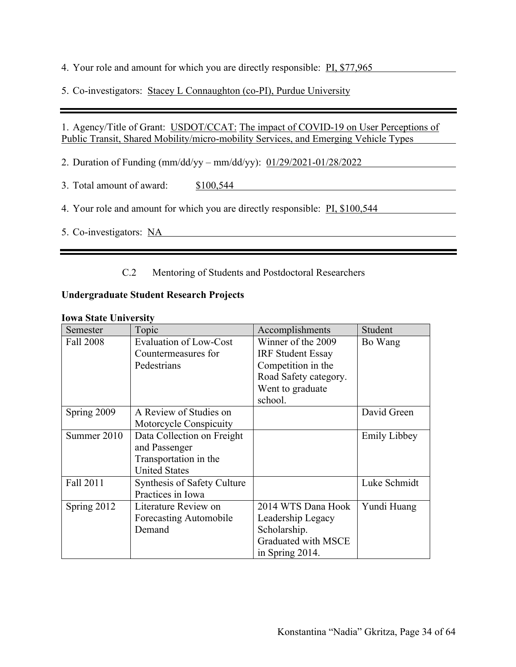4. Your role and amount for which you are directly responsible: PI, \$77,965

5. Co-investigators: Stacey L Connaughton (co-PI), Purdue University

#### 1. Agency/Title of Grant: USDOT/CCAT: The impact of COVID-19 on User Perceptions of Public Transit, Shared Mobility/micro-mobility Services, and Emerging Vehicle Types

2. Duration of Funding (mm/dd/yy – mm/dd/yy): 01/29/2021-01/28/2022

3. Total amount of award: \$100,544

4. Your role and amount for which you are directly responsible: PI, \$100,544

5. Co-investigators: NA

#### C.2 Mentoring of Students and Postdoctoral Researchers

#### **Undergraduate Student Research Projects**

#### **Iowa State University**

| Semester    | Topic                              | Accomplishments          | Student             |
|-------------|------------------------------------|--------------------------|---------------------|
| Fall 2008   | <b>Evaluation of Low-Cost</b>      | Winner of the 2009       | Bo Wang             |
|             | Countermeasures for                | <b>IRF Student Essay</b> |                     |
|             | Pedestrians                        | Competition in the       |                     |
|             |                                    | Road Safety category.    |                     |
|             |                                    | Went to graduate         |                     |
|             |                                    | school.                  |                     |
| Spring 2009 | A Review of Studies on             |                          | David Green         |
|             | Motorcycle Conspicuity             |                          |                     |
| Summer 2010 | Data Collection on Freight         |                          | <b>Emily Libbey</b> |
|             | and Passenger                      |                          |                     |
|             | Transportation in the              |                          |                     |
|             | <b>United States</b>               |                          |                     |
| Fall 2011   | <b>Synthesis of Safety Culture</b> |                          | Luke Schmidt        |
|             | Practices in Iowa                  |                          |                     |
| Spring 2012 | Literature Review on               | 2014 WTS Dana Hook       | Yundi Huang         |
|             | Forecasting Automobile             | Leadership Legacy        |                     |
|             | Demand                             | Scholarship.             |                     |
|             |                                    | Graduated with MSCE      |                     |
|             |                                    | in Spring 2014.          |                     |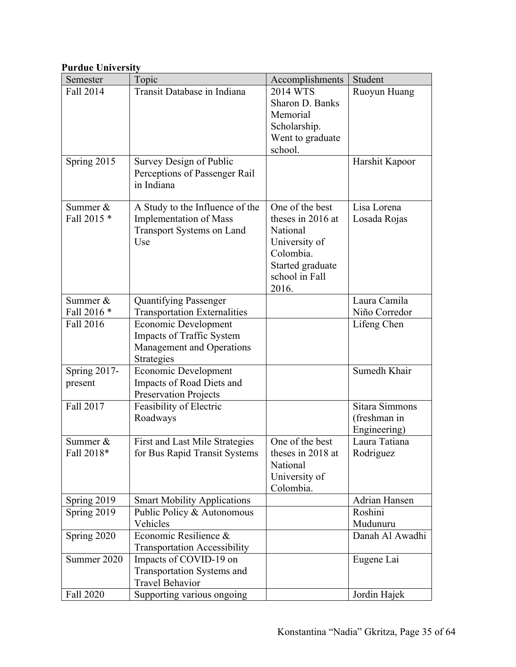# **Purdue University**

| Semester     | Topic                               | Accomplishments            | Student         |
|--------------|-------------------------------------|----------------------------|-----------------|
| Fall 2014    | Transit Database in Indiana         | 2014 WTS                   | Ruoyun Huang    |
|              |                                     | Sharon D. Banks            |                 |
|              |                                     | Memorial                   |                 |
|              |                                     | Scholarship.               |                 |
|              |                                     | Went to graduate           |                 |
|              |                                     | school.                    |                 |
| Spring 2015  | Survey Design of Public             |                            | Harshit Kapoor  |
|              | Perceptions of Passenger Rail       |                            |                 |
|              | in Indiana                          |                            |                 |
|              |                                     |                            |                 |
| Summer $&$   | A Study to the Influence of the     | One of the best            | Lisa Lorena     |
| Fall 2015 *  | <b>Implementation of Mass</b>       | theses in 2016 at          | Losada Rojas    |
|              | Transport Systems on Land           | National                   |                 |
|              | Use                                 | University of<br>Colombia. |                 |
|              |                                     | Started graduate           |                 |
|              |                                     | school in Fall             |                 |
|              |                                     | 2016.                      |                 |
| Summer $&$   | <b>Quantifying Passenger</b>        |                            | Laura Camila    |
| Fall 2016 *  | <b>Transportation Externalities</b> |                            | Niño Corredor   |
| Fall 2016    | <b>Economic Development</b>         |                            | Lifeng Chen     |
|              | Impacts of Traffic System           |                            |                 |
|              | Management and Operations           |                            |                 |
|              | Strategies                          |                            |                 |
| Spring 2017- | <b>Economic Development</b>         |                            | Sumedh Khair    |
| present      | Impacts of Road Diets and           |                            |                 |
|              | <b>Preservation Projects</b>        |                            |                 |
| Fall 2017    | Feasibility of Electric             |                            | Sitara Simmons  |
|              | Roadways                            |                            | (freshman in    |
|              |                                     |                            | Engineering)    |
| Summer &     | First and Last Mile Strategies      | One of the best            | Laura Tatiana   |
| Fall 2018*   | for Bus Rapid Transit Systems       | theses in 2018 at          | Rodriguez       |
|              |                                     | National                   |                 |
|              |                                     | University of              |                 |
|              |                                     | Colombia.                  |                 |
| Spring 2019  | <b>Smart Mobility Applications</b>  |                            | Adrian Hansen   |
| Spring 2019  | Public Policy & Autonomous          |                            | Roshini         |
|              | Vehicles                            |                            | Mudunuru        |
| Spring 2020  | Economic Resilience &               |                            | Danah Al Awadhi |
|              | <b>Transportation Accessibility</b> |                            |                 |
| Summer 2020  | Impacts of COVID-19 on              |                            | Eugene Lai      |
|              | Transportation Systems and          |                            |                 |
|              | <b>Travel Behavior</b>              |                            |                 |
| Fall 2020    | Supporting various ongoing          |                            | Jordin Hajek    |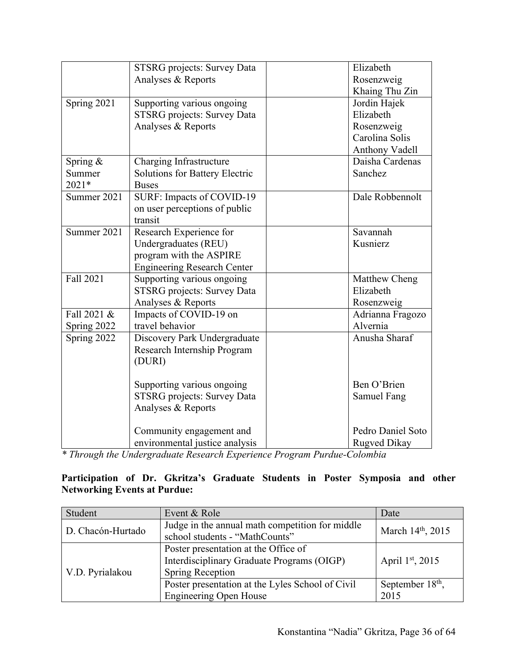|             | <b>STSRG</b> projects: Survey Data    | Elizabeth         |
|-------------|---------------------------------------|-------------------|
|             | Analyses & Reports                    | Rosenzweig        |
|             |                                       | Khaing Thu Zin    |
| Spring 2021 | Supporting various ongoing            | Jordin Hajek      |
|             | <b>STSRG</b> projects: Survey Data    | Elizabeth         |
|             | Analyses & Reports                    | Rosenzweig        |
|             |                                       | Carolina Solis    |
|             |                                       | Anthony Vadell    |
| Spring &    | Charging Infrastructure               | Daisha Cardenas   |
| Summer      | <b>Solutions for Battery Electric</b> | Sanchez           |
| 2021*       | <b>Buses</b>                          |                   |
| Summer 2021 | SURF: Impacts of COVID-19             | Dale Robbennolt   |
|             | on user perceptions of public         |                   |
|             | transit                               |                   |
| Summer 2021 | Research Experience for               | Savannah          |
|             | Undergraduates (REU)                  | Kusnierz          |
|             | program with the ASPIRE               |                   |
|             | <b>Engineering Research Center</b>    |                   |
| Fall 2021   | Supporting various ongoing            | Matthew Cheng     |
|             | STSRG projects: Survey Data           | Elizabeth         |
|             | Analyses & Reports                    | Rosenzweig        |
| Fall 2021 & | Impacts of COVID-19 on                | Adrianna Fragozo  |
| Spring 2022 | travel behavior                       | Alvernia          |
| Spring 2022 | Discovery Park Undergraduate          | Anusha Sharaf     |
|             | Research Internship Program           |                   |
|             | (DURI)                                |                   |
|             |                                       |                   |
|             | Supporting various ongoing            | Ben O'Brien       |
|             | <b>STSRG</b> projects: Survey Data    | Samuel Fang       |
|             | Analyses & Reports                    |                   |
|             | Community engagement and              | Pedro Daniel Soto |
|             | environmental justice analysis        | Rugved Dikay      |

*\* Through the Undergraduate Research Experience Program Purdue-Colombia*

#### **Participation of Dr. Gkritza's Graduate Students in Poster Symposia and other Networking Events at Purdue:**

| Student           | Event & Role                                                                                                  | Date                                 |
|-------------------|---------------------------------------------------------------------------------------------------------------|--------------------------------------|
| D. Chacón-Hurtado | Judge in the annual math competition for middle<br>school students - "MathCounts"                             | March 14th, 2015                     |
| V.D. Pyrialakou   | Poster presentation at the Office of<br>Interdisciplinary Graduate Programs (OIGP)<br><b>Spring Reception</b> | April 1st, 2015                      |
|                   | Poster presentation at the Lyles School of Civil<br><b>Engineering Open House</b>                             | September 18 <sup>th</sup> ,<br>2015 |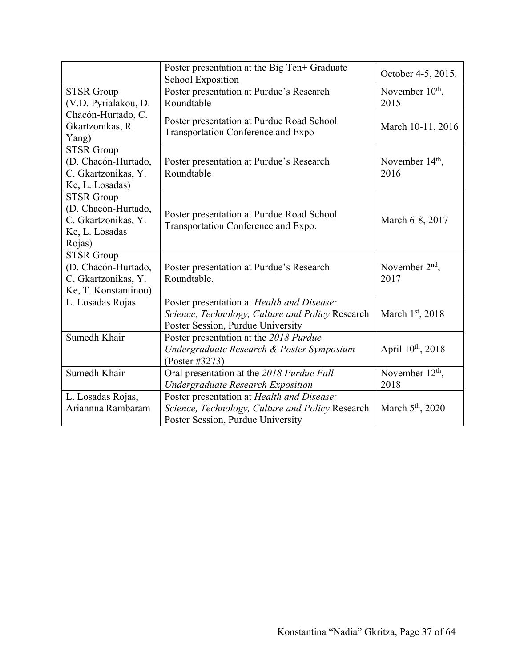|                                                                                             | Poster presentation at the Big Ten+ Graduate<br><b>School Exposition</b>                                                            | October 4-5, 2015.                  |
|---------------------------------------------------------------------------------------------|-------------------------------------------------------------------------------------------------------------------------------------|-------------------------------------|
| <b>STSR Group</b><br>(V.D. Pyrialakou, D.                                                   | Poster presentation at Purdue's Research<br>Roundtable                                                                              | November 10 <sup>th</sup> ,<br>2015 |
| Chacón-Hurtado, C.<br>Gkartzonikas, R.<br>Yang)                                             | Poster presentation at Purdue Road School<br>Transportation Conference and Expo                                                     | March 10-11, 2016                   |
| <b>STSR Group</b><br>(D. Chacón-Hurtado,<br>C. Gkartzonikas, Y.<br>Ke, L. Losadas)          | Poster presentation at Purdue's Research<br>Roundtable                                                                              | November $14th$ ,<br>2016           |
| <b>STSR</b> Group<br>(D. Chacón-Hurtado,<br>C. Gkartzonikas, Y.<br>Ke, L. Losadas<br>Rojas) | Poster presentation at Purdue Road School<br>Transportation Conference and Expo.                                                    | March 6-8, 2017                     |
| <b>STSR Group</b><br>(D. Chacón-Hurtado,<br>C. Gkartzonikas, Y.<br>Ke, T. Konstantinou)     | Poster presentation at Purdue's Research<br>Roundtable.                                                                             | November $2nd$ ,<br>2017            |
| L. Losadas Rojas                                                                            | Poster presentation at Health and Disease:<br>Science, Technology, Culture and Policy Research<br>Poster Session, Purdue University | March 1st, 2018                     |
| Sumedh Khair                                                                                | Poster presentation at the 2018 Purdue<br>Undergraduate Research & Poster Symposium<br>(Poster #3273)                               | April 10 <sup>th</sup> , 2018       |
| Sumedh Khair                                                                                | Oral presentation at the 2018 Purdue Fall<br><b>Undergraduate Research Exposition</b>                                               | November $12th$ ,<br>2018           |
| L. Losadas Rojas,<br>Ariannna Rambaram                                                      | Poster presentation at Health and Disease:<br>Science, Technology, Culture and Policy Research<br>Poster Session, Purdue University | March $5th$ , 2020                  |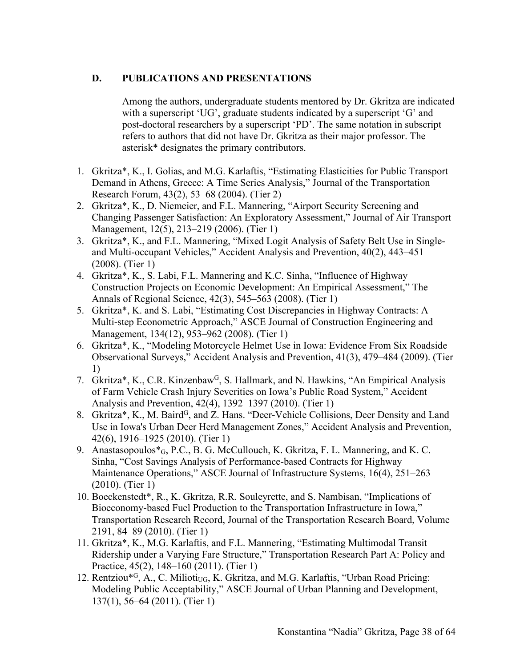## **D. PUBLICATIONS AND PRESENTATIONS**

Among the authors, undergraduate students mentored by Dr. Gkritza are indicated with a superscript 'UG', graduate students indicated by a superscript 'G' and post-doctoral researchers by a superscript 'PD'. The same notation in subscript refers to authors that did not have Dr. Gkritza as their major professor. The asterisk\* designates the primary contributors.

- 1. Gkritza\*, K., I. Golias, and M.G. Karlaftis, "Estimating Elasticities for Public Transport Demand in Athens, Greece: A Time Series Analysis," Journal of the Transportation Research Forum, 43(2), 53–68 (2004). (Tier 2)
- 2. Gkritza\*, K., D. Niemeier, and F.L. Mannering, "Airport Security Screening and Changing Passenger Satisfaction: An Exploratory Assessment," Journal of Air Transport Management, 12(5), 213–219 (2006). (Tier 1)
- 3. Gkritza\*, K., and F.L. Mannering, "Mixed Logit Analysis of Safety Belt Use in Singleand Multi-occupant Vehicles," Accident Analysis and Prevention, 40(2), 443–451 (2008). (Tier 1)
- 4. Gkritza\*, K., S. Labi, F.L. Mannering and K.C. Sinha, "Influence of Highway Construction Projects on Economic Development: An Empirical Assessment," The Annals of Regional Science, 42(3), 545–563 (2008). (Tier 1)
- 5. Gkritza\*, K. and S. Labi, "Estimating Cost Discrepancies in Highway Contracts: A Multi-step Econometric Approach," ASCE Journal of Construction Engineering and Management, 134(12), 953–962 (2008). (Tier 1)
- 6. Gkritza\*, K., "Modeling Motorcycle Helmet Use in Iowa: Evidence From Six Roadside Observational Surveys," Accident Analysis and Prevention, 41(3), 479–484 (2009). (Tier 1)
- 7. Gkritza\*, K., C.R. Kinzenbaw<sup>G</sup>, S. Hallmark, and N. Hawkins, "An Empirical Analysis" of Farm Vehicle Crash Injury Severities on Iowa's Public Road System," Accident Analysis and Prevention, 42(4), 1392–1397 (2010). (Tier 1)
- 8. Gkritza\*, K., M. Baird<sup>G</sup>, and Z. Hans. "Deer-Vehicle Collisions, Deer Density and Land Use in Iowa's Urban Deer Herd Management Zones," Accident Analysis and Prevention, 42(6), 1916–1925 (2010). (Tier 1)
- 9. Anastasopoulos\*G, P.C., B. G. McCullouch, K. Gkritza, F. L. Mannering, and K. C. Sinha, "Cost Savings Analysis of Performance-based Contracts for Highway Maintenance Operations," ASCE Journal of Infrastructure Systems, 16(4), 251–263 (2010). (Tier 1)
- 10. Boeckenstedt\*, R., K. Gkritza, R.R. Souleyrette, and S. Nambisan, "Implications of Bioeconomy-based Fuel Production to the Transportation Infrastructure in Iowa," Transportation Research Record, Journal of the Transportation Research Board, Volume 2191, 84–89 (2010). (Tier 1)
- 11. Gkritza\*, K., M.G. Karlaftis, and F.L. Mannering, "Estimating Multimodal Transit Ridership under a Varying Fare Structure," Transportation Research Part A: Policy and Practice, 45(2), 148–160 (2011). (Tier 1)
- 12. Rentziou\*<sup>G</sup>, A., C. Milioti<sub>UG</sub>, K. Gkritza, and M.G. Karlaftis, "Urban Road Pricing: Modeling Public Acceptability," ASCE Journal of Urban Planning and Development, 137(1), 56–64 (2011). (Tier 1)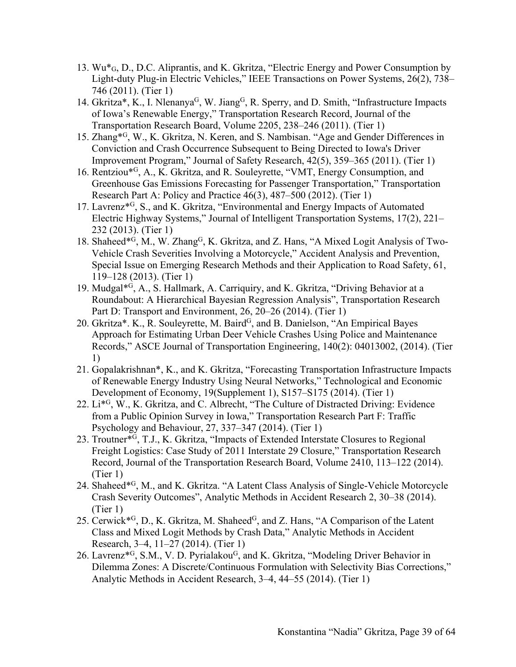- 13. Wu\*G, D., D.C. Aliprantis, and K. Gkritza, "Electric Energy and Power Consumption by Light-duty Plug-in Electric Vehicles," IEEE Transactions on Power Systems, 26(2), 738– 746 (2011). (Tier 1)
- 14. Gkritza\*, K., I. Nlenanya<sup>G</sup>, W. Jiang<sup>G</sup>, R. Sperry, and D. Smith, "Infrastructure Impacts of Iowa's Renewable Energy," Transportation Research Record, Journal of the Transportation Research Board, Volume 2205, 238–246 (2011). (Tier 1)
- 15. Zhang\*G, W., K. Gkritza, N. Keren, and S. Nambisan. "Age and Gender Differences in Conviction and Crash Occurrence Subsequent to Being Directed to Iowa's Driver Improvement Program," Journal of Safety Research, 42(5), 359–365 (2011). (Tier 1)
- 16. Rentziou\*G, A., K. Gkritza, and R. Souleyrette, "VMT, Energy Consumption, and Greenhouse Gas Emissions Forecasting for Passenger Transportation," Transportation Research Part A: Policy and Practice 46(3), 487–500 (2012). (Tier 1)
- 17. Lavrenz\*G, S., and K. Gkritza, "Environmental and Energy Impacts of Automated Electric Highway Systems," Journal of Intelligent Transportation Systems, 17(2), 221– 232 (2013). (Tier 1)
- 18. Shaheed $*$ <sup>G</sup>, M., W. Zhang<sup>G</sup>, K. Gkritza, and Z. Hans, "A Mixed Logit Analysis of Two-Vehicle Crash Severities Involving a Motorcycle," Accident Analysis and Prevention, Special Issue on Emerging Research Methods and their Application to Road Safety, 61, 119–128 (2013). (Tier 1)
- 19. Mudgal\*G, A., S. Hallmark, A. Carriquiry, and K. Gkritza, "Driving Behavior at a Roundabout: A Hierarchical Bayesian Regression Analysis", Transportation Research Part D: Transport and Environment, 26, 20–26 (2014). (Tier 1)
- 20. Gkritza\*. K., R. Souleyrette, M. Baird<sup>G</sup>, and B. Danielson, "An Empirical Bayes Approach for Estimating Urban Deer Vehicle Crashes Using Police and Maintenance Records," ASCE Journal of Transportation Engineering, 140(2): 04013002, (2014). (Tier 1)
- 21. Gopalakrishnan\*, K., and K. Gkritza, "Forecasting Transportation Infrastructure Impacts of Renewable Energy Industry Using Neural Networks," Technological and Economic Development of Economy, 19(Supplement 1), S157–S175 (2014). (Tier 1)
- 22. Li\*G, W., K. Gkritza, and C. Albrecht, "The Culture of Distracted Driving: Evidence from a Public Opinion Survey in Iowa," Transportation Research Part F: Traffic Psychology and Behaviour, 27, 337–347 (2014). (Tier 1)
- 23. Troutner\*G, T.J., K. Gkritza, "Impacts of Extended Interstate Closures to Regional Freight Logistics: Case Study of 2011 Interstate 29 Closure," Transportation Research Record, Journal of the Transportation Research Board, Volume 2410, 113–122 (2014). (Tier 1)
- 24. Shaheed\*G, M., and K. Gkritza. "A Latent Class Analysis of Single-Vehicle Motorcycle Crash Severity Outcomes", Analytic Methods in Accident Research 2, 30–38 (2014). (Tier 1)
- 25. Cerwick $*$ <sup>G</sup>, D., K. Gkritza, M. Shaheed<sup>G</sup>, and Z. Hans, "A Comparison of the Latent Class and Mixed Logit Methods by Crash Data," Analytic Methods in Accident Research, 3–4, 11–27 (2014). (Tier 1)
- 26. Lavrenz<sup>\*G</sup>, S.M., V. D. Pyrialakou<sup>G</sup>, and K. Gkritza, "Modeling Driver Behavior in Dilemma Zones: A Discrete/Continuous Formulation with Selectivity Bias Corrections," Analytic Methods in Accident Research, 3–4, 44–55 (2014). (Tier 1)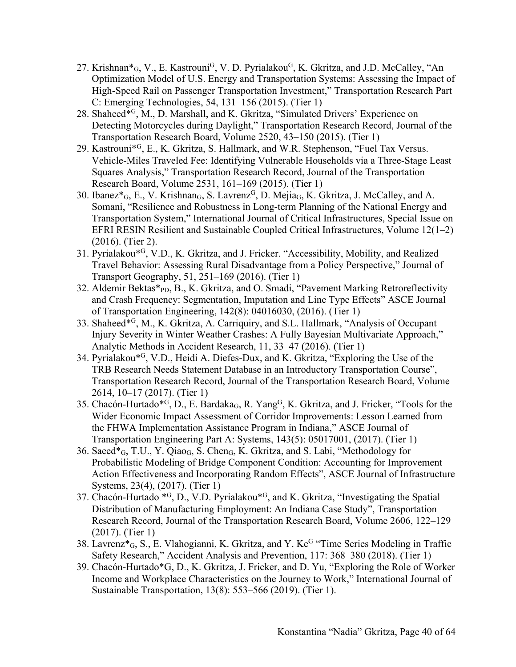- 27. Krishnan $*_{G}$ , V., E. Kastrouni<sup>G</sup>, V. D. Pyrialakou<sup>G</sup>, K. Gkritza, and J.D. McCalley, "An Optimization Model of U.S. Energy and Transportation Systems: Assessing the Impact of High-Speed Rail on Passenger Transportation Investment," Transportation Research Part C: Emerging Technologies, 54, 131–156 (2015). (Tier 1)
- 28. Shaheed\*G, M., D. Marshall, and K. Gkritza, "Simulated Drivers' Experience on Detecting Motorcycles during Daylight," Transportation Research Record, Journal of the Transportation Research Board, Volume 2520, 43–150 (2015). (Tier 1)
- 29. Kastrouni\*G, E., K. Gkritza, S. Hallmark, and W.R. Stephenson, "Fuel Tax Versus. Vehicle-Miles Traveled Fee: Identifying Vulnerable Households via a Three-Stage Least Squares Analysis," Transportation Research Record, Journal of the Transportation Research Board, Volume 2531, 161–169 (2015). (Tier 1)
- 30. Ibanez $*_{G}$ , E., V. Krishnan $_{G}$ , S. Lavrenz<sup>G</sup>, D. Mejia<sub>G</sub>, K. Gkritza, J. McCalley, and A. Somani, "Resilience and Robustness in Long-term Planning of the National Energy and Transportation System," International Journal of Critical Infrastructures, Special Issue on EFRI RESIN Resilient and Sustainable Coupled Critical Infrastructures, Volume 12(1–2) (2016). (Tier 2).
- 31. Pyrialakou\*G, V.D., K. Gkritza, and J. Fricker. "Accessibility, Mobility, and Realized Travel Behavior: Assessing Rural Disadvantage from a Policy Perspective," Journal of Transport Geography, 51, 251–169 (2016). (Tier 1)
- 32. Aldemir Bektas\*<sub>PD</sub>, B., K. Gkritza, and O. Smadi, "Pavement Marking Retroreflectivity and Crash Frequency: Segmentation, Imputation and Line Type Effects" ASCE Journal of Transportation Engineering, 142(8): 04016030, (2016). (Tier 1)
- 33. Shaheed\*G, M., K. Gkritza, A. Carriquiry, and S.L. Hallmark, "Analysis of Occupant Injury Severity in Winter Weather Crashes: A Fully Bayesian Multivariate Approach," Analytic Methods in Accident Research, 11, 33–47 (2016). (Tier 1)
- 34. Pyrialakou\*G, V.D., Heidi A. Diefes-Dux, and K. Gkritza, "Exploring the Use of the TRB Research Needs Statement Database in an Introductory Transportation Course", Transportation Research Record, Journal of the Transportation Research Board, Volume 2614, 10–17 (2017). (Tier 1)
- 35. Chacón-Hurtado<sup>\*G</sup>, D., E. Bardaka<sub>G</sub>, R. Yang<sup>G</sup>, K. Gkritza, and J. Fricker, "Tools for the Wider Economic Impact Assessment of Corridor Improvements: Lesson Learned from the FHWA Implementation Assistance Program in Indiana," ASCE Journal of Transportation Engineering Part A: Systems, 143(5): 05017001, (2017). (Tier 1)
- 36. Saeed $*_{G_1}$ , T.U., Y. Qiao<sub>G</sub>, S. Chen<sub>G</sub>, K. Gkritza, and S. Labi, "Methodology for Probabilistic Modeling of Bridge Component Condition: Accounting for Improvement Action Effectiveness and Incorporating Random Effects", ASCE Journal of Infrastructure Systems, 23(4), (2017). (Tier 1)
- 37. Chacón-Hurtado \*G, D., V.D. Pyrialakou\*G, and K. Gkritza, "Investigating the Spatial Distribution of Manufacturing Employment: An Indiana Case Study", Transportation Research Record, Journal of the Transportation Research Board, Volume 2606, 122–129 (2017). (Tier 1)
- 38. Lavrenz\*G, S., E. Vlahogianni, K. Gkritza, and Y. KeG "Time Series Modeling in Traffic Safety Research," Accident Analysis and Prevention, 117: 368–380 (2018). (Tier 1)
- 39. Chacón-Hurtado\*G, D., K. Gkritza, J. Fricker, and D. Yu, "Exploring the Role of Worker Income and Workplace Characteristics on the Journey to Work," International Journal of Sustainable Transportation, 13(8): 553–566 (2019). (Tier 1).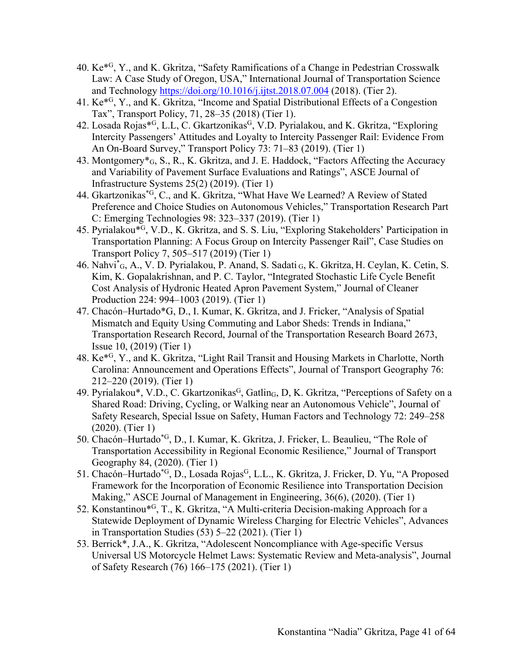- 40.  $Ke^{*G}$ , Y., and K. Gkritza, "Safety Ramifications of a Change in Pedestrian Crosswalk Law: A Case Study of Oregon, USA," International Journal of Transportation Science and Technology https://doi.org/10.1016/j.ijtst.2018.07.004 (2018). (Tier 2).
- 41. Ke\*G, Y., and K. Gkritza, "Income and Spatial Distributional Effects of a Congestion Tax", Transport Policy, 71, 28–35 (2018) (Tier 1).
- 42. Losada Rojas\*<sup>G</sup>, L.L, C. Gkartzonikas<sup>G</sup>, V.D. Pyrialakou, and K. Gkritza, "Exploring Intercity Passengers' Attitudes and Loyalty to Intercity Passenger Rail: Evidence From An On-Board Survey," Transport Policy 73: 71–83 (2019). (Tier 1)
- 43. Montgomery\*G, S., R., K. Gkritza, and J. E. Haddock, "Factors Affecting the Accuracy and Variability of Pavement Surface Evaluations and Ratings", ASCE Journal of Infrastructure Systems 25(2) (2019). (Tier 1)
- 44. Gkartzonikas\*G, C., and K. Gkritza, "What Have We Learned? A Review of Stated Preference and Choice Studies on Autonomous Vehicles," Transportation Research Part C: Emerging Technologies 98: 323–337 (2019). (Tier 1)
- 45. Pyrialakou\*G, V.D., K. Gkritza, and S. S. Liu, "Exploring Stakeholders' Participation in Transportation Planning: A Focus Group on Intercity Passenger Rail", Case Studies on Transport Policy 7, 505–517 (2019) (Tier 1)
- 46. Nahvi\* G, A., V. D. Pyrialakou, P. Anand, S. Sadati G, K. Gkritza, H. Ceylan, K. Cetin, S. Kim, K. Gopalakrishnan, and P. C. Taylor, "Integrated Stochastic Life Cycle Benefit Cost Analysis of Hydronic Heated Apron Pavement System," Journal of Cleaner Production 224: 994–1003 (2019). (Tier 1)
- 47. Chacón–Hurtado\*G, D., I. Kumar, K. Gkritza, and J. Fricker, "Analysis of Spatial Mismatch and Equity Using Commuting and Labor Sheds: Trends in Indiana," Transportation Research Record, Journal of the Transportation Research Board 2673, Issue 10, (2019) (Tier 1)
- 48. Ke\*G, Y., and K. Gkritza, "Light Rail Transit and Housing Markets in Charlotte, North Carolina: Announcement and Operations Effects", Journal of Transport Geography 76: 212–220 (2019). (Tier 1)
- 49. Pyrialakou\*, V.D., C. Gkartzonikas<sup>G</sup>, Gatlin<sub>G</sub>, D, K. Gkritza, "Perceptions of Safety on a Shared Road: Driving, Cycling, or Walking near an Autonomous Vehicle", Journal of Safety Research, Special Issue on Safety, Human Factors and Technology 72: 249–258 (2020). (Tier 1)
- 50. Chacón–Hurtado\*G, D., I. Kumar, K. Gkritza, J. Fricker, L. Beaulieu, "The Role of Transportation Accessibility in Regional Economic Resilience," Journal of Transport Geography 84, (2020). (Tier 1)
- 51. Chacón–Hurtado<sup>\*G</sup>, D., Losada Rojas<sup>G</sup>, L.L., K. Gkritza, J. Fricker, D. Yu, "A Proposed Framework for the Incorporation of Economic Resilience into Transportation Decision Making," ASCE Journal of Management in Engineering, 36(6), (2020). (Tier 1)
- 52. Konstantinou\*G, T., K. Gkritza, "A Multi-criteria Decision-making Approach for a Statewide Deployment of Dynamic Wireless Charging for Electric Vehicles", Advances in Transportation Studies (53) 5–22 (2021). (Tier 1)
- 53. Berrick\*, J.A., K. Gkritza, "Adolescent Noncompliance with Age-specific Versus Universal US Motorcycle Helmet Laws: Systematic Review and Meta-analysis", Journal of Safety Research (76) 166–175 (2021). (Tier 1)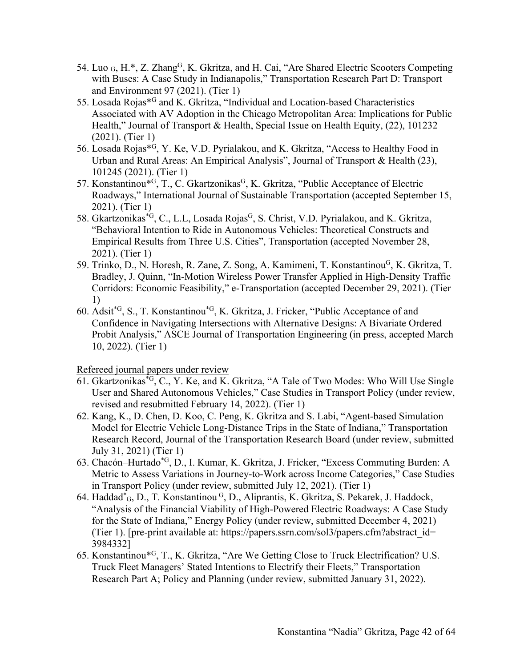- 54. Luo G, H.\*, Z. Zhang<sup>G</sup>, K. Gkritza, and H. Cai, "Are Shared Electric Scooters Competing with Buses: A Case Study in Indianapolis," Transportation Research Part D: Transport and Environment 97 (2021). (Tier 1)
- 55. Losada Rojas\*G and K. Gkritza, "Individual and Location-based Characteristics Associated with AV Adoption in the Chicago Metropolitan Area: Implications for Public Health," Journal of Transport & Health, Special Issue on Health Equity, (22), 101232 (2021). (Tier 1)
- 56. Losada Rojas\*G, Y. Ke, V.D. Pyrialakou, and K. Gkritza, "Access to Healthy Food in Urban and Rural Areas: An Empirical Analysis", Journal of Transport & Health (23), 101245 (2021). (Tier 1)
- 57. Konstantinou\*<sup>G</sup>, T., C. Gkartzonikas<sup>G</sup>, K. Gkritza, "Public Acceptance of Electric Roadways," International Journal of Sustainable Transportation (accepted September 15, 2021). (Tier 1)
- 58. Gkartzonikas<sup>\*G</sup>, C., L.L, Losada Rojas<sup>G</sup>, S. Christ, V.D. Pyrialakou, and K. Gkritza, "Behavioral Intention to Ride in Autonomous Vehicles: Theoretical Constructs and Empirical Results from Three U.S. Cities", Transportation (accepted November 28, 2021). (Tier 1)
- 59. Trinko, D., N. Horesh, R. Zane, Z. Song, A. Kamimeni, T. Konstantinou<sup>G</sup>, K. Gkritza, T. Bradley, J. Quinn, "In-Motion Wireless Power Transfer Applied in High-Density Traffic Corridors: Economic Feasibility," e-Transportation (accepted December 29, 2021). (Tier 1)
- 60. Adsit\*G, S., T. Konstantinou\*G, K. Gkritza, J. Fricker, "Public Acceptance of and Confidence in Navigating Intersections with Alternative Designs: A Bivariate Ordered Probit Analysis," ASCE Journal of Transportation Engineering (in press, accepted March 10, 2022). (Tier 1)

Refereed journal papers under review

- 61. Gkartzonikas\*G, C., Y. Ke, and K. Gkritza, "A Tale of Two Modes: Who Will Use Single User and Shared Autonomous Vehicles," Case Studies in Transport Policy (under review, revised and resubmitted February 14, 2022). (Tier 1)
- 62. Kang, K., D. Chen, D. Koo, C. Peng, K. Gkritza and S. Labi, "Agent-based Simulation Model for Electric Vehicle Long-Distance Trips in the State of Indiana," Transportation Research Record, Journal of the Transportation Research Board (under review, submitted July 31, 2021) (Tier 1)
- 63. Chacón–Hurtado\*G, D., I. Kumar, K. Gkritza, J. Fricker, "Excess Commuting Burden: A Metric to Assess Variations in Journey-to-Work across Income Categories," Case Studies in Transport Policy (under review, submitted July 12, 2021). (Tier 1)
- 64. Haddad<sup>\*</sup><sub>G</sub>, D., T. Konstantinou<sup>G</sup>, D., Aliprantis, K. Gkritza, S. Pekarek, J. Haddock, "Analysis of the Financial Viability of High-Powered Electric Roadways: A Case Study for the State of Indiana," Energy Policy (under review, submitted December 4, 2021) (Tier 1). [pre-print available at: https://papers.ssrn.com/sol3/papers.cfm?abstract\_id= 3984332]
- 65. Konstantinou\*G, T., K. Gkritza, "Are We Getting Close to Truck Electrification? U.S. Truck Fleet Managers' Stated Intentions to Electrify their Fleets," Transportation Research Part A; Policy and Planning (under review, submitted January 31, 2022).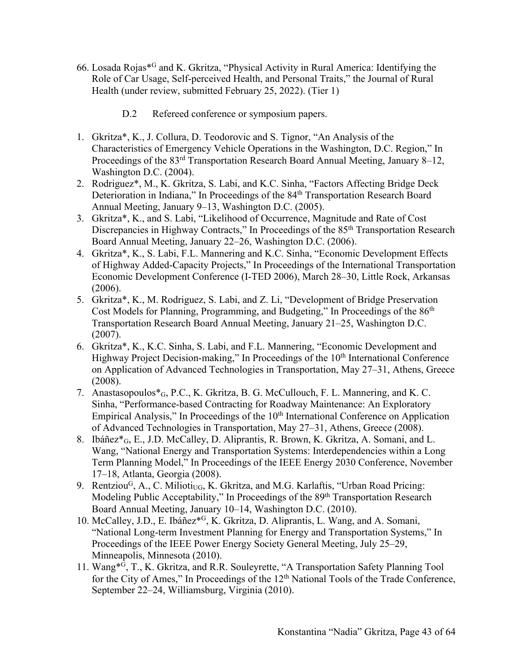- 66. Losada Rojas\*G and K. Gkritza, "Physical Activity in Rural America: Identifying the Role of Car Usage, Self-perceived Health, and Personal Traits," the Journal of Rural Health (under review, submitted February 25, 2022). (Tier 1)
	- D.2 Refereed conference or symposium papers.
- 1. Gkritza\*, K., J. Collura, D. Teodorovic and S. Tignor, "An Analysis of the Characteristics of Emergency Vehicle Operations in the Washington, D.C. Region," In Proceedings of the 83<sup>rd</sup> Transportation Research Board Annual Meeting, January 8–12, Washington D.C. (2004).
- 2. Rodriguez\*, M., K. Gkritza, S. Labi, and K.C. Sinha, "Factors Affecting Bridge Deck Deterioration in Indiana," In Proceedings of the 84th Transportation Research Board Annual Meeting, January 9–13, Washington D.C. (2005).
- 3. Gkritza\*, K., and S. Labi, "Likelihood of Occurrence, Magnitude and Rate of Cost Discrepancies in Highway Contracts," In Proceedings of the 85<sup>th</sup> Transportation Research Board Annual Meeting, January 22–26, Washington D.C. (2006).
- 4. Gkritza\*, K., S. Labi, F.L. Mannering and K.C. Sinha, "Economic Development Effects of Highway Added-Capacity Projects," In Proceedings of the International Transportation Economic Development Conference (I-TED 2006), March 28–30, Little Rock, Arkansas (2006).
- 5. Gkritza\*, K., M. Rodriguez, S. Labi, and Z. Li, "Development of Bridge Preservation Cost Models for Planning, Programming, and Budgeting," In Proceedings of the 86th Transportation Research Board Annual Meeting, January 21–25, Washington D.C. (2007).
- 6. Gkritza\*, K., K.C. Sinha, S. Labi, and F.L. Mannering, "Economic Development and Highway Project Decision-making," In Proceedings of the 10<sup>th</sup> International Conference on Application of Advanced Technologies in Transportation, May 27–31, Athens, Greece (2008).
- 7. Anastasopoulos\*G, P.C., K. Gkritza, B. G. McCullouch, F. L. Mannering, and K. C. Sinha, "Performance-based Contracting for Roadway Maintenance: An Exploratory Empirical Analysis," In Proceedings of the  $10<sup>th</sup>$  International Conference on Application of Advanced Technologies in Transportation, May 27–31, Athens, Greece (2008).
- 8. Ibáñez\*G, E., J.D. McCalley, D. Aliprantis, R. Brown, K. Gkritza, A. Somani, and L. Wang, "National Energy and Transportation Systems: Interdependencies within a Long Term Planning Model," In Proceedings of the IEEE Energy 2030 Conference, November 17–18, Atlanta, Georgia (2008).
- 9. Rentziou<sup>G</sup>, A., C. Milioti<sub>UG</sub>, K. Gkritza, and M.G. Karlaftis, "Urban Road Pricing: Modeling Public Acceptability," In Proceedings of the 89<sup>th</sup> Transportation Research Board Annual Meeting, January 10–14, Washington D.C. (2010).
- 10. McCalley, J.D., E. Ibáñez\*G, K. Gkritza, D. Aliprantis, L. Wang, and A. Somani, "National Long-term Investment Planning for Energy and Transportation Systems," In Proceedings of the IEEE Power Energy Society General Meeting, July 25–29, Minneapolis, Minnesota (2010).
- 11. Wang\*G, T., K. Gkritza, and R.R. Souleyrette, "A Transportation Safety Planning Tool for the City of Ames," In Proceedings of the 12<sup>th</sup> National Tools of the Trade Conference, September 22–24, Williamsburg, Virginia (2010).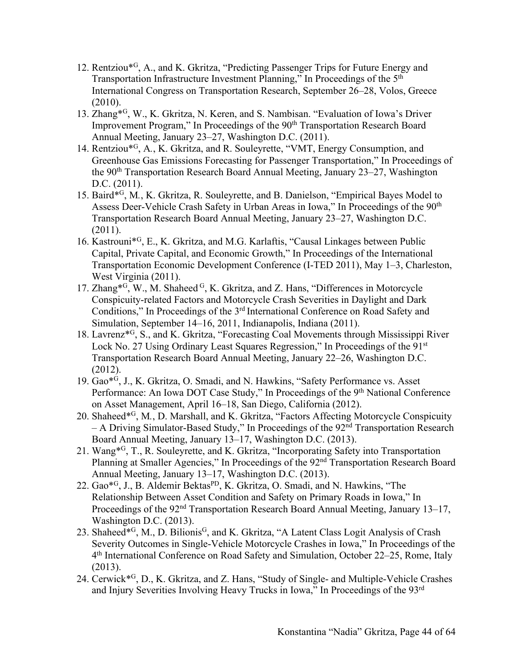- 12. Rentziou\*G, A., and K. Gkritza, "Predicting Passenger Trips for Future Energy and Transportation Infrastructure Investment Planning," In Proceedings of the 5th International Congress on Transportation Research, September 26–28, Volos, Greece (2010).
- 13. Zhang\*G, W., K. Gkritza, N. Keren, and S. Nambisan. "Evaluation of Iowa's Driver Improvement Program," In Proceedings of the 90<sup>th</sup> Transportation Research Board Annual Meeting, January 23–27, Washington D.C. (2011).
- 14. Rentziou\*G, A*.*, K. Gkritza, and R. Souleyrette, "VMT, Energy Consumption, and Greenhouse Gas Emissions Forecasting for Passenger Transportation," In Proceedings of the 90th Transportation Research Board Annual Meeting, January 23–27, Washington D.C. (2011).
- 15. Baird\*G, M*.*, K. Gkritza, R. Souleyrette, and B. Danielson, "Empirical Bayes Model to Assess Deer-Vehicle Crash Safety in Urban Areas in Iowa," In Proceedings of the 90<sup>th</sup> Transportation Research Board Annual Meeting, January 23–27, Washington D.C. (2011).
- 16. Kastrouni\*G, E., K. Gkritza, and M.G. Karlaftis, "Causal Linkages between Public Capital, Private Capital, and Economic Growth," In Proceedings of the International Transportation Economic Development Conference (I-TED 2011), May 1–3, Charleston, West Virginia (2011).
- 17. Zhang<sup>\*G</sup>, W., M. Shaheed <sup>G</sup>, K. Gkritza, and Z. Hans, "Differences in Motorcycle" Conspicuity-related Factors and Motorcycle Crash Severities in Daylight and Dark Conditions," In Proceedings of the 3rd International Conference on Road Safety and Simulation, September 14–16, 2011, Indianapolis, Indiana (2011).
- 18. Lavrenz\*G, S., and K. Gkritza, "Forecasting Coal Movements through Mississippi River Lock No. 27 Using Ordinary Least Squares Regression," In Proceedings of the 91st Transportation Research Board Annual Meeting, January 22–26, Washington D.C. (2012).
- 19. Gao\*G, J., K. Gkritza, O. Smadi, and N. Hawkins, "Safety Performance vs. Asset Performance: An Iowa DOT Case Study," In Proceedings of the 9<sup>th</sup> National Conference on Asset Management, April 16–18, San Diego, California (2012).
- 20. Shaheed\*G, M*.*, D. Marshall, and K. Gkritza, "Factors Affecting Motorcycle Conspicuity – A Driving Simulator-Based Study," In Proceedings of the 92nd Transportation Research Board Annual Meeting, January 13–17, Washington D.C. (2013).
- 21. Wang\*G, T., R. Souleyrette, and K. Gkritza, "Incorporating Safety into Transportation Planning at Smaller Agencies," In Proceedings of the 92nd Transportation Research Board Annual Meeting, January 13–17, Washington D.C. (2013).
- 22. Gao<sup>\*G</sup>, J., B. Aldemir Bektas<sup>PD</sup>, K. Gkritza, O. Smadi, and N. Hawkins, "The Relationship Between Asset Condition and Safety on Primary Roads in Iowa," In Proceedings of the 92<sup>nd</sup> Transportation Research Board Annual Meeting, January 13–17, Washington D.C. (2013).
- 23. Shaheed\*<sup>G</sup>, M., D. Bilionis<sup>G</sup>, and K. Gkritza, "A Latent Class Logit Analysis of Crash Severity Outcomes in Single-Vehicle Motorcycle Crashes in Iowa," In Proceedings of the 4th International Conference on Road Safety and Simulation, October 22–25, Rome, Italy (2013).
- 24. Cerwick\*G, D., K. Gkritza, and Z. Hans, "Study of Single- and Multiple-Vehicle Crashes and Injury Severities Involving Heavy Trucks in Iowa," In Proceedings of the 93rd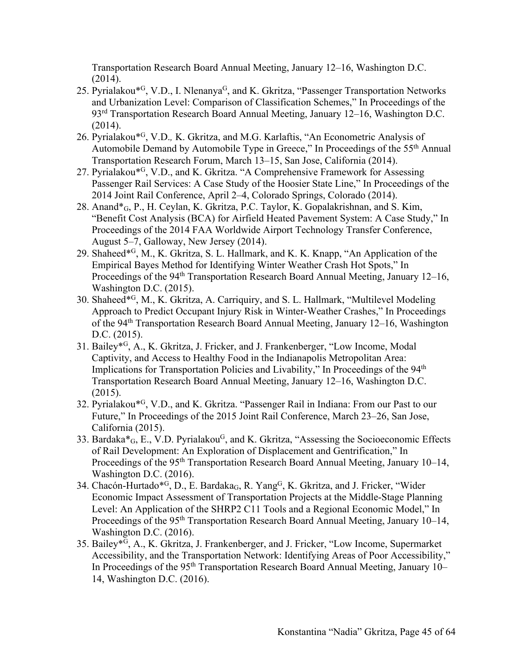Transportation Research Board Annual Meeting, January 12–16, Washington D.C. (2014).

- 25. Pyrialakou<sup>\*G</sup>, V.D., I. Nlenanya<sup>G</sup>, and K. Gkritza, "Passenger Transportation Networks and Urbanization Level: Comparison of Classification Schemes," In Proceedings of the 93rd Transportation Research Board Annual Meeting, January 12–16, Washington D.C. (2014).
- 26. Pyrialakou\*G, V.D.*,* K. Gkritza, and M.G. Karlaftis, "An Econometric Analysis of Automobile Demand by Automobile Type in Greece," In Proceedings of the 55<sup>th</sup> Annual Transportation Research Forum, March 13–15, San Jose, California (2014).
- 27. Pyrialakou\*G, V.D., and K. Gkritza. "A Comprehensive Framework for Assessing Passenger Rail Services: A Case Study of the Hoosier State Line," In Proceedings of the 2014 Joint Rail Conference, April 2–4, Colorado Springs, Colorado (2014).
- 28. Anand\*G, P., H. Ceylan, K. Gkritza, P.C. Taylor, K. Gopalakrishnan, and S. Kim, "Benefit Cost Analysis (BCA) for Airfield Heated Pavement System: A Case Study," In Proceedings of the 2014 FAA Worldwide Airport Technology Transfer Conference, August 5–7, Galloway, New Jersey (2014).
- 29. Shaheed\*G, M., K. Gkritza, S. L. Hallmark, and K. K. Knapp, "An Application of the Empirical Bayes Method for Identifying Winter Weather Crash Hot Spots," In Proceedings of the 94<sup>th</sup> Transportation Research Board Annual Meeting, January 12–16, Washington D.C. (2015).
- 30. Shaheed\*G, M., K. Gkritza, A. Carriquiry, and S. L. Hallmark, "Multilevel Modeling Approach to Predict Occupant Injury Risk in Winter-Weather Crashes," In Proceedings of the 94th Transportation Research Board Annual Meeting, January 12–16, Washington D.C. (2015).
- 31. Bailey\*G, A., K. Gkritza, J. Fricker, and J. Frankenberger, "Low Income, Modal Captivity, and Access to Healthy Food in the Indianapolis Metropolitan Area: Implications for Transportation Policies and Livability," In Proceedings of the 94<sup>th</sup> Transportation Research Board Annual Meeting, January 12–16, Washington D.C. (2015).
- 32. Pyrialakou\*G, V.D., and K. Gkritza. "Passenger Rail in Indiana: From our Past to our Future," In Proceedings of the 2015 Joint Rail Conference, March 23–26, San Jose, California (2015).
- 33. Bardaka<sup>\*</sup><sub>G</sub>, E., V.D. Pyrialakou<sup>G</sup>, and K. Gkritza, "Assessing the Socioeconomic Effects of Rail Development: An Exploration of Displacement and Gentrification," In Proceedings of the 95<sup>th</sup> Transportation Research Board Annual Meeting, January 10–14, Washington D.C. (2016).
- 34. Chacón-Hurtado<sup>\*G</sup>, D., E. Bardaka<sub>G</sub>, R. Yang<sup>G</sup>, K. Gkritza, and J. Fricker, "Wider Economic Impact Assessment of Transportation Projects at the Middle-Stage Planning Level: An Application of the SHRP2 C11 Tools and a Regional Economic Model," In Proceedings of the 95<sup>th</sup> Transportation Research Board Annual Meeting, January 10–14, Washington D.C. (2016).
- 35. Bailey\*G, A., K. Gkritza, J. Frankenberger, and J. Fricker, "Low Income, Supermarket Accessibility, and the Transportation Network: Identifying Areas of Poor Accessibility," In Proceedings of the 95<sup>th</sup> Transportation Research Board Annual Meeting, January 10– 14, Washington D.C. (2016).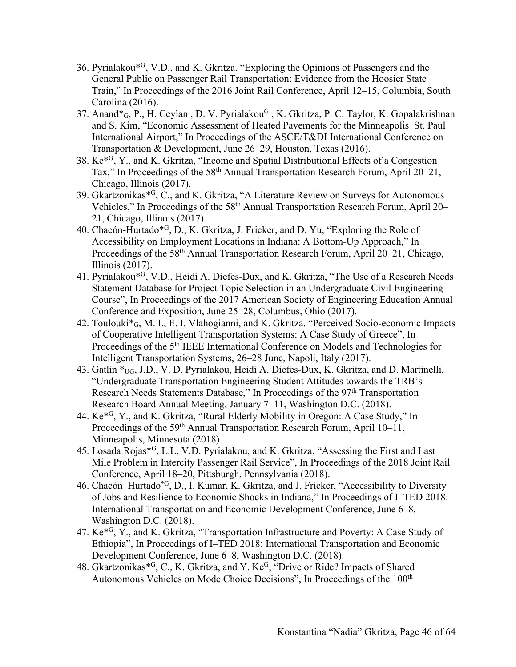- 36. Pyrialakou\*G, V.D., and K. Gkritza. "Exploring the Opinions of Passengers and the General Public on Passenger Rail Transportation: Evidence from the Hoosier State Train," In Proceedings of the 2016 Joint Rail Conference, April 12–15, Columbia, South Carolina (2016).
- 37. Anand<sup>\*</sup><sub>G</sub>, P., H. Ceylan, D. V. Pyrialakou<sup>G</sup>, K. Gkritza, P. C. Taylor, K. Gopalakrishnan and S. Kim, "Economic Assessment of Heated Pavements for the Minneapolis–St. Paul International Airport," In Proceedings of the ASCE/T&DI International Conference on Transportation & Development, June 26–29, Houston, Texas (2016).
- 38. Ke\*G, Y., and K. Gkritza, "Income and Spatial Distributional Effects of a Congestion Tax," In Proceedings of the 58<sup>th</sup> Annual Transportation Research Forum, April 20–21, Chicago, Illinois (2017).
- 39. Gkartzonikas\*G, C., and K. Gkritza, "A Literature Review on Surveys for Autonomous Vehicles," In Proceedings of the 58th Annual Transportation Research Forum, April 20– 21, Chicago, Illinois (2017).
- 40. Chacón-Hurtado\*G, D., K. Gkritza, J. Fricker, and D. Yu, "Exploring the Role of Accessibility on Employment Locations in Indiana: A Bottom-Up Approach," In Proceedings of the 58<sup>th</sup> Annual Transportation Research Forum, April 20–21, Chicago, Illinois (2017).
- 41. Pyrialakou\*G, V.D., Heidi A. Diefes-Dux, and K. Gkritza, "The Use of a Research Needs Statement Database for Project Topic Selection in an Undergraduate Civil Engineering Course", In Proceedings of the 2017 American Society of Engineering Education Annual Conference and Exposition, June 25–28, Columbus, Ohio (2017).
- 42. Toulouki\*G, M. I., E. I. Vlahogianni, and K. Gkritza. "Perceived Socio-economic Impacts of Cooperative Intelligent Transportation Systems: A Case Study of Greece", In Proceedings of the 5th IEEE International Conference on Models and Technologies for Intelligent Transportation Systems, 26–28 June, Napoli, Italy (2017).
- 43. Gatlin \*UG, J.D., V. D. Pyrialakou, Heidi A. Diefes-Dux, K. Gkritza, and D. Martinelli, "Undergraduate Transportation Engineering Student Attitudes towards the TRB's Research Needs Statements Database," In Proceedings of the 97th Transportation Research Board Annual Meeting, January 7–11, Washington D.C. (2018).
- 44. Ke\*G, Y., and K. Gkritza, "Rural Elderly Mobility in Oregon: A Case Study," In Proceedings of the 59<sup>th</sup> Annual Transportation Research Forum, April 10–11, Minneapolis, Minnesota (2018).
- 45. Losada Rojas\*G, L.L, V.D. Pyrialakou, and K. Gkritza, "Assessing the First and Last Mile Problem in Intercity Passenger Rail Service", In Proceedings of the 2018 Joint Rail Conference, April 18–20, Pittsburgh, Pennsylvania (2018).
- 46. Chacón–Hurtado\*G, D., I. Kumar, K. Gkritza, and J. Fricker, "Accessibility to Diversity of Jobs and Resilience to Economic Shocks in Indiana," In Proceedings of I–TED 2018: International Transportation and Economic Development Conference, June 6–8, Washington D.C. (2018).
- 47. Ke\*G, Y., and K. Gkritza, "Transportation Infrastructure and Poverty: A Case Study of Ethiopia", In Proceedings of I–TED 2018: International Transportation and Economic Development Conference, June 6–8, Washington D.C. (2018).
- 48. Gkartzonikas\*G, C., K. Gkritza, and Y. KeG, "Drive or Ride? Impacts of Shared Autonomous Vehicles on Mode Choice Decisions", In Proceedings of the 100<sup>th</sup>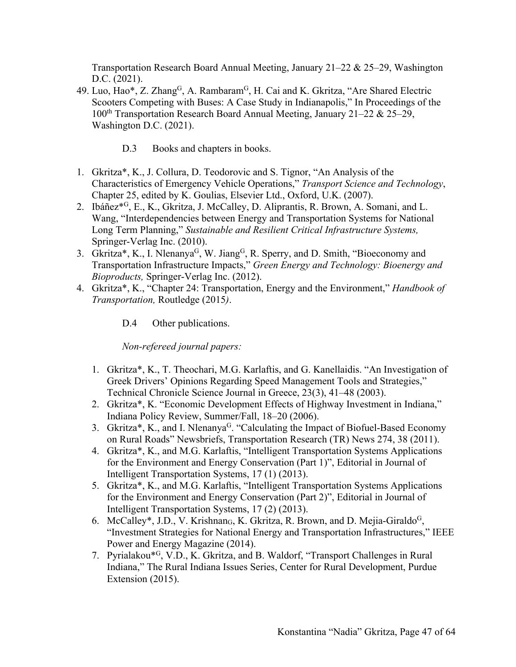Transportation Research Board Annual Meeting, January 21–22 & 25–29, Washington D.C. (2021).

- 49. Luo, Hao\*, Z. Zhang<sup>G</sup>, A. Rambaram<sup>G</sup>, H. Cai and K. Gkritza, "Are Shared Electric Scooters Competing with Buses: A Case Study in Indianapolis," In Proceedings of the 100<sup>th</sup> Transportation Research Board Annual Meeting, January 21–22 & 25–29, Washington D.C. (2021).
	- D.3 Books and chapters in books.
- 1. Gkritza\*, K., J. Collura, D. Teodorovic and S. Tignor, "An Analysis of the Characteristics of Emergency Vehicle Operations," *Transport Science and Technology*, Chapter 25, edited by K. Goulias, Elsevier Ltd., Oxford, U.K. (2007).
- 2. Ibáñez\*G, E., K., Gkritza, J. McCalley, D. Aliprantis, R. Brown, A. Somani, and L. Wang, "Interdependencies between Energy and Transportation Systems for National Long Term Planning," *Sustainable and Resilient Critical Infrastructure Systems,*  Springer-Verlag Inc. (2010).
- 3. Gkritza\*, K., I. Nlenanya<sup>G</sup>, W. Jiang<sup>G</sup>, R. Sperry, and D. Smith, "Bioeconomy and Transportation Infrastructure Impacts," *Green Energy and Technology: Bioenergy and Bioproducts,* Springer-Verlag Inc. (2012).
- 4. Gkritza\*, K., "Chapter 24: Transportation, Energy and the Environment," *Handbook of Transportation,* Routledge (2015*)*.
	- D.4 Other publications.

*Non-refereed journal papers:*

- 1. Gkritza\*, K., T. Theochari, M.G. Karlaftis, and G. Kanellaidis. "An Investigation of Greek Drivers' Opinions Regarding Speed Management Tools and Strategies," Technical Chronicle Science Journal in Greece, 23(3), 41–48 (2003).
- 2. Gkritza\*, K. "Economic Development Effects of Highway Investment in Indiana," Indiana Policy Review, Summer/Fall, 18–20 (2006).
- 3. Gkritza\*, K., and I. Nlenanya<sup>G</sup>. "Calculating the Impact of Biofuel-Based Economy on Rural Roads" Newsbriefs, Transportation Research (TR) News 274, 38 (2011).
- 4. Gkritza\*, K., and M.G. Karlaftis, "Intelligent Transportation Systems Applications for the Environment and Energy Conservation (Part 1)", Editorial in Journal of Intelligent Transportation Systems, 17 (1) (2013).
- 5. Gkritza\*, K., and M.G. Karlaftis, "Intelligent Transportation Systems Applications for the Environment and Energy Conservation (Part 2)", Editorial in Journal of Intelligent Transportation Systems, 17 (2) (2013).
- 6. McCalley\*, J.D., V. Krishnan<sub>G</sub>, K. Gkritza, R. Brown, and D. Mejia-Giraldo<sup>G</sup>, "Investment Strategies for National Energy and Transportation Infrastructures," IEEE Power and Energy Magazine (2014).
- 7. Pyrialakou\*G, V.D., K. Gkritza, and B. Waldorf, "Transport Challenges in Rural Indiana," The Rural Indiana Issues Series, Center for Rural Development, Purdue Extension (2015).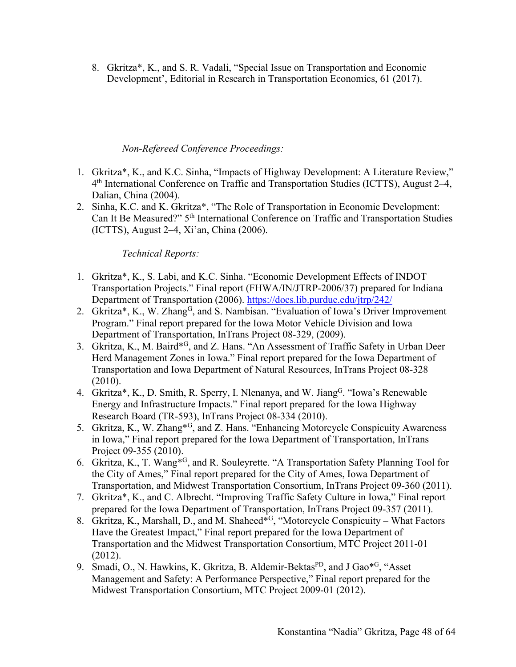8. Gkritza\*, K., and S. R. Vadali, "Special Issue on Transportation and Economic Development', Editorial in Research in Transportation Economics, 61 (2017).

#### *Non-Refereed Conference Proceedings:*

- 1. Gkritza\*, K., and K.C. Sinha, "Impacts of Highway Development: A Literature Review," 4th International Conference on Traffic and Transportation Studies (ICTTS), August 2–4, Dalian, China (2004).
- 2. Sinha, K.C. and K. Gkritza\*, "The Role of Transportation in Economic Development: Can It Be Measured?" 5th International Conference on Traffic and Transportation Studies (ICTTS), August 2–4, Xi'an, China (2006).

## *Technical Reports:*

- 1. Gkritza\*, K., S. Labi, and K.C. Sinha. "Economic Development Effects of INDOT Transportation Projects." Final report (FHWA/IN/JTRP-2006/37) prepared for Indiana Department of Transportation (2006). https://docs.lib.purdue.edu/jtrp/242/
- 2. Gkritza\*, K., W. Zhang<sup>G</sup>, and S. Nambisan. "Evaluation of Iowa's Driver Improvement Program." Final report prepared for the Iowa Motor Vehicle Division and Iowa Department of Transportation, InTrans Project 08-329, (2009).
- 3. Gkritza, K., M. Baird\*G, and Z. Hans. "An Assessment of Traffic Safety in Urban Deer Herd Management Zones in Iowa." Final report prepared for the Iowa Department of Transportation and Iowa Department of Natural Resources, InTrans Project 08-328 (2010).
- 4. Gkritza\*, K., D. Smith, R. Sperry, I. Nlenanya, and W. Jiang<sup>G</sup>. "Iowa's Renewable Energy and Infrastructure Impacts." Final report prepared for the Iowa Highway Research Board (TR-593), InTrans Project 08-334 (2010).
- 5. Gkritza, K., W. Zhang\*G, and Z. Hans. "Enhancing Motorcycle Conspicuity Awareness in Iowa," Final report prepared for the Iowa Department of Transportation, InTrans Project 09-355 (2010).
- 6. Gkritza, K., T. Wang\*G, and R. Souleyrette. "A Transportation Safety Planning Tool for the City of Ames," Final report prepared for the City of Ames, Iowa Department of Transportation, and Midwest Transportation Consortium, InTrans Project 09-360 (2011).
- 7. Gkritza\*, K., and C. Albrecht. "Improving Traffic Safety Culture in Iowa," Final report prepared for the Iowa Department of Transportation, InTrans Project 09-357 (2011).
- 8. Gkritza, K., Marshall, D., and M. Shaheed\*<sup>G</sup>, "Motorcycle Conspicuity What Factors Have the Greatest Impact," Final report prepared for the Iowa Department of Transportation and the Midwest Transportation Consortium, MTC Project 2011-01 (2012).
- 9. Smadi, O., N. Hawkins, K. Gkritza, B. Aldemir-Bektas<sup>PD</sup>, and J Gao<sup>\*G</sup>, "Asset Management and Safety: A Performance Perspective," Final report prepared for the Midwest Transportation Consortium, MTC Project 2009-01 (2012).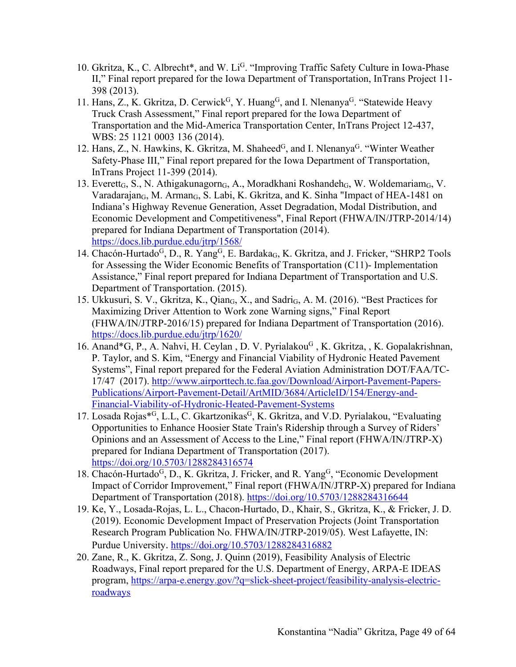- 10. Gkritza, K., C. Albrecht\*, and W. Li<sup>G</sup>. "Improving Traffic Safety Culture in Iowa-Phase II," Final report prepared for the Iowa Department of Transportation, InTrans Project 11- 398 (2013).
- 11. Hans, Z., K. Gkritza, D. Cerwick<sup>G</sup>, Y. Huang<sup>G</sup>, and I. Nlenanya<sup>G</sup>. "Statewide Heavy Truck Crash Assessment," Final report prepared for the Iowa Department of Transportation and the Mid-America Transportation Center, InTrans Project 12-437, WBS: 25 1121 0003 136 (2014).
- 12. Hans, Z., N. Hawkins, K. Gkritza, M. Shaheed<sup>G</sup>, and I. Nlenanya<sup>G</sup>. "Winter Weather Safety-Phase III," Final report prepared for the Iowa Department of Transportation, InTrans Project 11-399 (2014).
- 13. Everett<sub>G</sub>, S., N. Athigakunagorn<sub>G</sub>, A., Moradkhani Roshandeh<sub>G</sub>, W. Woldemariam<sub>G</sub>, V. Varadarajan $_G$ , M. Arman $_G$ , S. Labi, K. Gkritza, and K. Sinha "Impact of HEA-1481 on Indiana's Highway Revenue Generation, Asset Degradation, Modal Distribution, and Economic Development and Competitiveness", Final Report (FHWA/IN/JTRP-2014/14) prepared for Indiana Department of Transportation (2014). https://docs.lib.purdue.edu/jtrp/1568/
- 14. Chacón-Hurtado<sup>G</sup>, D., R. Yang<sup>G</sup>, E. Bardaka<sub>G</sub>, K. Gkritza, and J. Fricker, "SHRP2 Tools for Assessing the Wider Economic Benefits of Transportation (C11)- Implementation Assistance," Final report prepared for Indiana Department of Transportation and U.S. Department of Transportation. (2015).
- 15. Ukkusuri, S. V., Gkritza, K., Qian<sub>G</sub>, X., and Sadri<sub>G</sub>, A. M. (2016). "Best Practices for Maximizing Driver Attention to Work zone Warning signs," Final Report (FHWA/IN/JTRP-2016/15) prepared for Indiana Department of Transportation (2016). https://docs.lib.purdue.edu/jtrp/1620/
- 16. Anand\*G, P., A. Nahvi, H. Ceylan, D. V. Pyrialakou<sup>G</sup>, K. Gkritza, , K. Gopalakrishnan, P. Taylor, and S. Kim, "Energy and Financial Viability of Hydronic Heated Pavement Systems", Final report prepared for the Federal Aviation Administration DOT/FAA/TC-17/47 (2017). http://www.airporttech.tc.faa.gov/Download/Airport-Pavement-Papers-Publications/Airport-Pavement-Detail/ArtMID/3684/ArticleID/154/Energy-and-Financial-Viability-of-Hydronic-Heated-Pavement-Systems
- 17. Losada Rojas\*<sup>G</sup>, L.L, C. Gkartzonikas<sup>G</sup>, K. Gkritza, and V.D. Pyrialakou, "Evaluating Opportunities to Enhance Hoosier State Train's Ridership through a Survey of Riders' Opinions and an Assessment of Access to the Line," Final report (FHWA/IN/JTRP-X) prepared for Indiana Department of Transportation (2017). https://doi.org/10.5703/1288284316574
- 18. Chacón-Hurtado<sup>G</sup>, D., K. Gkritza, J. Fricker, and R. Yang<sup>G</sup>, "Economic Development Impact of Corridor Improvement," Final report (FHWA/IN/JTRP-X) prepared for Indiana Department of Transportation (2018). https://doi.org/10.5703/1288284316644
- 19. Ke, Y., Losada-Rojas, L. L., Chacon-Hurtado, D., Khair, S., Gkritza, K., & Fricker, J. D. (2019). Economic Development Impact of Preservation Projects (Joint Transportation Research Program Publication No. FHWA/IN/JTRP-2019/05). West Lafayette, IN: Purdue University. https://doi.org/10.5703/1288284316882
- 20. Zane, R., K. Gkritza, Z. Song, J. Quinn (2019), Feasibility Analysis of Electric Roadways, Final report prepared for the U.S. Department of Energy, ARPA-E IDEAS program, https://arpa-e.energy.gov/?q=slick-sheet-project/feasibility-analysis-electricroadways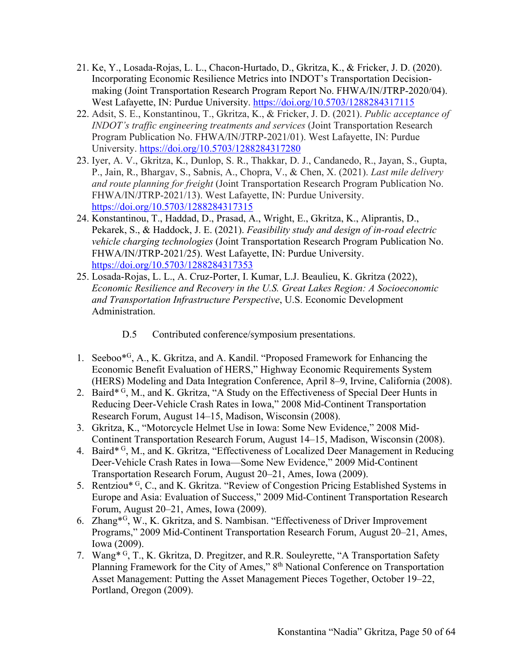- 21. Ke, Y., Losada-Rojas, L. L., Chacon-Hurtado, D., Gkritza, K., & Fricker, J. D. (2020). Incorporating Economic Resilience Metrics into INDOT's Transportation Decisionmaking (Joint Transportation Research Program Report No. FHWA/IN/JTRP-2020/04). West Lafayette, IN: Purdue University. https://doi.org/10.5703/1288284317115
- 22. Adsit, S. E., Konstantinou, T., Gkritza, K., & Fricker, J. D. (2021). *Public acceptance of INDOT's traffic engineering treatments and services* (Joint Transportation Research Program Publication No. FHWA/IN/JTRP-2021/01). West Lafayette, IN: Purdue University. https://doi.org/10.5703/1288284317280
- 23. Iyer, A. V., Gkritza, K., Dunlop, S. R., Thakkar, D. J., Candanedo, R., Jayan, S., Gupta, P., Jain, R., Bhargav, S., Sabnis, A., Chopra, V., & Chen, X. (2021). *Last mile delivery and route planning for freight* (Joint Transportation Research Program Publication No. FHWA/IN/JTRP-2021/13). West Lafayette, IN: Purdue University. https://doi.org/10.5703/1288284317315
- 24. Konstantinou, T., Haddad, D., Prasad, A., Wright, E., Gkritza, K., Aliprantis, D., Pekarek, S., & Haddock, J. E. (2021). *Feasibility study and design of in-road electric vehicle charging technologies* (Joint Transportation Research Program Publication No. FHWA/IN/JTRP-2021/25). West Lafayette, IN: Purdue University. https://doi.org/10.5703/1288284317353
- 25. Losada-Rojas, L. L., A. Cruz-Porter, I. Kumar, L.J. Beaulieu, K. Gkritza (2022), *Economic Resilience and Recovery in the U.S. Great Lakes Region: A Socioeconomic and Transportation Infrastructure Perspective*, U.S. Economic Development Administration.
	- D.5 Contributed conference/symposium presentations.
- 1. Seeboo\*G, A., K. Gkritza, and A. Kandil. "Proposed Framework for Enhancing the Economic Benefit Evaluation of HERS," Highway Economic Requirements System (HERS) Modeling and Data Integration Conference, April 8–9, Irvine, California (2008).
- 2. Baird\* G, M., and K. Gkritza, "A Study on the Effectiveness of Special Deer Hunts in Reducing Deer-Vehicle Crash Rates in Iowa," 2008 Mid-Continent Transportation Research Forum, August 14–15, Madison, Wisconsin (2008).
- 3. Gkritza, K., "Motorcycle Helmet Use in Iowa: Some New Evidence," 2008 Mid-Continent Transportation Research Forum, August 14–15, Madison, Wisconsin (2008).
- 4. Baird<sup>\* G</sup>, M., and K. Gkritza, "Effectiveness of Localized Deer Management in Reducing Deer-Vehicle Crash Rates in Iowa—Some New Evidence," 2009 Mid-Continent Transportation Research Forum, August 20–21, Ames, Iowa (2009).
- 5. Rentziou\* G, C., and K. Gkritza. "Review of Congestion Pricing Established Systems in Europe and Asia: Evaluation of Success," 2009 Mid-Continent Transportation Research Forum, August 20–21, Ames, Iowa (2009).
- 6. Zhang\*G, W., K. Gkritza, and S. Nambisan. "Effectiveness of Driver Improvement Programs," 2009 Mid-Continent Transportation Research Forum, August 20–21, Ames, Iowa (2009).
- 7. Wang\* G, T., K. Gkritza, D. Pregitzer, and R.R. Souleyrette, "A Transportation Safety Planning Framework for the City of Ames," 8th National Conference on Transportation Asset Management: Putting the Asset Management Pieces Together, October 19–22, Portland, Oregon (2009).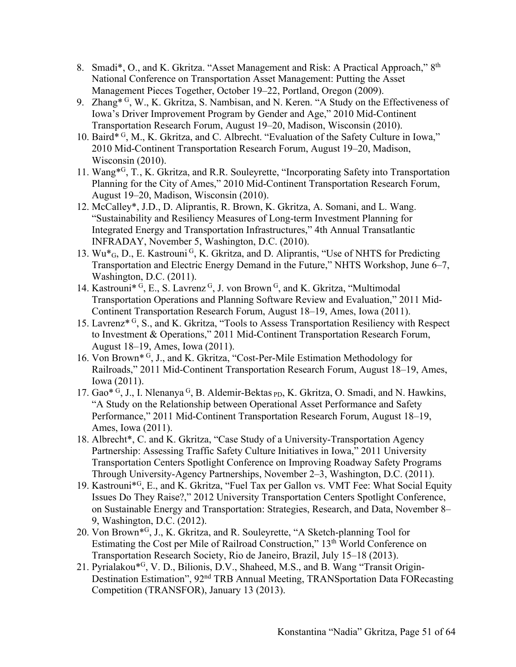- 8. Smadi\*, O., and K. Gkritza. "Asset Management and Risk: A Practical Approach," 8th National Conference on Transportation Asset Management: Putting the Asset Management Pieces Together, October 19–22, Portland, Oregon (2009).
- 9. Zhang<sup>\* G</sup>, W., K. Gkritza, S. Nambisan, and N. Keren. "A Study on the Effectiveness of Iowa's Driver Improvement Program by Gender and Age," 2010 Mid-Continent Transportation Research Forum, August 19–20, Madison, Wisconsin (2010).
- 10. Baird $*$ <sup>G</sup>, M., K. Gkritza, and C. Albrecht. "Evaluation of the Safety Culture in Iowa," 2010 Mid-Continent Transportation Research Forum, August 19–20, Madison, Wisconsin (2010).
- 11. Wang\*G, T*.*, K. Gkritza, and R.R. Souleyrette, "Incorporating Safety into Transportation Planning for the City of Ames," 2010 Mid-Continent Transportation Research Forum, August 19–20, Madison, Wisconsin (2010).
- 12. McCalley\*, J.D., D. Aliprantis, R. Brown, K. Gkritza, A. Somani, and L. Wang. "Sustainability and Resiliency Measures of Long-term Investment Planning for Integrated Energy and Transportation Infrastructures," 4th Annual Transatlantic INFRADAY, November 5, Washington, D.C. (2010).
- 13. Wu<sup>\*</sup><sub>G</sub>, D., E. Kastrouni<sup>G</sup>, K. Gkritza, and D. Aliprantis, "Use of NHTS for Predicting Transportation and Electric Energy Demand in the Future," NHTS Workshop, June 6–7, Washington, D.C. (2011).
- 14. Kastrouni<sup>\* G</sup>, E., S. Lavrenz <sup>G</sup>, J. von Brown <sup>G</sup>, and K. Gkritza, "Multimodal Transportation Operations and Planning Software Review and Evaluation," 2011 Mid-Continent Transportation Research Forum, August 18–19, Ames, Iowa (2011).
- 15. Lavrenz\* G, S., and K. Gkritza, "Tools to Assess Transportation Resiliency with Respect to Investment & Operations," 2011 Mid-Continent Transportation Research Forum, August 18–19, Ames, Iowa (2011).
- 16. Von Brown\* G, J., and K. Gkritza, "Cost-Per-Mile Estimation Methodology for Railroads," 2011 Mid-Continent Transportation Research Forum, August 18–19, Ames, Iowa (2011).
- 17. Gao\* G, J., I. Nlenanya G, B. Aldemir-Bektas <sub>PD</sub>, K. Gkritza, O. Smadi, and N. Hawkins, "A Study on the Relationship between Operational Asset Performance and Safety Performance," 2011 Mid-Continent Transportation Research Forum, August 18–19, Ames, Iowa (2011).
- 18. Albrecht\*, C. and K. Gkritza, "Case Study of a University-Transportation Agency Partnership: Assessing Traffic Safety Culture Initiatives in Iowa," 2011 University Transportation Centers Spotlight Conference on Improving Roadway Safety Programs Through University-Agency Partnerships, November 2–3, Washington, D.C. (2011).
- 19. Kastrouni\*G, E., and K. Gkritza, "Fuel Tax per Gallon vs. VMT Fee: What Social Equity Issues Do They Raise?," 2012 University Transportation Centers Spotlight Conference, on Sustainable Energy and Transportation: Strategies, Research, and Data, November 8– 9, Washington, D.C. (2012).
- 20. Von Brown\*G, J., K. Gkritza, and R. Souleyrette, "A Sketch-planning Tool for Estimating the Cost per Mile of Railroad Construction," 13th World Conference on Transportation Research Society, Rio de Janeiro, Brazil, July 15–18 (2013).
- 21. Pyrialakou\*G, V. D., Bilionis, D.V., Shaheed, M.S., and B. Wang "Transit Origin-Destination Estimation", 92nd TRB Annual Meeting, TRANSportation Data FORecasting Competition (TRANSFOR), January 13 (2013).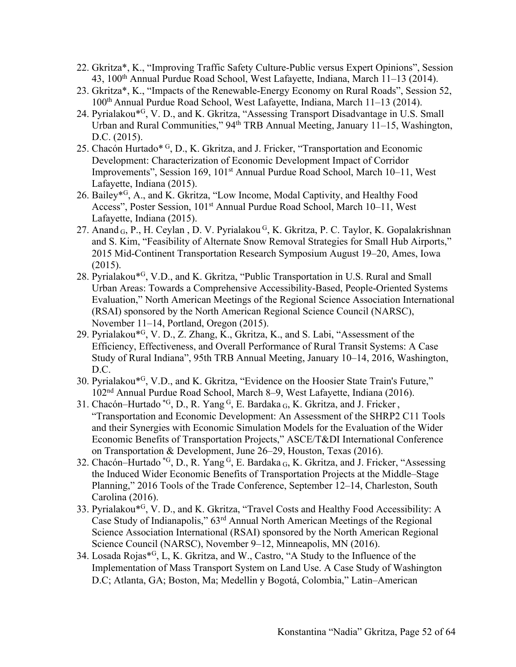- 22. Gkritza\*, K., "Improving Traffic Safety Culture-Public versus Expert Opinions", Session 43, 100th Annual Purdue Road School, West Lafayette, Indiana, March 11–13 (2014).
- 23. Gkritza\*, K., "Impacts of the Renewable-Energy Economy on Rural Roads", Session 52, 100th Annual Purdue Road School, West Lafayette, Indiana, March 11–13 (2014).
- 24. Pyrialakou\*G, V. D., and K. Gkritza, "Assessing Transport Disadvantage in U.S. Small Urban and Rural Communities," 94<sup>th</sup> TRB Annual Meeting, January 11–15, Washington, D.C. (2015).
- 25. Chacón Hurtado\* G, D., K. Gkritza, and J. Fricker, "Transportation and Economic Development: Characterization of Economic Development Impact of Corridor Improvements", Session 169, 101st Annual Purdue Road School, March 10–11, West Lafayette, Indiana (2015).
- 26. Bailey\*G, A., and K. Gkritza, "Low Income, Modal Captivity, and Healthy Food Access", Poster Session, 101<sup>st</sup> Annual Purdue Road School, March 10–11, West Lafayette, Indiana (2015).
- 27. Anand G, P., H. Ceylan, D. V. Pyrialakou G, K. Gkritza, P. C. Taylor, K. Gopalakrishnan and S. Kim, "Feasibility of Alternate Snow Removal Strategies for Small Hub Airports," 2015 Mid-Continent Transportation Research Symposium August 19–20, Ames, Iowa  $(2015).$
- 28. Pyrialakou\*G, V.D., and K. Gkritza, "Public Transportation in U.S. Rural and Small Urban Areas: Towards a Comprehensive Accessibility-Based, People-Oriented Systems Evaluation," North American Meetings of the Regional Science Association International (RSAI) sponsored by the North American Regional Science Council (NARSC), November 11–14, Portland, Oregon (2015).
- 29. Pyrialakou\*G, V. D., Z. Zhang, K., Gkritza, K., and S. Labi, "Assessment of the Efficiency, Effectiveness, and Overall Performance of Rural Transit Systems: A Case Study of Rural Indiana", 95th TRB Annual Meeting, January 10–14, 2016, Washington, D.C.
- 30. Pyrialakou\*G, V.D., and K. Gkritza, "Evidence on the Hoosier State Train's Future," 102nd Annual Purdue Road School, March 8–9, West Lafayette, Indiana (2016).
- 31. Chacón–Hurtado  ${}^{*G}$ , D., R. Yang  ${}^{G}$ , E. Bardaka  ${}_{G}$ , K. Gkritza, and J. Fricker, "Transportation and Economic Development: An Assessment of the SHRP2 C11 Tools and their Synergies with Economic Simulation Models for the Evaluation of the Wider Economic Benefits of Transportation Projects," ASCE/T&DI International Conference on Transportation & Development, June 26–29, Houston, Texas (2016).
- 32. Chacón–Hurtado \*G, D., R. Yang G, E. Bardaka G, K. Gkritza, and J. Fricker, "Assessing the Induced Wider Economic Benefits of Transportation Projects at the Middle–Stage Planning," 2016 Tools of the Trade Conference, September 12–14, Charleston, South Carolina (2016).
- 33. Pyrialakou\*G, V. D., and K. Gkritza, "Travel Costs and Healthy Food Accessibility: A Case Study of Indianapolis," 63rd Annual North American Meetings of the Regional Science Association International (RSAI) sponsored by the North American Regional Science Council (NARSC), November 9–12, Minneapolis, MN (2016).
- 34. Losada Rojas\*G, L, K. Gkritza, and W., Castro, "A Study to the Influence of the Implementation of Mass Transport System on Land Use. A Case Study of Washington D.C; Atlanta, GA; Boston, Ma; Medellin y Bogotá, Colombia," Latin–American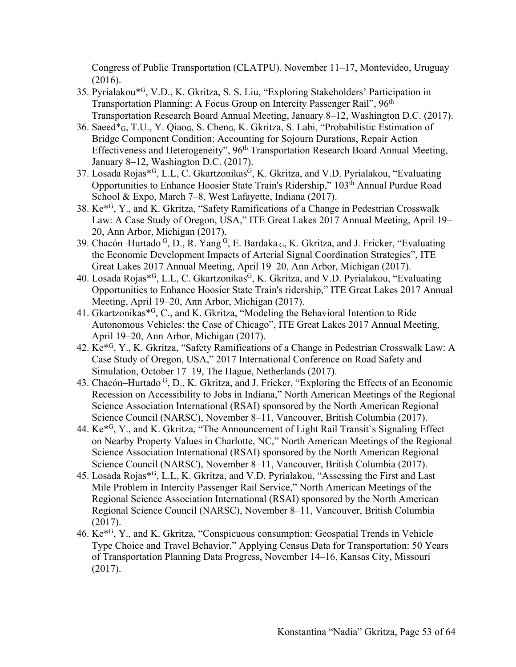Congress of Public Transportation (CLATPU). November 11–17, Montevideo, Uruguay (2016).

- 35. Pyrialakou\*G, V.D., K. Gkritza, S. S. Liu, "Exploring Stakeholders' Participation in Transportation Planning: A Focus Group on Intercity Passenger Rail", 96<sup>th</sup> Transportation Research Board Annual Meeting, January 8–12, Washington D.C. (2017).
- 36. Saeed\*G, T.U., Y. QiaoG, S. ChenG, K. Gkritza, S. Labi, "Probabilistic Estimation of Bridge Component Condition: Accounting for Sojourn Durations, Repair Action Effectiveness and Heterogeneity", 96<sup>th</sup> Transportation Research Board Annual Meeting, January 8–12, Washington D.C. (2017).
- 37. Losada Rojas\*<sup>G</sup>, L.L, C. Gkartzonikas<sup>G</sup>, K. Gkritza, and V.D. Pyrialakou, "Evaluating Opportunities to Enhance Hoosier State Train's Ridership," 103<sup>th</sup> Annual Purdue Road School & Expo, March 7–8, West Lafayette, Indiana (2017).
- 38. Ke\*G, Y., and K. Gkritza, "Safety Ramifications of a Change in Pedestrian Crosswalk Law: A Case Study of Oregon, USA," ITE Great Lakes 2017 Annual Meeting, April 19– 20, Ann Arbor, Michigan (2017).
- 39. Chacón–Hurtado G, D., R. Yang G, E. Bardaka G, K. Gkritza, and J. Fricker, "Evaluating the Economic Development Impacts of Arterial Signal Coordination Strategies", ITE Great Lakes 2017 Annual Meeting, April 19–20, Ann Arbor, Michigan (2017).
- 40. Losada Rojas\*<sup>G</sup>, L.L, C. Gkartzonikas<sup>G</sup>, K. Gkritza, and V.D. Pyrialakou, "Evaluating Opportunities to Enhance Hoosier State Train's ridership," ITE Great Lakes 2017 Annual Meeting, April 19–20, Ann Arbor, Michigan (2017).
- 41. Gkartzonikas\*G, C., and K. Gkritza, "Modeling the Behavioral Intention to Ride Autonomous Vehicles: the Case of Chicago", ITE Great Lakes 2017 Annual Meeting, April 19–20, Ann Arbor, Michigan (2017).
- 42. Ke\*G, Y., K. Gkritza, "Safety Ramifications of a Change in Pedestrian Crosswalk Law: A Case Study of Oregon, USA," 2017 International Conference on Road Safety and Simulation, October 17–19, The Hague, Netherlands (2017).
- 43. Chacón–Hurtado <sup>G</sup>, D., K. Gkritza, and J. Fricker, "Exploring the Effects of an Economic Recession on Accessibility to Jobs in Indiana," North American Meetings of the Regional Science Association International (RSAI) sponsored by the North American Regional Science Council (NARSC), November 8–11, Vancouver, British Columbia (2017).
- 44. Ke\*G, Y., and K. Gkritza, "The Announcement of Light Rail Transit`s Signaling Effect on Nearby Property Values in Charlotte, NC," North American Meetings of the Regional Science Association International (RSAI) sponsored by the North American Regional Science Council (NARSC), November 8–11, Vancouver, British Columbia (2017).
- 45. Losada Rojas\*G, L.L, K. Gkritza, and V.D. Pyrialakou, "Assessing the First and Last Mile Problem in Intercity Passenger Rail Service," North American Meetings of the Regional Science Association International (RSAI) sponsored by the North American Regional Science Council (NARSC), November 8–11, Vancouver, British Columbia (2017).
- 46. Ke\*G, Y., and K. Gkritza, "Conspicuous consumption: Geospatial Trends in Vehicle Type Choice and Travel Behavior," Applying Census Data for Transportation: 50 Years of Transportation Planning Data Progress, November 14–16, Kansas City, Missouri (2017).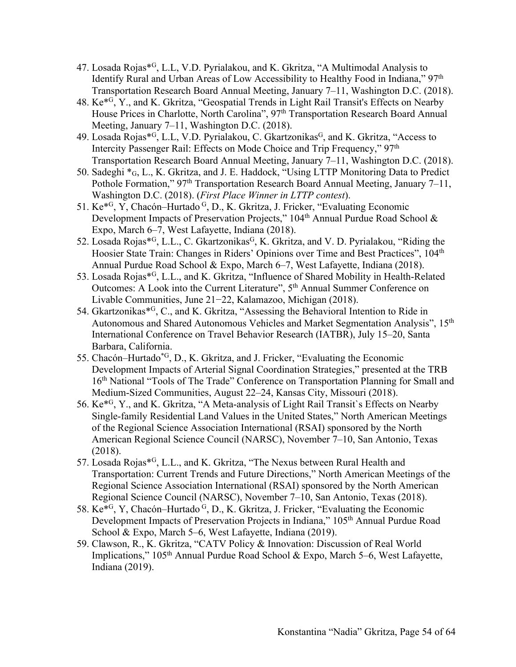- 47. Losada Rojas\*G, L.L, V.D. Pyrialakou, and K. Gkritza, "A Multimodal Analysis to Identify Rural and Urban Areas of Low Accessibility to Healthy Food in Indiana," 97th Transportation Research Board Annual Meeting, January 7–11, Washington D.C. (2018).
- 48. Ke\*G, Y., and K. Gkritza, "Geospatial Trends in Light Rail Transit's Effects on Nearby House Prices in Charlotte, North Carolina", 97<sup>th</sup> Transportation Research Board Annual Meeting, January 7–11, Washington D.C. (2018).
- 49. Losada Rojas\*<sup>G</sup>, L.L, V.D. Pyrialakou, C. Gkartzonikas<sup>G</sup>, and K. Gkritza, "Access to Intercity Passenger Rail: Effects on Mode Choice and Trip Frequency," 97<sup>th</sup> Transportation Research Board Annual Meeting, January 7–11, Washington D.C. (2018).
- 50. Sadeghi \*G, L., K. Gkritza, and J. E. Haddock, "Using LTTP Monitoring Data to Predict Pothole Formation," 97<sup>th</sup> Transportation Research Board Annual Meeting, January 7–11, Washington D.C. (2018). (*First Place Winner in LTTP contest*).
- 51. Ke\*G, Y, Chacón–Hurtado G, D., K. Gkritza, J. Fricker, "Evaluating Economic Development Impacts of Preservation Projects," 104<sup>th</sup> Annual Purdue Road School & Expo, March 6–7, West Lafayette, Indiana (2018).
- 52. Losada Rojas<sup>\*G</sup>, L.L., C. Gkartzonikas<sup>G</sup>, K. Gkritza, and V. D. Pyrialakou, "Riding the Hoosier State Train: Changes in Riders' Opinions over Time and Best Practices", 104th Annual Purdue Road School & Expo, March 6–7, West Lafayette, Indiana (2018).
- 53. Losada Rojas\*G, L.L., and K. Gkritza, "Influence of Shared Mobility in Health-Related Outcomes: A Look into the Current Literature", 5<sup>th</sup> Annual Summer Conference on Livable Communities, June 21−22, Kalamazoo, Michigan (2018).
- 54. Gkartzonikas<sup>\*G</sup>, C., and K. Gkritza, "Assessing the Behavioral Intention to Ride in Autonomous and Shared Autonomous Vehicles and Market Segmentation Analysis", 15<sup>th</sup> International Conference on Travel Behavior Research (IATBR), July 15–20, Santa Barbara, California.
- 55. Chacón–Hurtado\*G, D., K. Gkritza, and J. Fricker, "Evaluating the Economic Development Impacts of Arterial Signal Coordination Strategies," presented at the TRB 16<sup>th</sup> National "Tools of The Trade" Conference on Transportation Planning for Small and Medium-Sized Communities, August 22–24, Kansas City, Missouri (2018).
- 56. Ke\*G, Y., and K. Gkritza, "A Meta-analysis of Light Rail Transit`s Effects on Nearby Single-family Residential Land Values in the United States," North American Meetings of the Regional Science Association International (RSAI) sponsored by the North American Regional Science Council (NARSC), November 7–10, San Antonio, Texas (2018).
- 57. Losada Rojas\*G, L.L., and K. Gkritza, "The Nexus between Rural Health and Transportation: Current Trends and Future Directions," North American Meetings of the Regional Science Association International (RSAI) sponsored by the North American Regional Science Council (NARSC), November 7–10, San Antonio, Texas (2018).
- 58. Ke\*G, Y, Chacón–Hurtado G, D., K. Gkritza, J. Fricker, "Evaluating the Economic Development Impacts of Preservation Projects in Indiana," 105<sup>th</sup> Annual Purdue Road School & Expo, March 5–6, West Lafayette, Indiana (2019).
- 59. Clawson, R., K. Gkritza, "CATV Policy & Innovation: Discussion of Real World Implications," 105<sup>th</sup> Annual Purdue Road School & Expo, March 5–6, West Lafayette, Indiana (2019).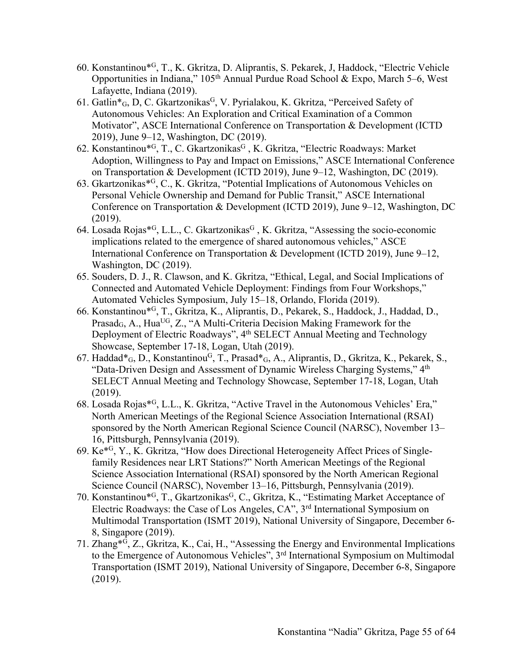- 60. Konstantinou\*G, T., K. Gkritza, D. Aliprantis, S. Pekarek, J, Haddock, "Electric Vehicle Opportunities in Indiana,"  $105<sup>th</sup>$  Annual Purdue Road School & Expo, March 5–6, West Lafayette, Indiana (2019).
- 61. Gatlin $*_{G_1}$ , D, C. Gkartzonikas<sup>G</sup>, V. Pyrialakou, K. Gkritza, "Perceived Safety of Autonomous Vehicles: An Exploration and Critical Examination of a Common Motivator", ASCE International Conference on Transportation & Development (ICTD 2019), June 9–12, Washington, DC (2019).
- 62. Konstantinou\*<sup>G</sup>, T., C. Gkartzonikas<sup>G</sup>, K. Gkritza, "Electric Roadways: Market Adoption, Willingness to Pay and Impact on Emissions," ASCE International Conference on Transportation & Development (ICTD 2019), June 9–12, Washington, DC (2019).
- 63. Gkartzonikas\*G, C., K. Gkritza, "Potential Implications of Autonomous Vehicles on Personal Vehicle Ownership and Demand for Public Transit," ASCE International Conference on Transportation & Development (ICTD 2019), June 9–12, Washington, DC (2019).
- 64. Losada Rojas\*<sup>G</sup>, L.L., C. Gkartzonikas<sup>G</sup>, K. Gkritza, "Assessing the socio-economic implications related to the emergence of shared autonomous vehicles," ASCE International Conference on Transportation & Development (ICTD 2019), June 9–12, Washington, DC (2019).
- 65. Souders, D. J., R. Clawson, and K. Gkritza, "Ethical, Legal, and Social Implications of Connected and Automated Vehicle Deployment: Findings from Four Workshops," Automated Vehicles Symposium, July 15–18, Orlando, Florida (2019).
- 66. Konstantinou\*G, T., Gkritza, K., Aliprantis, D., Pekarek, S., Haddock, J., Haddad, D., Prasad<sub>G</sub>, A., Hua<sup>UG</sup>, Z., "A Multi-Criteria Decision Making Framework for the Deployment of Electric Roadways", 4<sup>th</sup> SELECT Annual Meeting and Technology Showcase, September 17-18, Logan, Utah (2019).
- 67. Haddad\*G, D., KonstantinouG, T., Prasad\*G, A., Aliprantis, D., Gkritza, K., Pekarek, S., "Data-Driven Design and Assessment of Dynamic Wireless Charging Systems," 4<sup>th</sup> SELECT Annual Meeting and Technology Showcase, September 17-18, Logan, Utah (2019).
- 68. Losada Rojas\*G, L.L., K. Gkritza, "Active Travel in the Autonomous Vehicles' Era," North American Meetings of the Regional Science Association International (RSAI) sponsored by the North American Regional Science Council (NARSC), November 13– 16, Pittsburgh, Pennsylvania (2019).
- 69. Ke\*G, Y., K. Gkritza, "How does Directional Heterogeneity Affect Prices of Singlefamily Residences near LRT Stations?" North American Meetings of the Regional Science Association International (RSAI) sponsored by the North American Regional Science Council (NARSC), November 13–16, Pittsburgh, Pennsylvania (2019).
- 70. Konstantinou\*<sup>G</sup>, T., Gkartzonikas<sup>G</sup>, C., Gkritza, K., "Estimating Market Acceptance of Electric Roadways: the Case of Los Angeles, CA", 3rd International Symposium on Multimodal Transportation (ISMT 2019), National University of Singapore, December 6- 8, Singapore (2019).
- 71. Zhang\*G, Z., Gkritza, K., Cai, H., "Assessing the Energy and Environmental Implications to the Emergence of Autonomous Vehicles", 3<sup>rd</sup> International Symposium on Multimodal Transportation (ISMT 2019), National University of Singapore, December 6-8, Singapore (2019).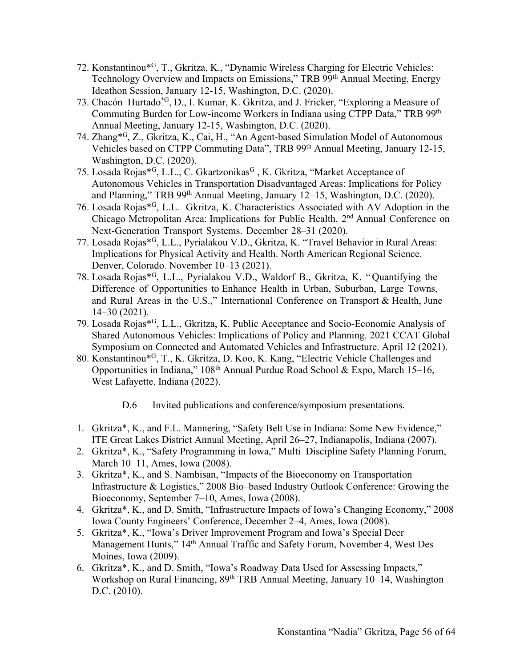- 72. Konstantinou\*G, T., Gkritza, K., "Dynamic Wireless Charging for Electric Vehicles: Technology Overview and Impacts on Emissions," TRB 99th Annual Meeting, Energy Ideathon Session, January 12-15, Washington, D.C. (2020).
- 73. Chacón–Hurtado\*G, D., I. Kumar, K. Gkritza, and J. Fricker, "Exploring a Measure of Commuting Burden for Low-income Workers in Indiana using CTPP Data," TRB 99th Annual Meeting, January 12-15, Washington, D.C. (2020).
- 74. Zhang\*G, Z., Gkritza, K., Cai, H., "An Agent-based Simulation Model of Autonomous Vehicles based on CTPP Commuting Data", TRB 99th Annual Meeting, January 12-15, Washington, D.C. (2020).
- 75. Losada Rojas\*<sup>G</sup>, L.L., C. Gkartzonikas<sup>G</sup>, K. Gkritza, "Market Acceptance of Autonomous Vehicles in Transportation Disadvantaged Areas: Implications for Policy and Planning," TRB 99<sup>th</sup> Annual Meeting, January 12–15, Washington, D.C. (2020).
- 76. Losada Rojas\*G, L.L. Gkritza, K. Characteristics Associated with AV Adoption in the Chicago Metropolitan Area: Implications for Public Health. 2nd Annual Conference on Next-Generation Transport Systems. December 28–31 (2020).
- 77. Losada Rojas\*G, L.L., Pyrialakou V.D., Gkritza, K. "Travel Behavior in Rural Areas: Implications for Physical Activity and Health. North American Regional Science. Denver, Colorado. November 10–13 (2021).
- 78. Losada Rojas\*G, L.L., Pyrialakou V.D., Waldorf B., Gkritza, K. " Quantifying the Difference of Opportunities to Enhance Health in Urban, Suburban, Large Towns, and Rural Areas in the U.S.," International Conference on Transport & Health, June 14–30 (2021).
- 79. Losada Rojas\*G, L.L., Gkritza, K. Public Acceptance and Socio-Economic Analysis of Shared Autonomous Vehicles: Implications of Policy and Planning. 2021 CCAT Global Symposium on Connected and Automated Vehicles and Infrastructure. April 12 (2021).
- 80. Konstantinou\*G, T., K. Gkritza, D. Koo, K. Kang, "Electric Vehicle Challenges and Opportunities in Indiana,"  $108<sup>th</sup>$  Annual Purdue Road School & Expo, March 15–16, West Lafayette, Indiana (2022).
	- D.6 Invited publications and conference/symposium presentations.
- 1. Gkritza\*, K., and F.L. Mannering, "Safety Belt Use in Indiana: Some New Evidence," ITE Great Lakes District Annual Meeting, April 26–27, Indianapolis, Indiana (2007).
- 2. Gkritza\*, K., "Safety Programming in Iowa," Multi–Discipline Safety Planning Forum, March 10–11, Ames, Iowa (2008).
- 3. Gkritza\*, K., and S. Nambisan, "Impacts of the Bioeconomy on Transportation Infrastructure & Logistics," 2008 Bio–based Industry Outlook Conference: Growing the Bioeconomy, September 7–10, Ames, Iowa (2008).
- 4. Gkritza\*, K., and D. Smith, "Infrastructure Impacts of Iowa's Changing Economy," 2008 Iowa County Engineers' Conference, December 2–4, Ames, Iowa (2008).
- 5. Gkritza\*, K., "Iowa's Driver Improvement Program and Iowa's Special Deer Management Hunts," 14<sup>th</sup> Annual Traffic and Safety Forum, November 4, West Des Moines, Iowa (2009).
- 6. Gkritza\*, K., and D. Smith, "Iowa's Roadway Data Used for Assessing Impacts," Workshop on Rural Financing, 89<sup>th</sup> TRB Annual Meeting, January 10–14, Washington D.C. (2010).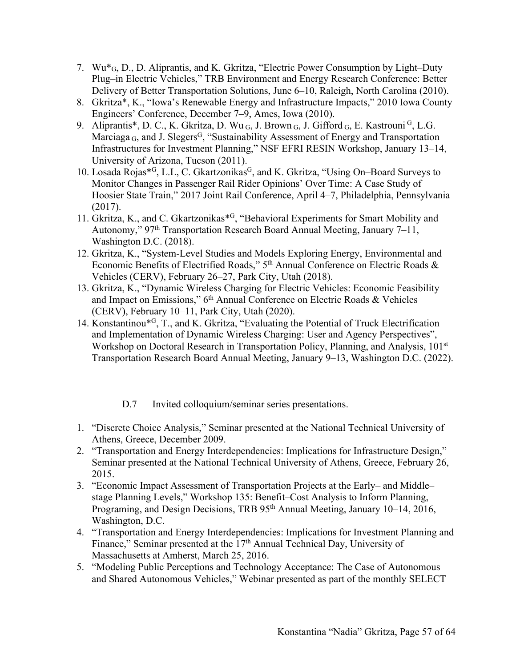- 7. Wu\*G, D., D. Aliprantis, and K. Gkritza, "Electric Power Consumption by Light–Duty Plug–in Electric Vehicles," TRB Environment and Energy Research Conference: Better Delivery of Better Transportation Solutions, June 6–10, Raleigh, North Carolina (2010).
- 8. Gkritza\*, K., "Iowa's Renewable Energy and Infrastructure Impacts," 2010 Iowa County Engineers' Conference, December 7–9, Ames, Iowa (2010).
- 9. Aliprantis\*, D. C., K. Gkritza, D. Wu G, J. Brown G, J. Gifford G, E. Kastrouni<sup>G</sup>, L.G. Marciaga  $_G$ , and J. Slegers<sup>G</sup>, "Sustainability Assessment of Energy and Transportation Infrastructures for Investment Planning," NSF EFRI RESIN Workshop, January 13–14, University of Arizona, Tucson (2011).
- 10. Losada Rojas\*<sup>G</sup>, L.L, C. Gkartzonikas<sup>G</sup>, and K. Gkritza, "Using On–Board Surveys to Monitor Changes in Passenger Rail Rider Opinions' Over Time: A Case Study of Hoosier State Train," 2017 Joint Rail Conference, April 4–7, Philadelphia, Pennsylvania (2017).
- 11. Gkritza, K., and C. Gkartzonikas<sup>\*G</sup>, "Behavioral Experiments for Smart Mobility and Autonomy,"  $97<sup>th</sup>$  Transportation Research Board Annual Meeting, January 7–11, Washington D.C. (2018).
- 12. Gkritza, K., "System-Level Studies and Models Exploring Energy, Environmental and Economic Benefits of Electrified Roads," 5th Annual Conference on Electric Roads & Vehicles (CERV), February 26–27, Park City, Utah (2018).
- 13. Gkritza, K., "Dynamic Wireless Charging for Electric Vehicles: Economic Feasibility and Impact on Emissions," 6<sup>th</sup> Annual Conference on Electric Roads & Vehicles (CERV), February 10–11, Park City, Utah (2020).
- 14. Konstantinou\*G, T., and K. Gkritza, "Evaluating the Potential of Truck Electrification and Implementation of Dynamic Wireless Charging: User and Agency Perspectives", Workshop on Doctoral Research in Transportation Policy, Planning, and Analysis, 101<sup>st</sup> Transportation Research Board Annual Meeting, January 9–13, Washington D.C. (2022).
	- D.7 Invited colloquium/seminar series presentations.
- 1. "Discrete Choice Analysis," Seminar presented at the National Technical University of Athens, Greece, December 2009.
- 2. "Transportation and Energy Interdependencies: Implications for Infrastructure Design," Seminar presented at the National Technical University of Athens, Greece, February 26, 2015.
- 3. "Economic Impact Assessment of Transportation Projects at the Early– and Middle– stage Planning Levels," Workshop 135: Benefit–Cost Analysis to Inform Planning, Programing, and Design Decisions, TRB 95<sup>th</sup> Annual Meeting, January 10–14, 2016, Washington, D.C.
- 4. "Transportation and Energy Interdependencies: Implications for Investment Planning and Finance," Seminar presented at the 17<sup>th</sup> Annual Technical Day, University of Massachusetts at Amherst, March 25, 2016.
- 5. "Modeling Public Perceptions and Technology Acceptance: The Case of Autonomous and Shared Autonomous Vehicles," Webinar presented as part of the monthly SELECT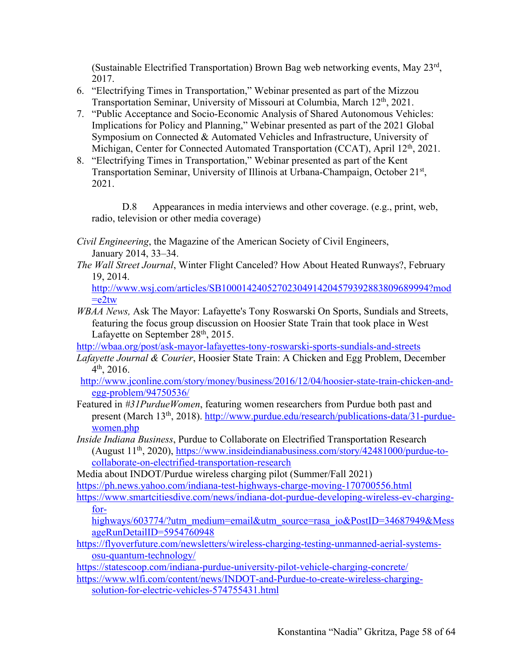(Sustainable Electrified Transportation) Brown Bag web networking events, May 23rd, 2017.

- 6. "Electrifying Times in Transportation," Webinar presented as part of the Mizzou Transportation Seminar, University of Missouri at Columbia, March 12<sup>th</sup>, 2021.
- 7. "Public Acceptance and Socio-Economic Analysis of Shared Autonomous Vehicles: Implications for Policy and Planning," Webinar presented as part of the 2021 Global Symposium on Connected & Automated Vehicles and Infrastructure, University of Michigan, Center for Connected Automated Transportation (CCAT), April 12<sup>th</sup>, 2021.
- 8. "Electrifying Times in Transportation," Webinar presented as part of the Kent Transportation Seminar, University of Illinois at Urbana-Champaign, October 21st, 2021.

D.8 Appearances in media interviews and other coverage. (e.g., print, web, radio, television or other media coverage)

- *Civil Engineering*, the Magazine of the American Society of Civil Engineers, January 2014, 33–34.
- *The Wall Street Journal*, Winter Flight Canceled? How About Heated Runways?, February 19, 2014.

http://www.wsj.com/articles/SB10001424052702304914204579392883809689994?mod  $=$ e $2$ tw

*WBAA News,* Ask The Mayor: Lafayette's Tony Roswarski On Sports, Sundials and Streets, featuring the focus group discussion on Hoosier State Train that took place in West Lafayette on September  $28<sup>th</sup>$ , 2015.

http://wbaa.org/post/ask-mayor-lafayettes-tony-roswarski-sports-sundials-and-streets

- *Lafayette Journal & Courier*, Hoosier State Train: A Chicken and Egg Problem, December  $4<sup>th</sup>$ , 2016.
- http://www.jconline.com/story/money/business/2016/12/04/hoosier-state-train-chicken-andegg-problem/94750536/
- Featured in *#31PurdueWomen*, featuring women researchers from Purdue both past and present (March 13th, 2018). http://www.purdue.edu/research/publications-data/31-purduewomen.php
- *Inside Indiana Business*, Purdue to Collaborate on Electrified Transportation Research (August 11th, 2020), https://www.insideindianabusiness.com/story/42481000/purdue-tocollaborate-on-electrified-transportation-research
- Media about INDOT/Purdue wireless charging pilot (Summer/Fall 2021)

https://ph.news.yahoo.com/indiana-test-highways-charge-moving-170700556.html

https://www.smartcitiesdive.com/news/indiana-dot-purdue-developing-wireless-ev-chargingfor-

highways/603774/?utm\_medium=email&utm\_source=rasa\_io&PostID=34687949&Mess ageRunDetailID=5954760948

https://flyoverfuture.com/newsletters/wireless-charging-testing-unmanned-aerial-systemsosu-quantum-technology/

https://statescoop.com/indiana-purdue-university-pilot-vehicle-charging-concrete/

https://www.wlfi.com/content/news/INDOT-and-Purdue-to-create-wireless-chargingsolution-for-electric-vehicles-574755431.html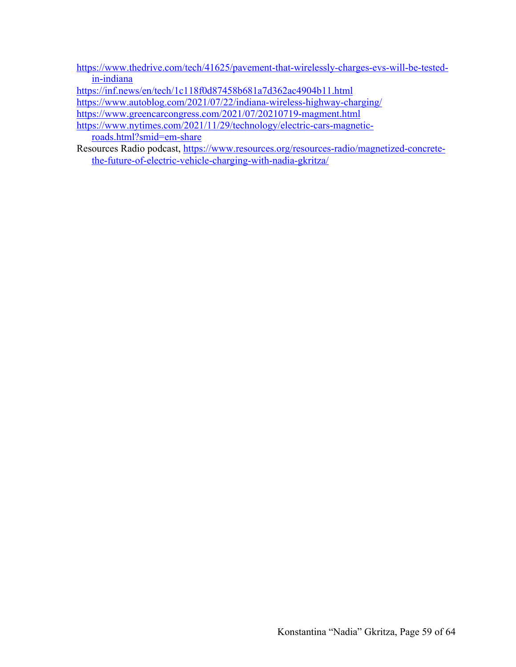https://www.thedrive.com/tech/41625/pavement-that-wirelessly-charges-evs-will-be-testedin-indiana

https://inf.news/en/tech/1c118f0d87458b681a7d362ac4904b11.html

https://www.autoblog.com/2021/07/22/indiana-wireless-highway-charging/

https://www.greencarcongress.com/2021/07/20210719-magment.html

https://www.nytimes.com/2021/11/29/technology/electric-cars-magneticroads.html?smid=em-share

Resources Radio podcast, https://www.resources.org/resources-radio/magnetized-concretethe-future-of-electric-vehicle-charging-with-nadia-gkritza/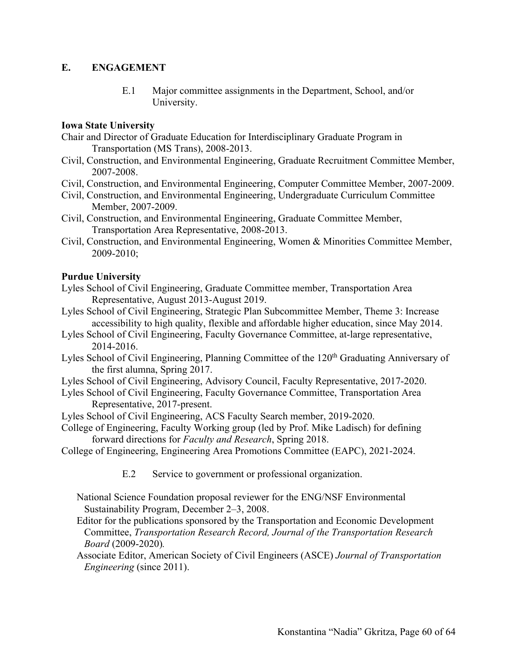## **E. ENGAGEMENT**

E.1 Major committee assignments in the Department, School, and/or University.

#### **Iowa State University**

- Chair and Director of Graduate Education for Interdisciplinary Graduate Program in Transportation (MS Trans), 2008-2013.
- Civil, Construction, and Environmental Engineering, Graduate Recruitment Committee Member, 2007-2008.
- Civil, Construction, and Environmental Engineering, Computer Committee Member, 2007-2009.
- Civil, Construction, and Environmental Engineering, Undergraduate Curriculum Committee Member, 2007-2009.
- Civil, Construction, and Environmental Engineering, Graduate Committee Member, Transportation Area Representative, 2008-2013.
- Civil, Construction, and Environmental Engineering, Women & Minorities Committee Member, 2009-2010;

#### **Purdue University**

- Lyles School of Civil Engineering, Graduate Committee member, Transportation Area Representative, August 2013-August 2019.
- Lyles School of Civil Engineering, Strategic Plan Subcommittee Member, Theme 3: Increase accessibility to high quality, flexible and affordable higher education, since May 2014.
- Lyles School of Civil Engineering, Faculty Governance Committee, at-large representative, 2014-2016.
- Lyles School of Civil Engineering, Planning Committee of the 120<sup>th</sup> Graduating Anniversary of the first alumna, Spring 2017.
- Lyles School of Civil Engineering, Advisory Council, Faculty Representative, 2017-2020.
- Lyles School of Civil Engineering, Faculty Governance Committee, Transportation Area Representative, 2017-present.
- Lyles School of Civil Engineering, ACS Faculty Search member, 2019-2020.
- College of Engineering, Faculty Working group (led by Prof. Mike Ladisch) for defining forward directions for *Faculty and Research*, Spring 2018.
- College of Engineering, Engineering Area Promotions Committee (EAPC), 2021-2024.
	- E.2 Service to government or professional organization.

National Science Foundation proposal reviewer for the ENG/NSF Environmental Sustainability Program, December 2–3, 2008.

- Editor for the publications sponsored by the Transportation and Economic Development Committee, *Transportation Research Record, Journal of the Transportation Research Board* (2009-2020)*.*
- Associate Editor, American Society of Civil Engineers (ASCE) *Journal of Transportation Engineering* (since 2011).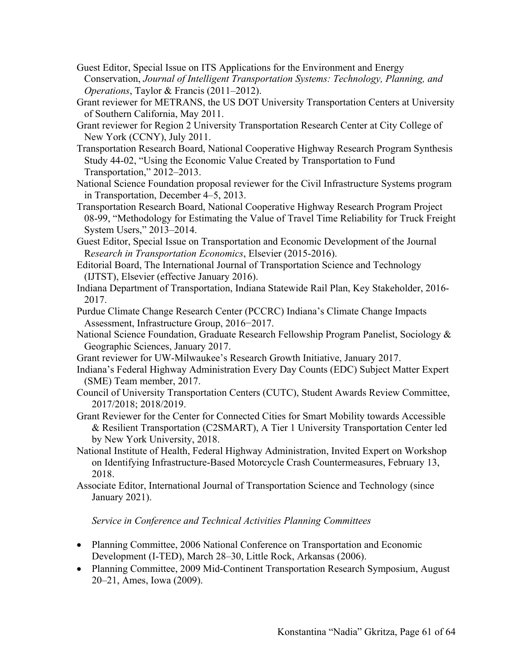- Guest Editor, Special Issue on ITS Applications for the Environment and Energy Conservation, *Journal of Intelligent Transportation Systems: Technology, Planning, and Operations*, Taylor & Francis (2011–2012).
- Grant reviewer for METRANS, the US DOT University Transportation Centers at University of Southern California, May 2011.
- Grant reviewer for Region 2 University Transportation Research Center at City College of New York (CCNY), July 2011.
- Transportation Research Board, National Cooperative Highway Research Program Synthesis Study 44-02, "Using the Economic Value Created by Transportation to Fund Transportation," 2012–2013.
- National Science Foundation proposal reviewer for the Civil Infrastructure Systems program in Transportation, December 4–5, 2013.
- Transportation Research Board, National Cooperative Highway Research Program Project 08-99, "Methodology for Estimating the Value of Travel Time Reliability for Truck Freight System Users," 2013–2014.
- Guest Editor, Special Issue on Transportation and Economic Development of the Journal R*esearch in Transportation Economics*, Elsevier (2015-2016).
- Editorial Board, The International Journal of Transportation Science and Technology (IJTST), Elsevier (effective January 2016).
- Indiana Department of Transportation, Indiana Statewide Rail Plan, Key Stakeholder, 2016- 2017.
- Purdue Climate Change Research Center (PCCRC) Indiana's Climate Change Impacts Assessment, Infrastructure Group, 2016−2017.
- National Science Foundation, Graduate Research Fellowship Program Panelist, Sociology & Geographic Sciences, January 2017.
- Grant reviewer for UW-Milwaukee's Research Growth Initiative, January 2017.
- Indiana's Federal Highway Administration Every Day Counts (EDC) Subject Matter Expert (SME) Team member, 2017.
- Council of University Transportation Centers (CUTC), Student Awards Review Committee, 2017/2018; 2018/2019.
- Grant Reviewer for the Center for Connected Cities for Smart Mobility towards Accessible & Resilient Transportation (C2SMART), A Tier 1 University Transportation Center led by New York University, 2018.
- National Institute of Health, Federal Highway Administration, Invited Expert on Workshop on Identifying Infrastructure-Based Motorcycle Crash Countermeasures, February 13, 2018.
- Associate Editor, International Journal of Transportation Science and Technology (since January 2021).

*Service in Conference and Technical Activities Planning Committees*

- Planning Committee, 2006 National Conference on Transportation and Economic Development (I-TED), March 28–30, Little Rock, Arkansas (2006).
- Planning Committee, 2009 Mid-Continent Transportation Research Symposium, August 20–21, Ames, Iowa (2009).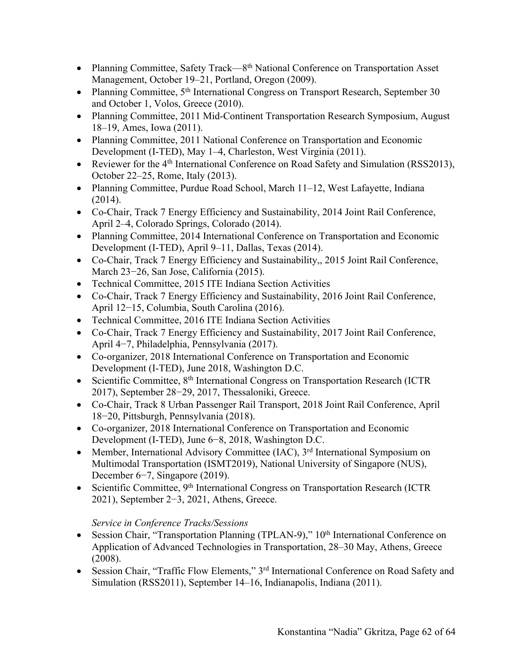- Planning Committee, Safety Track—8<sup>th</sup> National Conference on Transportation Asset Management, October 19–21, Portland, Oregon (2009).
- Planning Committee, 5<sup>th</sup> International Congress on Transport Research, September 30 and October 1, Volos, Greece (2010).
- Planning Committee, 2011 Mid-Continent Transportation Research Symposium, August 18–19, Ames, Iowa (2011).
- Planning Committee, 2011 National Conference on Transportation and Economic Development (I-TED), May 1–4, Charleston, West Virginia (2011).
- Reviewer for the 4<sup>th</sup> International Conference on Road Safety and Simulation (RSS2013), October 22–25, Rome, Italy (2013).
- Planning Committee, Purdue Road School, March 11–12, West Lafayette, Indiana (2014).
- Co-Chair, Track 7 Energy Efficiency and Sustainability, 2014 Joint Rail Conference, April 2–4, Colorado Springs, Colorado (2014).
- Planning Committee, 2014 International Conference on Transportation and Economic Development (I-TED), April 9–11, Dallas, Texas (2014).
- Co-Chair, Track 7 Energy Efficiency and Sustainability,, 2015 Joint Rail Conference, March 23−26, San Jose, California (2015).
- Technical Committee, 2015 ITE Indiana Section Activities
- Co-Chair, Track 7 Energy Efficiency and Sustainability, 2016 Joint Rail Conference, April 12−15, Columbia, South Carolina (2016).
- Technical Committee, 2016 ITE Indiana Section Activities
- Co-Chair, Track 7 Energy Efficiency and Sustainability, 2017 Joint Rail Conference, April 4−7, Philadelphia, Pennsylvania (2017).
- Co-organizer, 2018 International Conference on Transportation and Economic Development (I-TED), June 2018, Washington D.C.
- Scientific Committee, 8<sup>th</sup> International Congress on Transportation Research (ICTR 2017), September 28−29, 2017, Thessaloniki, Greece.
- Co-Chair, Track 8 Urban Passenger Rail Transport, 2018 Joint Rail Conference, April 18−20, Pittsburgh, Pennsylvania (2018).
- Co-organizer, 2018 International Conference on Transportation and Economic Development (I-TED), June 6−8, 2018, Washington D.C.
- Member, International Advisory Committee (IAC), 3<sup>rd</sup> International Symposium on Multimodal Transportation (ISMT2019), National University of Singapore (NUS), December 6−7, Singapore (2019).
- Scientific Committee, 9<sup>th</sup> International Congress on Transportation Research (ICTR 2021), September 2−3, 2021, Athens, Greece.

## *Service in Conference Tracks/Sessions*

- Session Chair, "Transportation Planning (TPLAN-9)," 10<sup>th</sup> International Conference on Application of Advanced Technologies in Transportation, 28–30 May, Athens, Greece (2008).
- Session Chair, "Traffic Flow Elements," 3<sup>rd</sup> International Conference on Road Safety and Simulation (RSS2011), September 14–16, Indianapolis, Indiana (2011).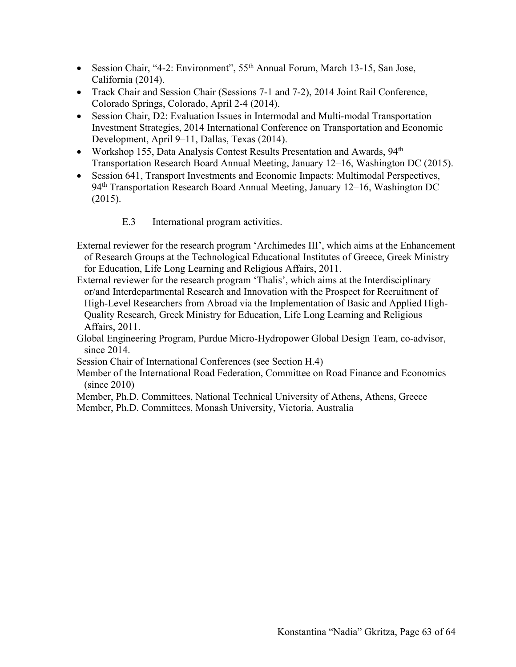- Session Chair, "4-2: Environment", 55<sup>th</sup> Annual Forum, March 13-15, San Jose, California (2014).
- Track Chair and Session Chair (Sessions 7-1 and 7-2), 2014 Joint Rail Conference, Colorado Springs, Colorado, April 2-4 (2014).
- Session Chair, D2: Evaluation Issues in Intermodal and Multi-modal Transportation Investment Strategies, 2014 International Conference on Transportation and Economic Development, April 9–11, Dallas, Texas (2014).
- Workshop 155, Data Analysis Contest Results Presentation and Awards, 94<sup>th</sup> Transportation Research Board Annual Meeting, January 12–16, Washington DC (2015).
- Session 641, Transport Investments and Economic Impacts: Multimodal Perspectives, 94<sup>th</sup> Transportation Research Board Annual Meeting, January 12–16, Washington DC (2015).
	- E.3 International program activities.

External reviewer for the research program 'Archimedes III', which aims at the Enhancement of Research Groups at the Technological Educational Institutes of Greece, Greek Ministry for Education, Life Long Learning and Religious Affairs, 2011.

External reviewer for the research program 'Thalis', which aims at the Interdisciplinary or/and Interdepartmental Research and Innovation with the Prospect for Recruitment of High-Level Researchers from Abroad via the Implementation of Basic and Applied High-Quality Research, Greek Ministry for Education, Life Long Learning and Religious Affairs, 2011.

- Global Engineering Program, Purdue Micro-Hydropower Global Design Team, co-advisor, since 2014.
- Session Chair of International Conferences (see Section H.4)
- Member of the International Road Federation, Committee on Road Finance and Economics (since 2010)
- Member, Ph.D. Committees, National Technical University of Athens, Athens, Greece

Member, Ph.D. Committees, Monash University, Victoria, Australia